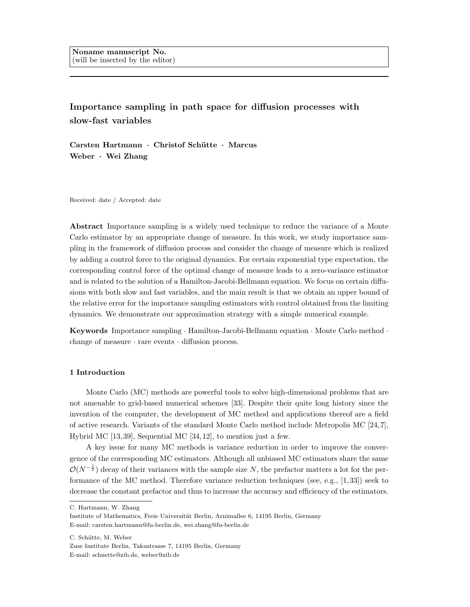**Importance sampling in path space for diffusion processes with slow-fast variables**

**Carsten Hartmann** *·* **Christof Sch¨utte** *·* **Marcus Weber** *·* **Wei Zhang**

Received: date / Accepted: date

**Abstract** Importance sampling is a widely used technique to reduce the variance of a Monte Carlo estimator by an appropriate change of measure. In this work, we study importance sampling in the framework of diffusion process and consider the change of measure which is realized by adding a control force to the original dynamics. For certain exponential type expectation, the corresponding control force of the optimal change of measure leads to a zero-variance estimator and is related to the solution of a Hamilton-Jacobi-Bellmann equation. We focus on certain diffusions with both slow and fast variables, and the main result is that we obtain an upper bound of the relative error for the importance sampling estimators with control obtained from the limiting dynamics. We demonstrate our approximation strategy with a simple numerical example.

**Keywords** Importance sampling *·* Hamilton-Jacobi-Bellmann equation *·* Monte Carlo method *·* change of measure *·* rare events *·* diffusion process.

# **1 Introduction**

Monte Carlo (MC) methods are powerful tools to solve high-dimensional problems that are not amenable to grid-based numerical schemes [33]. Despite their quite long history since the invention of the computer, the development of MC method and applications thereof are a field of active research. Variants of the standard Monte Carlo method include Metropolis MC [24, 7], Hybrid MC [13, 39], Sequential MC [34, 12], to mention just a few.

A key issue for many MC methods is variance reduction in order to improve the convergence of the corresponding MC estimators. Although all unbiased MC estimators share the same  $\mathcal{O}(N^{-\frac{1}{2}})$  decay of their variances with the sample size *N*, the prefactor matters a lot for the performance of the MC method. Therefore variance reduction techniques (see, e.g., [1, 33]) seek to decrease the constant prefactor and thus to increase the accuracy and efficiency of the estimators.

C. Hartmann, W. Zhang

Institute of Mathematics, Freie Universität Berlin, Arnimallee 6, 14195 Berlin, Germany E-mail: carsten.hartmann@fu-berlin.de, wei.zhang@fu-berlin.de

C. Schütte, M. Weber

Zuse Institute Berlin, Takustrasse 7, 14195 Berlin, Germany E-mail: schuette@zib.de, weber@zib.de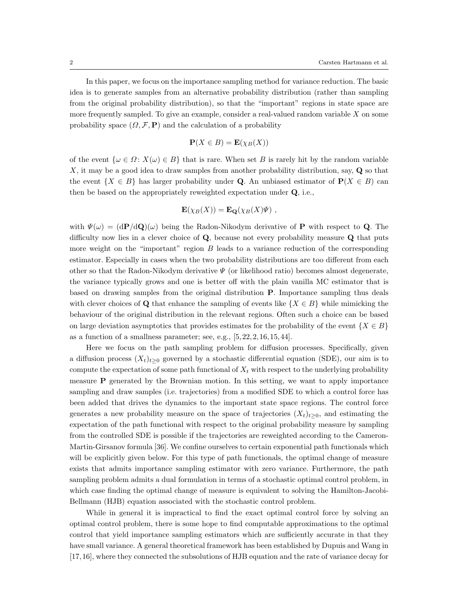In this paper, we focus on the importance sampling method for variance reduction. The basic idea is to generate samples from an alternative probability distribution (rather than sampling from the original probability distribution), so that the "important" regions in state space are more frequently sampled. To give an example, consider a real-valued random variable *X* on some probability space  $(\Omega, \mathcal{F}, \mathbf{P})$  and the calculation of a probability

$$
\mathbf{P}(X \in B) = \mathbf{E}(\chi_B(X))
$$

of the event  $\{\omega \in \Omega : X(\omega) \in B\}$  that is rare. When set *B* is rarely hit by the random variable *X*, it may be a good idea to draw samples from another probability distribution, say, **Q** so that the event  $\{X \in B\}$  has larger probability under **Q**. An unbiased estimator of  $P(X \in B)$  can then be based on the appropriately reweighted expectation under **Q**, i.e.,

$$
\mathbf{E}(\chi_B(X)) = \mathbf{E}_{\mathbf{Q}}(\chi_B(X)\Psi) ,
$$

with  $\Psi(\omega) = (\mathrm{d}\mathbf{P}/\mathrm{d}\mathbf{Q})(\omega)$  being the Radon-Nikodym derivative of **P** with respect to **Q**. The difficulty now lies in a clever choice of **Q**, because not every probability measure **Q** that puts more weight on the "important" region *B* leads to a variance reduction of the corresponding estimator. Especially in cases when the two probability distributions are too different from each other so that the Radon-Nikodym derivative *Ψ* (or likelihood ratio) becomes almost degenerate, the variance typically grows and one is better off with the plain vanilla MC estimator that is based on drawing samples from the original distribution **P**. Importance sampling thus deals with clever choices of **Q** that enhance the sampling of events like  $\{X \in B\}$  while mimicking the behaviour of the original distribution in the relevant regions. Often such a choice can be based on large deviation asymptotics that provides estimates for the probability of the event  ${X \in B}$ as a function of a smallness parameter; see, e.g.,  $[5, 22, 2, 16, 15, 44]$ .

Here we focus on the path sampling problem for diffusion processes. Specifically, given a diffusion process  $(X_t)_{t\geq0}$  governed by a stochastic differential equation (SDE), our aim is to compute the expectation of some path functional of  $X_t$  with respect to the underlying probability measure **P** generated by the Brownian motion. In this setting, we want to apply importance sampling and draw samples (i.e. trajectories) from a modified SDE to which a control force has been added that drives the dynamics to the important state space regions. The control force generates a new probability measure on the space of trajectories  $(X_t)_{t>0}$ , and estimating the expectation of the path functional with respect to the original probability measure by sampling from the controlled SDE is possible if the trajectories are reweighted according to the Cameron-Martin-Girsanov formula [36]. We confine ourselves to certain exponential path functionals which will be explicitly given below. For this type of path functionals, the optimal change of measure exists that admits importance sampling estimator with zero variance. Furthermore, the path sampling problem admits a dual formulation in terms of a stochastic optimal control problem, in which case finding the optimal change of measure is equivalent to solving the Hamilton-Jacobi-Bellmann (HJB) equation associated with the stochastic control problem.

While in general it is impractical to find the exact optimal control force by solving an optimal control problem, there is some hope to find computable approximations to the optimal control that yield importance sampling estimators which are sufficiently accurate in that they have small variance. A general theoretical framework has been established by Dupuis and Wang in [17,16], where they connected the subsolutions of HJB equation and the rate of variance decay for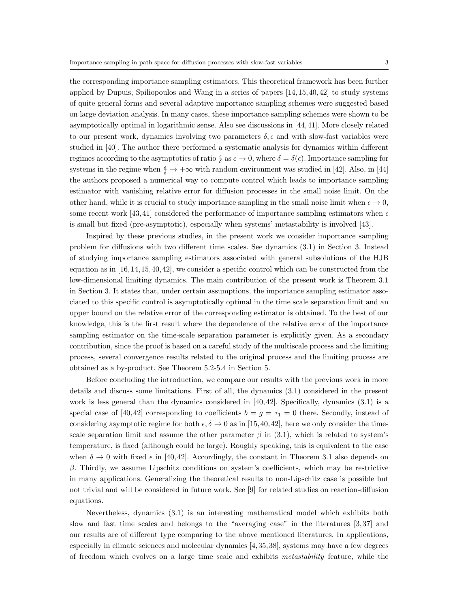applied by Dupuis, Spiliopoulos and Wang in a series of papers [14, 15, 40, 42] to study systems of quite general forms and several adaptive importance sampling schemes were suggested based on large deviation analysis. In many cases, these importance sampling schemes were shown to be asymptotically optimal in logarithmic sense. Also see discussions in [44, 41]. More closely related to our present work, dynamics involving two parameters  $\delta$ ,  $\epsilon$  and with slow-fast variables were studied in [40]. The author there performed a systematic analysis for dynamics within different regimes according to the asymptotics of ratio  $\frac{\epsilon}{\delta}$  as  $\epsilon \to 0$ , where  $\delta = \delta(\epsilon)$ . Importance sampling for systems in the regime when  $\frac{\epsilon}{\delta} \to +\infty$  with random environment was studied in [42]. Also, in [44] the authors proposed a numerical way to compute control which leads to importance sampling estimator with vanishing relative error for diffusion processes in the small noise limit. On the other hand, while it is crucial to study importance sampling in the small noise limit when  $\epsilon \to 0$ , some recent work [43,41] considered the performance of importance sampling estimators when  $\epsilon$ is small but fixed (pre-asymptotic), especially when systems' metastability is involved [43].

Inspired by these previous studies, in the present work we consider importance sampling problem for diffusions with two different time scales. See dynamics (3.1) in Section 3. Instead of studying importance sampling estimators associated with general subsolutions of the HJB equation as in  $[16, 14, 15, 40, 42]$ , we consider a specific control which can be constructed from the low-dimensional limiting dynamics. The main contribution of the present work is Theorem 3.1 in Section 3. It states that, under certain assumptions, the importance sampling estimator associated to this specific control is asymptotically optimal in the time scale separation limit and an upper bound on the relative error of the corresponding estimator is obtained. To the best of our knowledge, this is the first result where the dependence of the relative error of the importance sampling estimator on the time-scale separation parameter is explicitly given. As a secondary contribution, since the proof is based on a careful study of the multiscale process and the limiting process, several convergence results related to the original process and the limiting process are obtained as a by-product. See Theorem 5.2-5.4 in Section 5.

Before concluding the introduction, we compare our results with the previous work in more details and discuss some limitations. First of all, the dynamics (3.1) considered in the present work is less general than the dynamics considered in [40, 42]. Specifically, dynamics (3.1) is a special case of [40,42] corresponding to coefficients  $b = g = \tau_1 = 0$  there. Secondly, instead of considering asymptotic regime for both  $\epsilon, \delta \to 0$  as in [15, 40, 42], here we only consider the timescale separation limit and assume the other parameter  $\beta$  in (3.1), which is related to system's temperature, is fixed (although could be large). Roughly speaking, this is equivalent to the case when  $\delta \to 0$  with fixed  $\epsilon$  in [40, 42]. Accordingly, the constant in Theorem 3.1 also depends on *β*. Thirdly, we assume Lipschitz conditions on system's coefficients, which may be restrictive in many applications. Generalizing the theoretical results to non-Lipschitz case is possible but not trivial and will be considered in future work. See [9] for related studies on reaction-diffusion equations.

Nevertheless, dynamics (3.1) is an interesting mathematical model which exhibits both slow and fast time scales and belongs to the "averaging case" in the literatures [3, 37] and our results are of different type comparing to the above mentioned literatures. In applications, especially in climate sciences and molecular dynamics [4, 35, 38], systems may have a few degrees of freedom which evolves on a large time scale and exhibits *metastability* feature, while the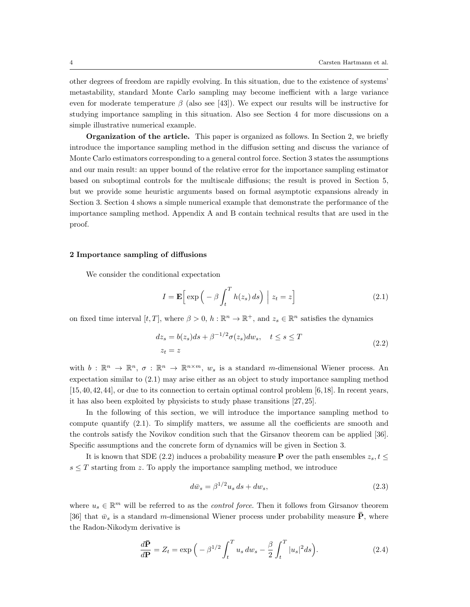other degrees of freedom are rapidly evolving. In this situation, due to the existence of systems' metastability, standard Monte Carlo sampling may become inefficient with a large variance even for moderate temperature  $\beta$  (also see [43]). We expect our results will be instructive for studying importance sampling in this situation. Also see Section 4 for more discussions on a simple illustrative numerical example.

**Organization of the article.** This paper is organized as follows. In Section 2, we briefly introduce the importance sampling method in the diffusion setting and discuss the variance of Monte Carlo estimators corresponding to a general control force. Section 3 states the assumptions and our main result: an upper bound of the relative error for the importance sampling estimator based on suboptimal controls for the multiscale diffusions; the result is proved in Section 5, but we provide some heuristic arguments based on formal asymptotic expansions already in Section 3. Section 4 shows a simple numerical example that demonstrate the performance of the importance sampling method. Appendix A and B contain technical results that are used in the proof.

## **2 Importance sampling of diffusions**

We consider the conditional expectation

$$
I = \mathbf{E} \left[ \exp \left( -\beta \int_{t}^{T} h(z_s) \, ds \right) \Big| z_t = z \right] \tag{2.1}
$$

on fixed time interval  $[t, T]$ , where  $\beta > 0$ ,  $h : \mathbb{R}^n \to \mathbb{R}^+$ , and  $z_s \in \mathbb{R}^n$  satisfies the dynamics

$$
dz_s = b(z_s)ds + \beta^{-1/2}\sigma(z_s)dw_s, \quad t \le s \le T
$$
  

$$
z_t = z
$$
 (2.2)

with  $b: \mathbb{R}^n \to \mathbb{R}^n$ ,  $\sigma: \mathbb{R}^n \to \mathbb{R}^{n \times m}$ ,  $w_s$  is a standard *m*-dimensional Wiener process. An expectation similar to (2.1) may arise either as an object to study importance sampling method [15,40, 42, 44], or due to its connection to certain optimal control problem [6, 18]. In recent years, it has also been exploited by physicists to study phase transitions [27, 25].

In the following of this section, we will introduce the importance sampling method to compute quantify (2.1). To simplify matters, we assume all the coefficients are smooth and the controls satisfy the Novikov condition such that the Girsanov theorem can be applied [36]. Specific assumptions and the concrete form of dynamics will be given in Section 3.

It is known that SDE (2.2) induces a probability measure **P** over the path ensembles  $z_s, t \leq$  $s \leq T$  starting from  $z$ . To apply the importance sampling method, we introduce

$$
d\bar{w}_s = \beta^{1/2} u_s ds + dw_s, \qquad (2.3)
$$

where  $u_s \in \mathbb{R}^m$  will be referred to as the *control force*. Then it follows from Girsanov theorem [36] that  $\bar{w}_s$  is a standard *m*-dimensional Wiener process under probability measure  $\bar{P}$ , where the Radon-Nikodym derivative is

$$
\frac{d\bar{P}}{dP} = Z_t = \exp\left(-\beta^{1/2} \int_t^T u_s \, dw_s - \frac{\beta}{2} \int_t^T |u_s|^2 ds\right). \tag{2.4}
$$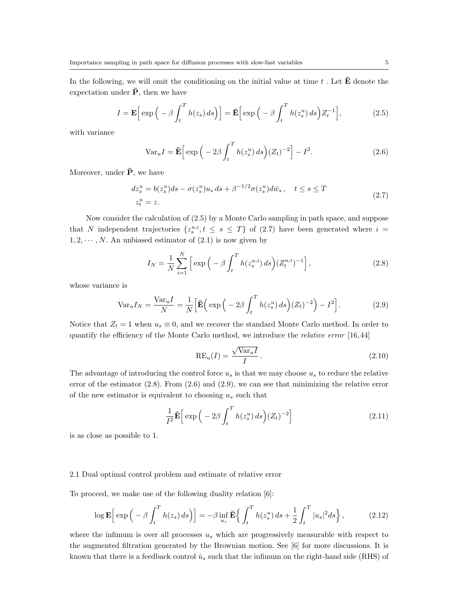In the following, we will omit the conditioning on the initial value at time  $t$ . Let  $\overline{\mathbf{E}}$  denote the expectation under  $\bar{P}$ , then we have

$$
I = \mathbf{E} \Big[ \exp \Big( -\beta \int_t^T h(z_s) \, ds \Big) \Big] = \mathbf{\bar{E}} \Big[ \exp \Big( -\beta \int_t^T h(z_s^u) \, ds \Big) Z_t^{-1} \Big],\tag{2.5}
$$

with variance

$$
\text{Var}_u I = \bar{\mathbf{E}} \Big[ \exp \Big( -2\beta \int_t^T h(z_s^u) \, ds \Big) (Z_t)^{-2} \Big] - I^2. \tag{2.6}
$$

Moreover, under  $\bar{P}$ , we have

$$
dz_s^u = b(z_s^u)ds - \sigma(z_s^u)u_s ds + \beta^{-1/2}\sigma(z_s^u) d\bar{w}_s, \quad t \le s \le T
$$
  
\n
$$
z_t^u = z.
$$
\n(2.7)

Now consider the calculation of (2.5) by a Monte Carlo sampling in path space, and suppose that *N* independent trajectories  $\{z_s^{u,i}, t \leq s \leq T\}$  of (2.7) have been generated where  $i =$  $1, 2, \dots, N$ . An unbiased estimator of  $(2.1)$  is now given by

$$
I_N = \frac{1}{N} \sum_{i=1}^{N} \left[ \exp\left( -\beta \int_t^T h(z_s^{u,i}) \, ds \right) (Z_t^{u,i})^{-1} \right],\tag{2.8}
$$

whose variance is

$$
\text{Var}_u I_N = \frac{\text{Var}_u I}{N} = \frac{1}{N} \Big[ \bar{\mathbf{E}} \Big( \exp \Big( -2\beta \int_t^T h(z_s^u) \, ds \Big) (Z_t)^{-2} \Big) - I^2 \Big]. \tag{2.9}
$$

Notice that  $Z_t = 1$  when  $u_s \equiv 0$ , and we recover the standard Monte Carlo method. In order to quantify the efficiency of the Monte Carlo method, we introduce the *relative error* [16,44]

$$
RE_u(I) = \frac{\sqrt{\text{Var}_u I}}{I}.
$$
\n(2.10)

The advantage of introducing the control force *u<sup>s</sup>* is that we may choose *u<sup>s</sup>* to reduce the relative error of the estimator  $(2.8)$ . From  $(2.6)$  and  $(2.9)$ , we can see that minimizing the relative error of the new estimator is equivalent to choosing *u<sup>s</sup>* such that

$$
\frac{1}{I^2}\mathbf{\bar{E}}\Big[\exp\Big(-2\beta\int_t^T h(z_s^u)\,ds\Big)(Z_t)^{-2}\Big]\tag{2.11}
$$

is as close as possible to 1.

#### 2.1 Dual optimal control problem and estimate of relative error

To proceed, we make use of the following duality relation [6]:

$$
\log \mathbf{E} \Big[ \exp \Big( -\beta \int_t^T h(z_s) \, ds \Big) \Big] = -\beta \inf_{u_s} \mathbf{E} \Big\{ \int_t^T h(z_s^u) \, ds + \frac{1}{2} \int_t^T |u_s|^2 \, ds \Big\} \,, \tag{2.12}
$$

where the infimum is over all processes  $u_s$  which are progressively measurable with respect to the augmented filtration generated by the Brownian motion. See [6] for more discussions. It is known that there is a feedback control  $\hat{u}_s$  such that the infimum on the right-hand side (RHS) of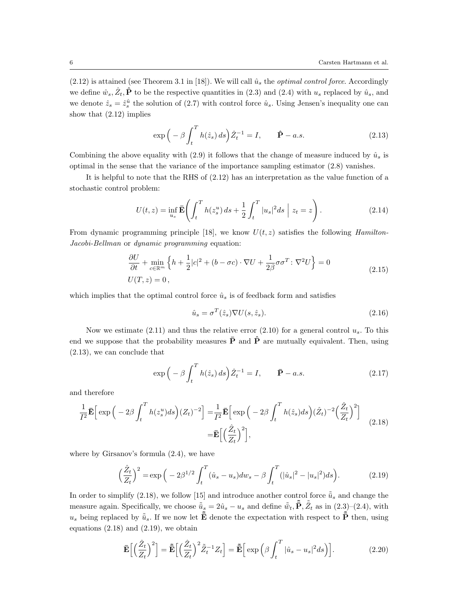$(2.12)$  is attained (see Theorem 3.1 in [18]). We will call  $\hat{u}_s$  the *optimal control force*. Accordingly we define  $\hat{w}_s, \hat{Z}_t, \hat{P}$  to be the respective quantities in (2.3) and (2.4) with  $u_s$  replaced by  $\hat{u}_s$ , and we denote  $\hat{z}_s = \hat{z}_s^{\hat{u}}$  the solution of (2.7) with control force  $\hat{u}_s$ . Using Jensen's inequality one can show that (2.12) implies

$$
\exp\left(-\beta \int_{t}^{T} h(\hat{z}_s) ds\right) \hat{Z}_t^{-1} = I, \qquad \hat{\mathbf{P}} - a.s. \tag{2.13}
$$

Combining the above equality with (2.9) it follows that the change of measure induced by  $\hat{u}_s$  is optimal in the sense that the variance of the importance sampling estimator (2.8) vanishes.

It is helpful to note that the RHS of (2.12) has an interpretation as the value function of a stochastic control problem:

$$
U(t,z) = \inf_{u_s} \bar{\mathbf{E}} \left( \int_t^T h(z_s^u) \, ds + \frac{1}{2} \int_t^T |u_s|^2 \, ds \, \Big| \, z_t = z \right). \tag{2.14}
$$

From dynamic programming principle [18], we know *U*(*t, z*) satisfies the following *Hamilton-Jacobi-Bellman* or *dynamic programming* equation:

$$
\frac{\partial U}{\partial t} + \min_{c \in \mathbb{R}^m} \left\{ h + \frac{1}{2} |c|^2 + (b - \sigma c) \cdot \nabla U + \frac{1}{2\beta} \sigma \sigma^T : \nabla^2 U \right\} = 0
$$
\n
$$
U(T, z) = 0,
$$
\n(2.15)

which implies that the optimal control force  $\hat{u}_s$  is of feedback form and satisfies

$$
\hat{u}_s = \sigma^T(\hat{z}_s) \nabla U(s, \hat{z}_s). \tag{2.16}
$$

Now we estimate  $(2.11)$  and thus the relative error  $(2.10)$  for a general control  $u_s$ . To this end we suppose that the probability measures  $\bar{P}$  and  $\hat{P}$  are mutually equivalent. Then, using (2.13), we can conclude that

$$
\exp\left(-\beta \int_{t}^{T} h(\hat{z}_s) ds\right) \hat{Z}_t^{-1} = I, \qquad \bar{\mathbf{P}} - a.s. \tag{2.17}
$$

and therefore

$$
\frac{1}{I^2} \bar{\mathbf{E}} \Big[ \exp \Big( -2\beta \int_t^T h(z_s^u) ds \Big) (Z_t)^{-2} \Big] = \frac{1}{I^2} \bar{\mathbf{E}} \Big[ \exp \Big( -2\beta \int_t^T h(\hat{z}_s) ds \Big) (\hat{Z}_t)^{-2} \Big( \frac{\hat{Z}_t}{Z_t} \Big)^2 \Big] \n= \bar{\mathbf{E}} \Big[ \Big( \frac{\hat{Z}_t}{Z_t} \Big)^2 \Big],
$$
\n(2.18)

where by Girsanov's formula  $(2.4)$ , we have

$$
\left(\frac{\hat{Z}_t}{Z_t}\right)^2 = \exp\left(-2\beta^{1/2}\int_t^T (\hat{u}_s - u_s)dw_s - \beta\int_t^T (|\hat{u}_s|^2 - |u_s|^2)ds\right).
$$
 (2.19)

In order to simplify (2.18), we follow [15] and introduce another control force  $\tilde{u}_s$  and change the measure again. Specifically, we choose  $\tilde{u}_s = 2\hat{u}_s - u_s$  and define  $\tilde{w}_t$ ,  $\tilde{\bar{P}}$ ,  $\tilde{Z}_t$  as in (2.3)–(2.4), with  $u_s$  being replaced by  $\tilde{\bar{u}}_s$ . If we now let  $\tilde{\bar{\mathbf{E}}}$  denote the expectation with respect to  $\tilde{\bar{\mathbf{P}}}$  then, using equations  $(2.18)$  and  $(2.19)$ , we obtain

$$
\bar{\mathbf{E}}\Big[\Big(\frac{\hat{Z}_t}{Z_t}\Big)^2\Big] = \tilde{\bar{\mathbf{E}}}\Big[\Big(\frac{\hat{Z}_t}{Z_t}\Big)^2 \tilde{\bar{Z}}_t^{-1} Z_t\Big] = \tilde{\bar{\mathbf{E}}}\Big[\exp\Big(\beta \int_t^T |\hat{u}_s - u_s|^2 ds\Big)\Big].\tag{2.20}
$$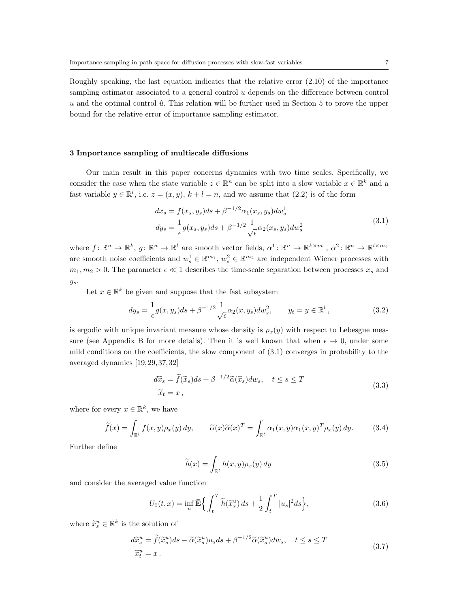### **3 Importance sampling of multiscale diffusions**

Our main result in this paper concerns dynamics with two time scales. Specifically, we consider the case when the state variable  $z \in \mathbb{R}^n$  can be split into a slow variable  $x \in \mathbb{R}^k$  and a fast variable  $y \in \mathbb{R}^l$ , i.e.  $z = (x, y)$ ,  $k + l = n$ , and we assume that  $(2.2)$  is of the form

$$
dx_s = f(x_s, y_s)ds + \beta^{-1/2}\alpha_1(x_s, y_s)dw_s^1
$$
  
\n
$$
dy_s = \frac{1}{\epsilon}g(x_s, y_s)ds + \beta^{-1/2}\frac{1}{\sqrt{\epsilon}}\alpha_2(x_s, y_s)dw_s^2
$$
\n(3.1)

where  $f: \mathbb{R}^n \to \mathbb{R}^k$ ,  $g: \mathbb{R}^n \to \mathbb{R}^l$  are smooth vector fields,  $\alpha^1: \mathbb{R}^n \to \mathbb{R}^{k \times m_1}$ ,  $\alpha^2: \mathbb{R}^n \to \mathbb{R}^{l \times m_2}$ are smooth noise coefficients and  $w_s^1 \in \mathbb{R}^{m_1}$ ,  $w_s^2 \in \mathbb{R}^{m_2}$  are independent Wiener processes with  $m_1, m_2 > 0$ . The parameter  $\epsilon \ll 1$  describes the time-scale separation between processes  $x_s$  and *ys*.

Let  $x \in \mathbb{R}^k$  be given and suppose that the fast subsystem

$$
dy_s = \frac{1}{\epsilon} g(x, y_s) ds + \beta^{-1/2} \frac{1}{\sqrt{\epsilon}} \alpha_2(x, y_s) dw_s^2, \qquad y_t = y \in \mathbb{R}^l,
$$
 (3.2)

is ergodic with unique invariant measure whose density is  $\rho_x(y)$  with respect to Lebesgue measure (see Appendix B for more details). Then it is well known that when  $\epsilon \to 0$ , under some mild conditions on the coefficients, the slow component of  $(3.1)$  converges in probability to the averaged dynamics [19, 29, 37, 32]

$$
d\tilde{x}_s = \tilde{f}(\tilde{x}_s)ds + \beta^{-1/2}\tilde{\alpha}(\tilde{x}_s)dw_s, \quad t \le s \le T
$$
  

$$
\tilde{x}_t = x,
$$
 (3.3)

where for every  $x \in \mathbb{R}^k$ , we have

$$
\widetilde{f}(x) = \int_{\mathbb{R}^l} f(x, y) \rho_x(y) \, dy, \qquad \widetilde{\alpha}(x) \widetilde{\alpha}(x)^T = \int_{\mathbb{R}^l} \alpha_1(x, y) \alpha_1(x, y)^T \rho_x(y) \, dy. \tag{3.4}
$$

Further define

$$
\widetilde{h}(x) = \int_{\mathbb{R}^l} h(x, y) \rho_x(y) \, dy \tag{3.5}
$$

and consider the averaged value function

$$
U_0(t,x) = \inf_u \mathbf{\bar{E}} \Big\{ \int_t^T \widetilde{h}(\widetilde{x}_s^u) ds + \frac{1}{2} \int_t^T |u_s|^2 ds \Big\},\tag{3.6}
$$

where  $\widetilde{x}_s^u \in \mathbb{R}^k$  is the solution of

$$
d\widetilde{x}_{s}^{u} = \widetilde{f}(\widetilde{x}_{s}^{u})ds - \widetilde{\alpha}(\widetilde{x}_{s}^{u})u_{s}ds + \beta^{-1/2}\widetilde{\alpha}(\widetilde{x}_{s}^{u})dw_{s}, \quad t \leq s \leq T
$$
  

$$
\widetilde{x}_{t}^{u} = x.
$$
 (3.7)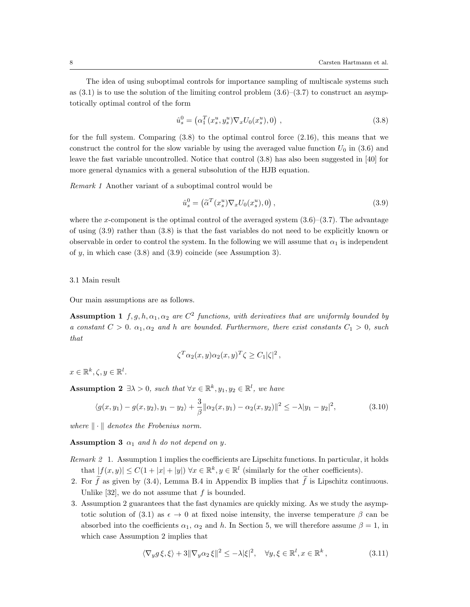The idea of using suboptimal controls for importance sampling of multiscale systems such as  $(3.1)$  is to use the solution of the limiting control problem  $(3.6)$ – $(3.7)$  to construct an asymptotically optimal control of the form

$$
\hat{u}_s^0 = \left(\alpha_1^T(x_s^u, y_s^u)\nabla_x U_0(x_s^u), 0\right),\tag{3.8}
$$

for the full system. Comparing  $(3.8)$  to the optimal control force  $(2.16)$ , this means that we construct the control for the slow variable by using the averaged value function  $U_0$  in (3.6) and leave the fast variable uncontrolled. Notice that control (3.8) has also been suggested in [40] for more general dynamics with a general subsolution of the HJB equation.

*Remark 1* Another variant of a suboptimal control would be

$$
\hat{u}_s^0 = \left(\tilde{\alpha}^T(x_s^u)\nabla_x U_0(x_s^u), 0\right),\tag{3.9}
$$

where the *x*-component is the optimal control of the averaged system  $(3.6)$ – $(3.7)$ . The advantage of using (3.9) rather than (3.8) is that the fast variables do not need to be explicitly known or observable in order to control the system. In the following we will assume that  $\alpha_1$  is independent of *y*, in which case (3.8) and (3.9) coincide (see Assumption 3).

### 3.1 Main result

Our main assumptions are as follows.

**Assumption 1**  $f, g, h, \alpha_1, \alpha_2$  are  $C^2$  functions, with derivatives that are uniformly bounded by *a* constant  $C > 0$ .  $\alpha_1, \alpha_2$  *and h are bounded. Furthermore, there exist constants*  $C_1 > 0$ *, such that*

$$
\zeta^T \alpha_2(x, y) \alpha_2(x, y)^T \zeta \ge C_1 |\zeta|^2,
$$

 $x \in \mathbb{R}^k, \zeta, y \in \mathbb{R}^l$ .

**Assumption 2**  $\exists \lambda > 0$ , such that  $\forall x \in \mathbb{R}^k, y_1, y_2 \in \mathbb{R}^l$ , we have

$$
\langle g(x,y_1) - g(x,y_2), y_1 - y_2 \rangle + \frac{3}{\beta} ||\alpha_2(x,y_1) - \alpha_2(x,y_2)||^2 \le -\lambda |y_1 - y_2|^2, \tag{3.10}
$$

*where*  $\|\cdot\|$  *denotes the Frobenius norm.* 

**Assumption 3**  $\alpha_1$  *and*  $h$  *do not depend on y.* 

- *Remark 2* 1. Assumption 1 implies the coefficients are Lipschitz functions. In particular, it holds that  $|f(x, y)| \leq C(1 + |x| + |y|)$   $\forall x \in \mathbb{R}^k, y \in \mathbb{R}^l$  (similarly for the other coefficients).
- 2. For  $\tilde{f}$  as given by (3.4), Lemma B.4 in Appendix B implies that  $\tilde{f}$  is Lipschitz continuous. Unlike  $[32]$ , we do not assume that  $f$  is bounded.
- 3. Assumption 2 guarantees that the fast dynamics are quickly mixing. As we study the asymptotic solution of (3.1) as  $\epsilon \to 0$  at fixed noise intensity, the inverse temperature  $\beta$  can be absorbed into the coefficients  $\alpha_1$ ,  $\alpha_2$  and *h*. In Section 5, we will therefore assume  $\beta = 1$ , in which case Assumption 2 implies that

$$
\langle \nabla_y g \xi, \xi \rangle + 3 \| \nabla_y \alpha_2 \xi \|^2 \le -\lambda |\xi|^2, \quad \forall y, \xi \in \mathbb{R}^l, x \in \mathbb{R}^k,
$$
\n(3.11)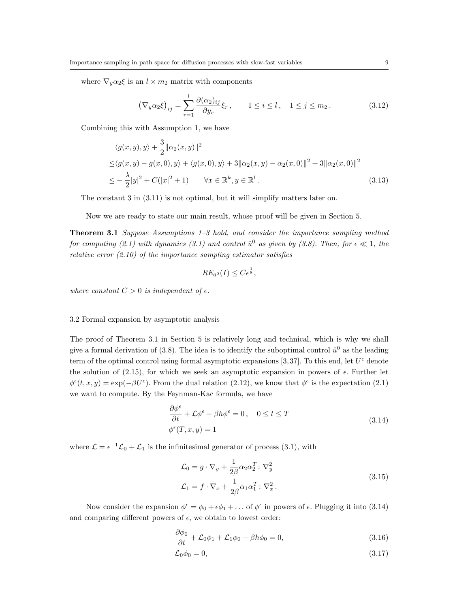where  $\nabla_y \alpha_2 \xi$  is an  $l \times m_2$  matrix with components

$$
\left(\nabla_y \alpha_2 \xi\right)_{ij} = \sum_{r=1}^l \frac{\partial (\alpha_2)_{ij}}{\partial y_r} \xi_r, \qquad 1 \le i \le l, \quad 1 \le j \le m_2. \tag{3.12}
$$

Combining this with Assumption 1, we have

$$
\langle g(x, y), y \rangle + \frac{3}{2} ||\alpha_2(x, y)||^2
$$
  
\n
$$
\leq \langle g(x, y) - g(x, 0), y \rangle + \langle g(x, 0), y \rangle + 3 ||\alpha_2(x, y) - \alpha_2(x, 0)||^2 + 3 ||\alpha_2(x, 0)||^2
$$
  
\n
$$
\leq -\frac{\lambda}{2} |y|^2 + C(|x|^2 + 1) \qquad \forall x \in \mathbb{R}^k, y \in \mathbb{R}^l.
$$
\n(3.13)

The constant 3 in (3.11) is not optimal, but it will simplify matters later on.

Now we are ready to state our main result, whose proof will be given in Section 5.

**Theorem 3.1** *Suppose Assumptions 1–3 hold, and consider the importance sampling method for computing (2.1) with dynamics (3.1) and control*  $\hat{u}^0$  as given by (3.8). Then, for  $\epsilon \ll 1$ , the *relative error (2.10) of the importance sampling estimator satisfies*

$$
RE_{\hat{u}^0}(I) \leq C\epsilon^{\frac{1}{8}},
$$

*where constant*  $C > 0$  *is independent of*  $\epsilon$ *.* 

### 3.2 Formal expansion by asymptotic analysis

The proof of Theorem 3.1 in Section 5 is relatively long and technical, which is why we shall give a formal derivation of  $(3.8)$ . The idea is to identify the suboptimal control  $\hat{u}^0$  as the leading term of the optimal control using formal asymptotic expansions [3,37]. To this end, let  $U^{\epsilon}$  denote the solution of (2.15), for which we seek an asymptotic expansion in powers of  $\epsilon$ . Further let  $\phi^{\epsilon}(t, x, y) = \exp(-\beta U^{\epsilon})$ . From the dual relation (2.12), we know that  $\phi^{\epsilon}$  is the expectation (2.1) we want to compute. By the Feynman-Kac formula, we have

$$
\frac{\partial \phi^{\epsilon}}{\partial t} + \mathcal{L}\phi^{\epsilon} - \beta h \phi^{\epsilon} = 0, \quad 0 \le t \le T
$$
  

$$
\phi^{\epsilon}(T, x, y) = 1
$$
 (3.14)

where  $\mathcal{L} = \epsilon^{-1} \mathcal{L}_0 + \mathcal{L}_1$  is the infinitesimal generator of process (3.1), with

$$
\mathcal{L}_0 = g \cdot \nabla_y + \frac{1}{2\beta} \alpha_2 \alpha_2^T : \nabla_y^2
$$
  

$$
\mathcal{L}_1 = f \cdot \nabla_x + \frac{1}{2\beta} \alpha_1 \alpha_1^T : \nabla_x^2.
$$
 (3.15)

Now consider the expansion  $\phi^{\epsilon} = \phi_0 + \epsilon \phi_1 + \ldots$  of  $\phi^{\epsilon}$  in powers of  $\epsilon$ . Plugging it into (3.14) and comparing different powers of  $\epsilon$ , we obtain to lowest order:

$$
\frac{\partial \phi_0}{\partial t} + \mathcal{L}_0 \phi_1 + \mathcal{L}_1 \phi_0 - \beta h \phi_0 = 0, \qquad (3.16)
$$

$$
\mathcal{L}_0 \phi_0 = 0,\tag{3.17}
$$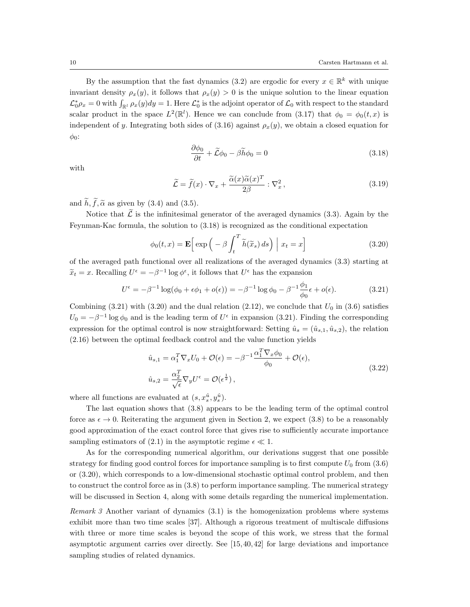By the assumption that the fast dynamics (3.2) are ergodic for every  $x \in \mathbb{R}^k$  with unique invariant density  $\rho_x(y)$ , it follows that  $\rho_x(y) > 0$  is the unique solution to the linear equation  $\mathcal{L}_0^*\rho_x = 0$  with  $\int_{\mathbb{R}^l} \rho_x(y) dy = 1$ . Here  $\mathcal{L}_0^*$  is the adjoint operator of  $\mathcal{L}_0$  with respect to the standard scalar product in the space  $L^2(\mathbb{R}^l)$ . Hence we can conclude from (3.17) that  $\phi_0 = \phi_0(t, x)$  is independent of *y*. Integrating both sides of (3.16) against  $\rho_x(y)$ , we obtain a closed equation for *φ*0:

$$
\frac{\partial \phi_0}{\partial t} + \widetilde{\mathcal{L}}\phi_0 - \beta \widetilde{h}\phi_0 = 0 \tag{3.18}
$$

with

$$
\widetilde{\mathcal{L}} = \widetilde{f}(x) \cdot \nabla_x + \frac{\widetilde{\alpha}(x)\widetilde{\alpha}(x)^T}{2\beta} : \nabla_x^2,
$$
\n(3.19)

and  $\widetilde{h}$ ,  $\widetilde{f}$ ,  $\widetilde{\alpha}$  as given by (3.4) and (3.5).

Notice that  $\tilde{\mathcal{L}}$  is the infinitesimal generator of the averaged dynamics (3.3). Again by the Feynman-Kac formula, the solution to (3.18) is recognized as the conditional expectation

$$
\phi_0(t,x) = \mathbf{E} \Big[ \exp \Big( -\beta \int_t^T \widetilde{h}(\widetilde{x}_s) \, ds \Big) \Big| \, x_t = x \Big] \tag{3.20}
$$

of the averaged path functional over all realizations of the averaged dynamics (3.3) starting at  $\widetilde{x}_t = x$ . Recalling  $U^{\epsilon} = -\beta^{-1} \log \phi^{\epsilon}$ , it follows that  $U^{\epsilon}$  has the expansion

$$
U^{\epsilon} = -\beta^{-1} \log(\phi_0 + \epsilon \phi_1 + o(\epsilon)) = -\beta^{-1} \log \phi_0 - \beta^{-1} \frac{\phi_1}{\phi_0} \epsilon + o(\epsilon).
$$
 (3.21)

Combining  $(3.21)$  with  $(3.20)$  and the dual relation  $(2.12)$ , we conclude that  $U_0$  in  $(3.6)$  satisfies  $U_0 = -\beta^{-1} \log \phi_0$  and is the leading term of  $U^{\epsilon}$  in expansion (3.21). Finding the corresponding expression for the optimal control is now straightforward: Setting  $\hat{u}_s = (\hat{u}_{s,1}, \hat{u}_{s,2})$ , the relation (2.16) between the optimal feedback control and the value function yields

$$
\hat{u}_{s,1} = \alpha_1^T \nabla_x U_0 + \mathcal{O}(\epsilon) = -\beta^{-1} \frac{\alpha_1^T \nabla_x \phi_0}{\phi_0} + \mathcal{O}(\epsilon),
$$
\n
$$
\hat{u}_{s,2} = \frac{\alpha_2^T}{\sqrt{\epsilon}} \nabla_y U^{\epsilon} = \mathcal{O}(\epsilon^{\frac{1}{2}}),
$$
\n(3.22)

where all functions are evaluated at  $(s, x_s^{\hat{u}}, y_s^{\hat{u}})$ .

The last equation shows that (3.8) appears to be the leading term of the optimal control force as  $\epsilon \to 0$ . Reiterating the argument given in Section 2, we expect (3.8) to be a reasonably good approximation of the exact control force that gives rise to sufficiently accurate importance sampling estimators of (2.1) in the asymptotic regime  $\epsilon \ll 1$ .

As for the corresponding numerical algorithm, our derivations suggest that one possible strategy for finding good control forces for importance sampling is to first compute  $U_0$  from  $(3.6)$ or (3.20), which corresponds to a low-dimensional stochastic optimal control problem, and then to construct the control force as in (3.8) to perform importance sampling. The numerical strategy will be discussed in Section 4, along with some details regarding the numerical implementation.

*Remark 3* Another variant of dynamics (3.1) is the homogenization problems where systems exhibit more than two time scales [37]. Although a rigorous treatment of multiscale diffusions with three or more time scales is beyond the scope of this work, we stress that the formal asymptotic argument carries over directly. See [15, 40, 42] for large deviations and importance sampling studies of related dynamics.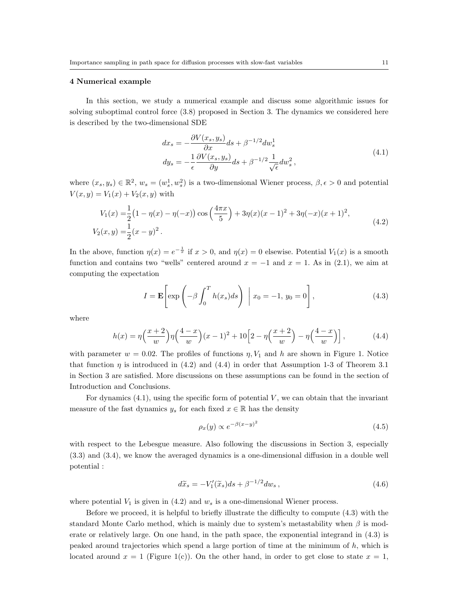#### **4 Numerical example**

In this section, we study a numerical example and discuss some algorithmic issues for solving suboptimal control force (3.8) proposed in Section 3. The dynamics we considered here is described by the two-dimensional SDE

$$
dx_s = -\frac{\partial V(x_s, y_s)}{\partial x} ds + \beta^{-1/2} dw_s^1
$$
  
\n
$$
dy_s = -\frac{1}{\epsilon} \frac{\partial V(x_s, y_s)}{\partial y} ds + \beta^{-1/2} \frac{1}{\sqrt{\epsilon}} dw_s^2,
$$
\n(4.1)

where  $(x_s, y_s) \in \mathbb{R}^2$ ,  $w_s = (w_s^1, w_s^2)$  is a two-dimensional Wiener process,  $\beta, \epsilon > 0$  and potential  $V(x, y) = V_1(x) + V_2(x, y)$  with

$$
V_1(x) = \frac{1}{2} (1 - \eta(x) - \eta(-x)) \cos\left(\frac{4\pi x}{5}\right) + 3\eta(x)(x - 1)^2 + 3\eta(-x)(x + 1)^2,
$$
  
\n
$$
V_2(x, y) = \frac{1}{2} (x - y)^2.
$$
\n(4.2)

In the above, function  $\eta(x) = e^{-\frac{1}{x}}$  if  $x > 0$ , and  $\eta(x) = 0$  elsewise. Potential  $V_1(x)$  is a smooth function and contains two "wells" centered around  $x = -1$  and  $x = 1$ . As in (2.1), we aim at computing the expectation

$$
I = \mathbf{E}\left[\exp\left(-\beta \int_0^T h(x_s)ds\right) \middle| x_0 = -1, y_0 = 0\right],\tag{4.3}
$$

where

$$
h(x) = \eta \left(\frac{x+2}{w}\right) \eta \left(\frac{4-x}{w}\right) (x-1)^2 + 10 \left[2 - \eta \left(\frac{x+2}{w}\right) - \eta \left(\frac{4-x}{w}\right)\right],
$$
 (4.4)

with parameter  $w = 0.02$ . The profiles of functions  $\eta$ ,  $V_1$  and  $h$  are shown in Figure 1. Notice that function  $\eta$  is introduced in (4.2) and (4.4) in order that Assumption 1-3 of Theorem 3.1 in Section 3 are satisfied. More discussions on these assumptions can be found in the section of Introduction and Conclusions.

For dynamics (4.1), using the specific form of potential *V* , we can obtain that the invariant measure of the fast dynamics  $y_s$  for each fixed  $x \in \mathbb{R}$  has the density

$$
\rho_x(y) \propto e^{-\beta(x-y)^2} \tag{4.5}
$$

with respect to the Lebesgue measure. Also following the discussions in Section 3, especially (3.3) and (3.4), we know the averaged dynamics is a one-dimensional diffusion in a double well potential :

$$
d\tilde{x}_s = -V_1'(\tilde{x}_s)ds + \beta^{-1/2}dw_s,
$$
\n(4.6)

where potential  $V_1$  is given in  $(4.2)$  and  $w_s$  is a one-dimensional Wiener process.

Before we proceed, it is helpful to briefly illustrate the difficulty to compute (4.3) with the standard Monte Carlo method, which is mainly due to system's metastability when *β* is moderate or relatively large. On one hand, in the path space, the exponential integrand in (4.3) is peaked around trajectories which spend a large portion of time at the minimum of *h*, which is located around  $x = 1$  (Figure 1(c)). On the other hand, in order to get close to state  $x = 1$ ,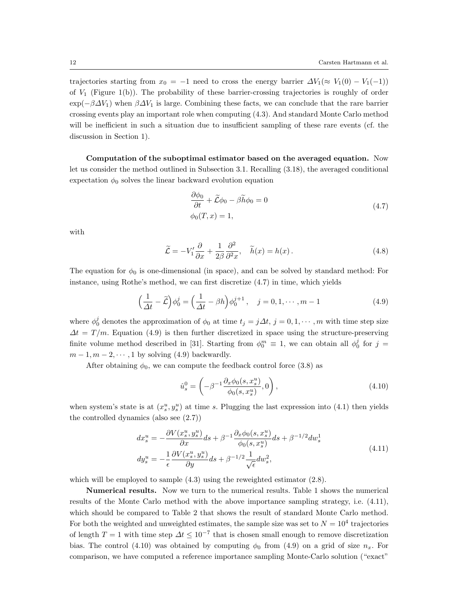trajectories starting from  $x_0 = -1$  need to cross the energy barrier  $\Delta V_1(\approx V_1(0) - V_1(-1))$ of *V*<sup>1</sup> (Figure 1(b)). The probability of these barrier-crossing trajectories is roughly of order  $\exp(-\beta \Delta V_1)$  when  $\beta \Delta V_1$  is large. Combining these facts, we can conclude that the rare barrier crossing events play an important role when computing (4.3). And standard Monte Carlo method will be inefficient in such a situation due to insufficient sampling of these rare events (cf. the discussion in Section 1).

**Computation of the suboptimal estimator based on the averaged equation.** Now let us consider the method outlined in Subsection 3.1. Recalling (3.18), the averaged conditional expectation  $\phi_0$  solves the linear backward evolution equation

$$
\frac{\partial \phi_0}{\partial t} + \widetilde{\mathcal{L}}\phi_0 - \beta \widetilde{h}\phi_0 = 0
$$
\n
$$
\phi_0(T, x) = 1,
$$
\n(4.7)

with

$$
\widetilde{\mathcal{L}} = -V_1' \frac{\partial}{\partial x} + \frac{1}{2\beta} \frac{\partial^2}{\partial x^2}, \quad \widetilde{h}(x) = h(x). \tag{4.8}
$$

The equation for  $\phi_0$  is one-dimensional (in space), and can be solved by standard method: For instance, using Rothe's method, we can first discretize (4.7) in time, which yields

$$
\left(\frac{1}{\Delta t} - \tilde{\mathcal{L}}\right)\phi_0^j = \left(\frac{1}{\Delta t} - \beta h\right)\phi_0^{j+1}, \quad j = 0, 1, \cdots, m-1
$$
\n(4.9)

where  $\phi_0^j$  denotes the approximation of  $\phi_0$  at time  $t_j = j\Delta t$ ,  $j = 0, 1, \dots, m$  with time step size  $\Delta t = T/m$ . Equation (4.9) is then further discretized in space using the structure-preserving finite volume method described in [31]. Starting from  $\phi_0^m \equiv 1$ , we can obtain all  $\phi_0^j$  for  $j =$  $m-1, m-2, \cdots, 1$  by solving (4.9) backwardly.

After obtaining  $\phi_0$ , we can compute the feedback control force (3.8) as

$$
\hat{u}_s^0 = \left( -\beta^{-1} \frac{\partial_x \phi_0(s, x_s^u)}{\phi_0(s, x_s^u)}, 0 \right),\tag{4.10}
$$

when system's state is at  $(x_s^u, y_s^u)$  at time *s*. Plugging the last expression into (4.1) then yields the controlled dynamics (also see (2.7))

$$
dx_s^u = -\frac{\partial V(x_s^u, y_s^u)}{\partial x} ds + \beta^{-1} \frac{\partial_x \phi_0(s, x_s^u)}{\phi_0(s, x_s^u)} ds + \beta^{-1/2} dw_s^1
$$
  
\n
$$
dy_s^u = -\frac{1}{\epsilon} \frac{\partial V(x_s^u, y_s^u)}{\partial y} ds + \beta^{-1/2} \frac{1}{\sqrt{\epsilon}} dw_s^2,
$$
\n(4.11)

which will be employed to sample  $(4.3)$  using the reweighted estimator  $(2.8)$ .

**Numerical results.** Now we turn to the numerical results. Table 1 shows the numerical results of the Monte Carlo method with the above importance sampling strategy, i.e. (4.11), which should be compared to Table 2 that shows the result of standard Monte Carlo method. For both the weighted and unweighted estimates, the sample size was set to  $N = 10^4$  trajectories of length  $T = 1$  with time step  $\Delta t \leq 10^{-7}$  that is chosen small enough to remove discretization bias. The control (4.10) was obtained by computing  $\phi_0$  from (4.9) on a grid of size  $n_x$ . For comparison, we have computed a reference importance sampling Monte-Carlo solution ("exact"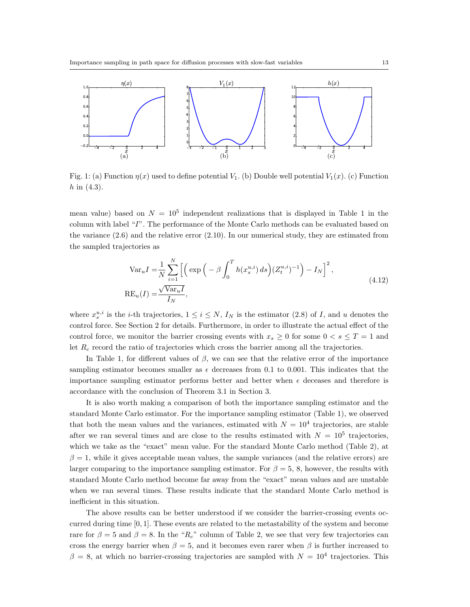

Fig. 1: (a) Function  $\eta(x)$  used to define potential  $V_1$ . (b) Double well potential  $V_1(x)$ . (c) Function *h* in (4.3).

mean value) based on  $N = 10^5$  independent realizations that is displayed in Table 1 in the column with label "*I*". The performance of the Monte Carlo methods can be evaluated based on the variance (2.6) and the relative error (2.10). In our numerical study, they are estimated from the sampled trajectories as

$$
\operatorname{Var}_u I = \frac{1}{N} \sum_{i=1}^N \left[ \left( \exp\left( -\beta \int_0^T h(x_s^{u,i}) ds \right) (Z_t^{u,i})^{-1} \right) - I_N \right]^2,
$$
  

$$
\operatorname{RE}_u(I) = \frac{\sqrt{\operatorname{Var}_u I}}{I_N},
$$
\n(4.12)

where  $x_s^{u,i}$  is the *i*-th trajectories,  $1 \le i \le N$ ,  $I_N$  is the estimator (2.8) of *I*, and *u* denotes the control force. See Section 2 for details. Furthermore, in order to illustrate the actual effect of the control force, we monitor the barrier crossing events with  $x_s \geq 0$  for some  $0 < s \leq T = 1$  and let *R<sup>c</sup>* record the ratio of trajectories which cross the barrier among all the trajectories.

In Table 1, for different values of  $\beta$ , we can see that the relative error of the importance sampling estimator becomes smaller as  $\epsilon$  decreases from 0.1 to 0.001. This indicates that the importance sampling estimator performs better and better when  $\epsilon$  deceases and therefore is accordance with the conclusion of Theorem 3.1 in Section 3.

It is also worth making a comparison of both the importance sampling estimator and the standard Monte Carlo estimator. For the importance sampling estimator (Table 1), we observed that both the mean values and the variances, estimated with  $N = 10^4$  trajectories, are stable after we ran several times and are close to the results estimated with  $N = 10^5$  trajectories, which we take as the "exact" mean value. For the standard Monte Carlo method (Table 2), at  $\beta = 1$ , while it gives acceptable mean values, the sample variances (and the relative errors) are larger comparing to the importance sampling estimator. For  $\beta = 5$ , 8, however, the results with standard Monte Carlo method become far away from the "exact" mean values and are unstable when we ran several times. These results indicate that the standard Monte Carlo method is inefficient in this situation.

The above results can be better understood if we consider the barrier-crossing events occurred during time [0*,* 1]. These events are related to the metastability of the system and become rare for  $\beta = 5$  and  $\beta = 8$ . In the "*R<sub>c</sub>*" column of Table 2, we see that very few trajectories can cross the energy barrier when  $\beta = 5$ , and it becomes even rarer when  $\beta$  is further increased to  $\beta = 8$ , at which no barrier-crossing trajectories are sampled with  $N = 10^4$  trajectories. This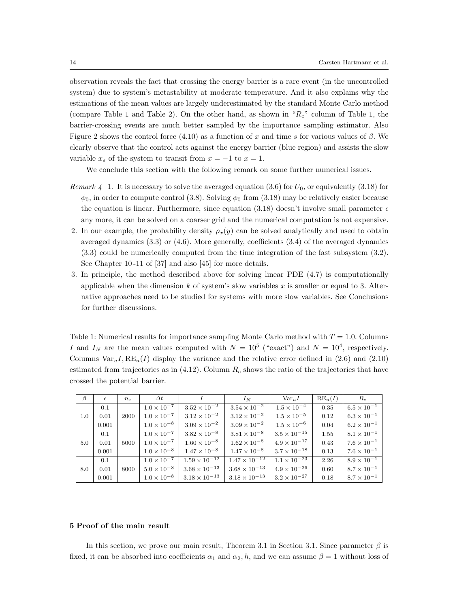observation reveals the fact that crossing the energy barrier is a rare event (in the uncontrolled system) due to system's metastability at moderate temperature. And it also explains why the estimations of the mean values are largely underestimated by the standard Monte Carlo method (compare Table 1 and Table 2). On the other hand, as shown in "*Rc*" column of Table 1, the barrier-crossing events are much better sampled by the importance sampling estimator. Also Figure 2 shows the control force  $(4.10)$  as a function of *x* and time *s* for various values of  $\beta$ . We clearly observe that the control acts against the energy barrier (blue region) and assists the slow variable  $x_s$  of the system to transit from  $x = -1$  to  $x = 1$ .

We conclude this section with the following remark on some further numerical issues.

- *Remark 4* 1. It is necessary to solve the averaged equation (3.6) for  $U_0$ , or equivalently (3.18) for  $\phi_0$ , in order to compute control (3.8). Solving  $\phi_0$  from (3.18) may be relatively easier because the equation is linear. Furthermore, since equation (3.18) doesn't involve small parameter  $\epsilon$ any more, it can be solved on a coarser grid and the numerical computation is not expensive.
- 2. In our example, the probability density  $\rho_x(y)$  can be solved analytically and used to obtain averaged dynamics (3.3) or (4.6). More generally, coefficients (3.4) of the averaged dynamics (3.3) could be numerically computed from the time integration of the fast subsystem (3.2). See Chapter 10 -11 of [37] and also [45] for more details.
- 3. In principle, the method described above for solving linear PDE (4.7) is computationally applicable when the dimension *k* of system's slow variables *x* is smaller or equal to 3. Alternative approaches need to be studied for systems with more slow variables. See Conclusions for further discussions.

Table 1: Numerical results for importance sampling Monte Carlo method with  $T = 1.0$ . Columns *I* and  $I_N$  are the mean values computed with  $N = 10^5$  ("exact") and  $N = 10^4$ , respectively. Columns  $Var_u I, RE_u(I)$  display the variance and the relative error defined in (2.6) and (2.10) estimated from trajectories as in (4.12). Column *R<sup>c</sup>* shows the ratio of the trajectories that have crossed the potential barrier.

| $\beta$ | $\epsilon$ | $n_x$ | $\Delta t$           |                        | $I_N$                  | $Var_{u}I$            | $RE_u(I)$ | $R_c$                |
|---------|------------|-------|----------------------|------------------------|------------------------|-----------------------|-----------|----------------------|
| 1.0     | 0.1        | 2000  | $1.0 \times 10^{-7}$ | $3.52 \times 10^{-2}$  | $3.54 \times 10^{-2}$  | $1.5 \times 10^{-4}$  | 0.35      | $6.5 \times 10^{-1}$ |
|         | 0.01       |       | $1.0 \times 10^{-7}$ | $3.12 \times 10^{-2}$  | $3.12 \times 10^{-2}$  | $1.5 \times 10^{-5}$  | 0.12      | $6.3 \times 10^{-1}$ |
|         | 0.001      |       | $1.0 \times 10^{-8}$ | $3.09 \times 10^{-2}$  | $3.09 \times 10^{-2}$  | $1.5 \times 10^{-6}$  | 0.04      | $6.2 \times 10^{-1}$ |
| 5.0     | 0.1        | 5000  | $1.0 \times 10^{-7}$ | $3.82 \times 10^{-8}$  | $3.81 \times 10^{-8}$  | $3.5 \times 10^{-15}$ | 1.55      | $8.1 \times 10^{-1}$ |
|         | 0.01       |       | $1.0 \times 10^{-7}$ | $1.60 \times 10^{-8}$  | $1.62 \times 10^{-8}$  | $4.9 \times 10^{-17}$ | 0.43      | $7.6 \times 10^{-1}$ |
|         | 0.001      |       | $1.0 \times 10^{-8}$ | $1.47 \times 10^{-8}$  | $1.47 \times 10^{-8}$  | $3.7 \times 10^{-18}$ | 0.13      | $7.6 \times 10^{-1}$ |
| 8.0     | 0.1        | 8000  | $1.0 \times 10^{-7}$ | $1.59 \times 10^{-12}$ | $1.47 \times 10^{-12}$ | $1.1 \times 10^{-23}$ | 2.26      | $8.9 \times 10^{-1}$ |
|         | 0.01       |       | $5.0 \times 10^{-8}$ | $3.68 \times 10^{-13}$ | $3.68 \times 10^{-13}$ | $4.9 \times 10^{-26}$ | 0.60      | $8.7 \times 10^{-1}$ |
|         | 0.001      |       | $1.0 \times 10^{-8}$ | $3.18 \times 10^{-13}$ | $3.18 \times 10^{-13}$ | $3.2 \times 10^{-27}$ | 0.18      | $8.7 \times 10^{-1}$ |

### **5 Proof of the main result**

In this section, we prove our main result, Theorem 3.1 in Section 3.1. Since parameter *β* is fixed, it can be absorbed into coefficients  $\alpha_1$  and  $\alpha_2$ , h, and we can assume  $\beta = 1$  without loss of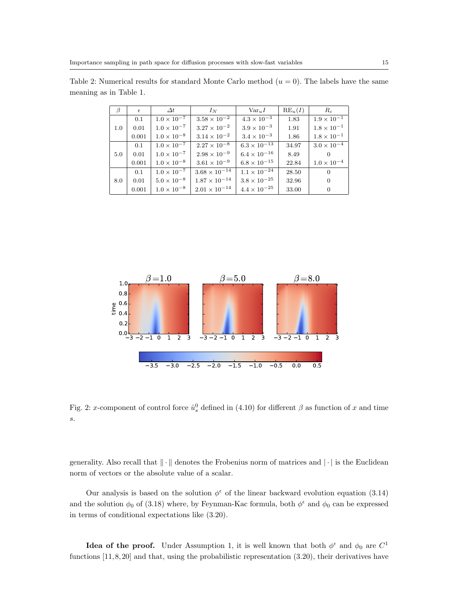| β   | $\epsilon$ | $\Delta t$           | $I_N$                  | $Var_{u}I$            | $RE_u(I)$ | $R_c$                |
|-----|------------|----------------------|------------------------|-----------------------|-----------|----------------------|
| 1.0 | 0.1        | $1.0 \times 10^{-7}$ | $3.58 \times 10^{-2}$  | $4.3 \times 10^{-3}$  | 1.83      | $1.9 \times 10^{-1}$ |
|     | 0.01       | $1.0 \times 10^{-7}$ | $3.27\times10^{-2}$    | $3.9\times10^{-3}$    | 1.91      | $1.8\times10^{-1}$   |
|     | 0.001      | $1.0 \times 10^{-8}$ | $3.14\times10^{-2}$    | $3.4 \times 10^{-3}$  | 1.86      | $1.8\times10^{-1}$   |
| 5.0 | 0.1        | $1.0 \times 10^{-7}$ | $2.27 \times 10^{-8}$  | $6.3 \times 10^{-13}$ | 34.97     | $3.0 \times 10^{-4}$ |
|     | 0.01       | $1.0\times10^{-7}$   | $2.98\times10^{-9}$    | $6.4 \times 10^{-16}$ | 8.49      |                      |
|     | 0.001      | $1.0\times10^{-8}$   | $3.61 \times 10^{-9}$  | $6.8\times10^{-15}$   | 22.84     | $1.0 \times 10^{-4}$ |
| 8.0 | 0.1        | $1.0 \times 10^{-7}$ | $3.68 \times 10^{-14}$ | $1.1 \times 10^{-24}$ | 28.50     | $\Omega$             |
|     | 0.01       | $5.0 \times 10^{-8}$ | $1.87\times10^{-14}$   | $3.8 \times 10^{-25}$ | 32.96     | $\overline{0}$       |
|     | 0.001      | $1.0 \times 10^{-8}$ | $2.01\times10^{-14}$   | $4.4 \times 10^{-25}$ | 33.00     | $\overline{0}$       |

Table 2: Numerical results for standard Monte Carlo method  $(u = 0)$ . The labels have the same meaning as in Table 1.



Fig. 2: *x*-component of control force  $\hat{u}_s^0$  defined in (4.10) for different  $\beta$  as function of *x* and time *s*.

generality. Also recall that  $\|\cdot\|$  denotes the Frobenius norm of matrices and  $|\cdot|$  is the Euclidean norm of vectors or the absolute value of a scalar.

Our analysis is based on the solution  $\phi^{\epsilon}$  of the linear backward evolution equation (3.14) and the solution  $\phi_0$  of (3.18) where, by Feynman-Kac formula, both  $\phi^{\epsilon}$  and  $\phi_0$  can be expressed in terms of conditional expectations like (3.20).

**Idea of the proof.** Under Assumption 1, it is well known that both  $\phi^{\epsilon}$  and  $\phi_0$  are  $C^1$ functions  $[11, 8, 20]$  and that, using the probabilistic representation  $(3.20)$ , their derivatives have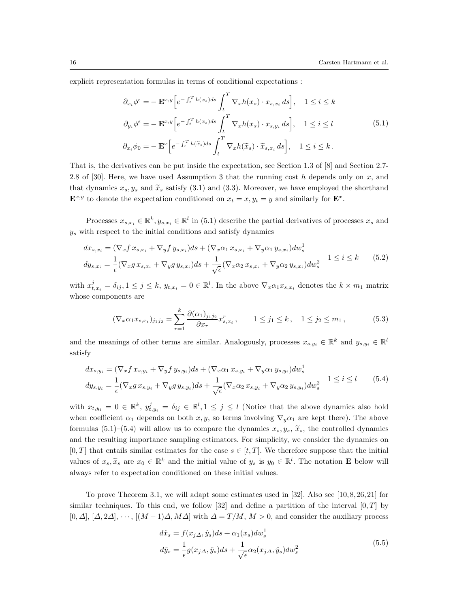explicit representation formulas in terms of conditional expectations :

$$
\partial_{x_i} \phi^{\epsilon} = -\mathbf{E}^{x,y} \Big[ e^{-\int_t^T h(x_s) ds} \int_t^T \nabla_x h(x_s) \cdot x_{s,x_i} ds \Big], \quad 1 \le i \le k
$$
  

$$
\partial_{y_i} \phi^{\epsilon} = -\mathbf{E}^{x,y} \Big[ e^{-\int_t^T h(x_s) ds} \int_t^T \nabla_x h(x_s) \cdot x_{s,y_i} ds \Big], \quad 1 \le i \le l
$$
  

$$
\partial_{x_i} \phi_0 = -\mathbf{E}^x \Big[ e^{-\int_t^T h(\tilde{x}_s) ds} \int_t^T \nabla_x h(\tilde{x}_s) \cdot \tilde{x}_{s,x_i} ds \Big], \quad 1 \le i \le k.
$$
  
(5.1)

That is, the derivatives can be put inside the expectation, see Section 1.3 of [8] and Section 2.7- 2.8 of [30]. Here, we have used Assumption 3 that the running cost *h* depends only on *x*, and that dynamics  $x_s, y_s$  and  $\tilde{x}_s$  satisfy (3.1) and (3.3). Moreover, we have employed the shorthand  $\mathbf{E}^{x,y}$  to denote the expectation conditioned on  $x_t = x, y_t = y$  and similarly for  $\mathbf{E}^x$ .

Processes  $x_{s,x_i} \in \mathbb{R}^k$ ,  $y_{s,x_i} \in \mathbb{R}^l$  in (5.1) describe the partial derivatives of processes  $x_s$  and *y<sup>s</sup>* with respect to the initial conditions and satisfy dynamics

$$
dx_{s,x_i} = (\nabla_x f x_{s,x_i} + \nabla_y f y_{s,x_i}) ds + (\nabla_x \alpha_1 x_{s,x_i} + \nabla_y \alpha_1 y_{s,x_i}) dw_s^1
$$
  
\n
$$
dy_{s,x_i} = \frac{1}{\epsilon} (\nabla_x g x_{s,x_i} + \nabla_y g y_{s,x_i}) ds + \frac{1}{\sqrt{\epsilon}} (\nabla_x \alpha_2 x_{s,x_i} + \nabla_y \alpha_2 y_{s,x_i}) dw_s^2 \qquad 1 \le i \le k \qquad (5.2)
$$

with  $x_{t,x_i}^j = \delta_{ij}, 1 \leq j \leq k$ ,  $y_{t,x_i} = 0 \in \mathbb{R}^l$ . In the above  $\nabla_x \alpha_1 x_{s,x_i}$  denotes the  $k \times m_1$  matrix whose components are

$$
(\nabla_x \alpha_1 x_{s,x_i})_{j_1 j_2} = \sum_{r=1}^k \frac{\partial (\alpha_1)_{j_1 j_2}}{\partial x_r} x_{s,x_i}^r, \qquad 1 \le j_1 \le k, \quad 1 \le j_2 \le m_1,
$$
 (5.3)

and the meanings of other terms are similar. Analogously, processes  $x_{s,y_i} \in \mathbb{R}^k$  and  $y_{s,y_i} \in \mathbb{R}^l$ satisfy

$$
dx_{s,y_i} = (\nabla_x f x_{s,y_i} + \nabla_y f y_{s,y_i}) ds + (\nabla_x \alpha_1 x_{s,y_i} + \nabla_y \alpha_1 y_{s,y_i}) dw_s^1
$$
  
\n
$$
dy_{s,y_i} = \frac{1}{\epsilon} (\nabla_x g x_{s,y_i} + \nabla_y g y_{s,y_i}) ds + \frac{1}{\sqrt{\epsilon}} (\nabla_x \alpha_2 x_{s,y_i} + \nabla_y \alpha_2 y_{s,y_i}) dw_s^2 \qquad 1 \le i \le l \qquad (5.4)
$$

with  $x_{t,y_i} = 0 \in \mathbb{R}^k$ ,  $y_{t,y_i}^j = \delta_{ij} \in \mathbb{R}^l, 1 \leq j \leq l$  (Notice that the above dynamics also hold when coefficient  $\alpha_1$  depends on both *x, y,* so terms involving  $\nabla_y \alpha_1$  are kept there). The above formulas (5.1)–(5.4) will allow us to compare the dynamics  $x_s, y_s, \tilde{x}_s$ , the controlled dynamics and the resulting importance sampling estimators. For simplicity, we consider the dynamics on  $[0, T]$  that entails similar estimates for the case  $s \in [t, T]$ . We therefore suppose that the initial values of  $x_s$ ,  $\tilde{x}_s$  are  $x_0 \in \mathbb{R}^k$  and the initial value of  $y_s$  is  $y_0 \in \mathbb{R}^l$ . The notation **E** below will always refer to expectation conditioned on these initial values.

To prove Theorem 3.1, we will adapt some estimates used in [32]. Also see [10, 8, 26, 21] for similar techniques. To this end, we follow [32] and define a partition of the interval [0*, T*] by [0*, ∆*], [*∆,* 2*∆*], *· · ·* , [(*M −* 1)*∆, M∆*] with *∆* = *T /M*, *M >* 0, and consider the auxiliary process

$$
d\hat{x}_s = f(x_{j\Delta}, \hat{y}_s)ds + \alpha_1(x_s)dw_s^1
$$
  
\n
$$
d\hat{y}_s = \frac{1}{\epsilon}g(x_{j\Delta}, \hat{y}_s)ds + \frac{1}{\sqrt{\epsilon}}\alpha_2(x_{j\Delta}, \hat{y}_s)dw_s^2
$$
\n(5.5)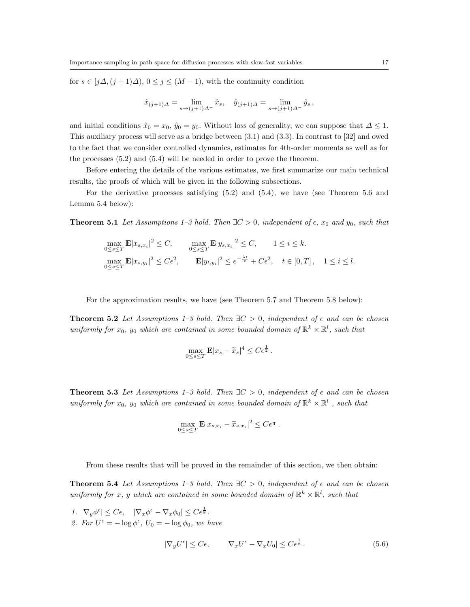for  $s \in [j\Delta, (j+1)\Delta), 0 \leq j \leq (M-1)$ , with the continuity condition

$$
\hat{x}_{(j+1)\Delta} = \lim_{s \to (j+1)\Delta^{-}} \hat{x}_s, \quad \hat{y}_{(j+1)\Delta} = \lim_{s \to (j+1)\Delta^{-}} \hat{y}_s,
$$

and initial conditions  $\hat{x}_0 = x_0$ ,  $\hat{y}_0 = y_0$ . Without loss of generality, we can suppose that  $\Delta \leq 1$ . This auxiliary process will serve as a bridge between (3.1) and (3.3). In contrast to [32] and owed to the fact that we consider controlled dynamics, estimates for 4th-order moments as well as for the processes (5.2) and (5.4) will be needed in order to prove the theorem.

Before entering the details of the various estimates, we first summarize our main technical results, the proofs of which will be given in the following subsections.

For the derivative processes satisfying (5.2) and (5.4), we have (see Theorem 5.6 and Lemma 5.4 below):

**Theorem 5.1** *Let Assumptions 1–3 hold. Then*  $\exists C > 0$ *, independent of*  $\epsilon$ *,*  $x_0$  *and*  $y_0$ *, such that* 

$$
\max_{0 \le s \le T} \mathbf{E} |x_{s,x_i}|^2 \le C, \qquad \max_{0 \le s \le T} \mathbf{E} |y_{s,x_i}|^2 \le C, \qquad 1 \le i \le k.
$$
  

$$
\max_{0 \le s \le T} \mathbf{E} |x_{s,y_i}|^2 \le C\epsilon^2, \qquad \mathbf{E} |y_{t,y_i}|^2 \le e^{-\frac{\lambda t}{\epsilon}} + C\epsilon^2, \quad t \in [0,T], \quad 1 \le i \le l.
$$

For the approximation results, we have (see Theorem 5.7 and Theorem 5.8 below):

**Theorem 5.2** *Let Assumptions 1–3 hold. Then*  $\exists C > 0$ *, independent of*  $\epsilon$  *and can be chosen uniformly for*  $x_0$ ,  $y_0$  *which are contained in some bounded domain of*  $\mathbb{R}^k \times \mathbb{R}^l$ , *such that* 

$$
\max_{0 \le s \le T} \mathbf{E} |x_s - \widetilde{x}_s|^4 \le C \epsilon^{\frac{1}{2}}.
$$

**Theorem 5.3** *Let Assumptions 1–3 hold. Then*  $\exists C > 0$ *, independent of*  $\epsilon$  *and can be chosen uniformly for*  $x_0$ ,  $y_0$  *which are contained in some bounded domain of*  $\mathbb{R}^k \times \mathbb{R}^l$ , *such that* 

$$
\max_{0 \le s \le T} \mathbf{E} |x_{s,x_i} - \widetilde{x}_{s,x_i}|^2 \le C\epsilon^{\frac{1}{4}}.
$$

From these results that will be proved in the remainder of this section, we then obtain:

**Theorem 5.4** *Let Assumptions 1–3 hold. Then*  $\exists C > 0$ *, independent of*  $\epsilon$  *and can be chosen uniformly for x*, *y which are contained in some bounded domain of*  $\mathbb{R}^k \times \mathbb{R}^l$ , *such that* 

*1.*  $|\nabla_y \phi^{\epsilon}| \leq C\epsilon$ ,  $|\nabla_x \phi^{\epsilon} - \nabla_x \phi_0| \leq C\epsilon^{\frac{1}{8}}$ . 2. For  $U^{\epsilon} = -\log \phi^{\epsilon}$ ,  $U_0 = -\log \phi_0$ , we have

$$
|\nabla_y U^{\epsilon}| \le C\epsilon, \qquad |\nabla_x U^{\epsilon} - \nabla_x U_0| \le C\epsilon^{\frac{1}{8}}.
$$
\n(5.6)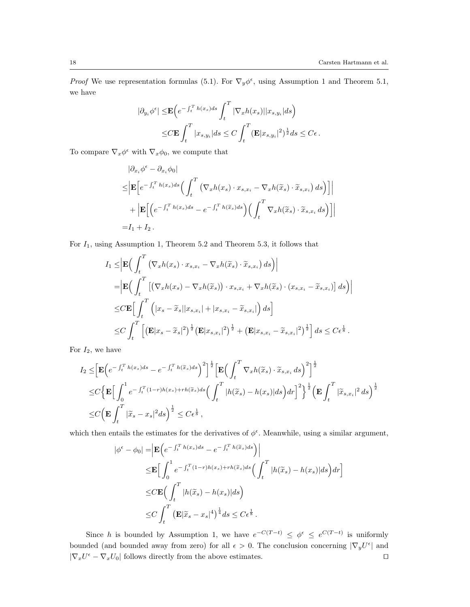*Proof* We use representation formulas (5.1). For  $\nabla_y \phi^{\epsilon}$ , using Assumption 1 and Theorem 5.1, we have

$$
|\partial_{y_i} \phi^{\epsilon}| \le \mathbf{E} \Big( e^{-\int_t^T h(x_s) ds} \int_t^T |\nabla_x h(x_s)| |x_{s,y_i}| ds \Big)
$$
  

$$
\le C \mathbf{E} \int_t^T |x_{s,y_i}| ds \le C \int_t^T (\mathbf{E} |x_{s,y_i}|^2)^{\frac{1}{2}} ds \le C\epsilon.
$$

To compare  $\nabla_x \phi^{\epsilon}$  with  $\nabla_x \phi_0$ , we compute that

$$
\begin{split} & |\partial_{x_i} \phi^{\epsilon} - \partial_{x_i} \phi_0| \\ &\leq \Big| \mathbf{E} \Big[ e^{-\int_t^T h(x_s) ds} \Big( \int_t^T \left( \nabla_x h(x_s) \cdot x_{s, x_i} - \nabla_x h(\widetilde{x}_s) \cdot \widetilde{x}_{s, x_i} \right) ds \Big) \Big] \Big| \\ &+ \Big| \mathbf{E} \Big[ \Big( e^{-\int_t^T h(x_s) ds} - e^{-\int_t^T h(\widetilde{x}_s) ds} \Big) \Big( \int_t^T \nabla_x h(\widetilde{x}_s) \cdot \widetilde{x}_{s, x_i} \, ds \Big) \Big] \Big| \\ &= I_1 + I_2 \,. \end{split}
$$

For *I*1, using Assumption 1, Theorem 5.2 and Theorem 5.3, it follows that

$$
I_{1} \leq \left| \mathbf{E} \Big( \int_{t}^{T} \left( \nabla_{x} h(x_{s}) \cdot x_{s,x_{i}} - \nabla_{x} h(\widetilde{x}_{s}) \cdot \widetilde{x}_{s,x_{i}} \right) ds \Big) \right|
$$
  
\n
$$
= \left| \mathbf{E} \Big( \int_{t}^{T} \left[ \left( \nabla_{x} h(x_{s}) - \nabla_{x} h(\widetilde{x}_{s}) \right) \cdot x_{s,x_{i}} + \nabla_{x} h(\widetilde{x}_{s}) \cdot (x_{s,x_{i}} - \widetilde{x}_{s,x_{i}}) \right] ds \Big) \right|
$$
  
\n
$$
\leq C \mathbf{E} \Big[ \int_{t}^{T} \left( |x_{s} - \widetilde{x}_{s}| |x_{s,x_{i}}| + |x_{s,x_{i}} - \widetilde{x}_{s,x_{i}}| \right) ds \Big]
$$
  
\n
$$
\leq C \int_{t}^{T} \left[ \left( \mathbf{E} |x_{s} - \widetilde{x}_{s}|^{2} \right)^{\frac{1}{2}} \left( \mathbf{E} |x_{s,x_{i}}|^{2} \right)^{\frac{1}{2}} + \left( \mathbf{E} |x_{s,x_{i}} - \widetilde{x}_{s,x_{i}}|^{2} \right)^{\frac{1}{2}} \right] ds \leq C \epsilon^{\frac{1}{8}}.
$$

For *I*2, we have

$$
I_2 \leq \left[\mathbf{E}\left(e^{-\int_t^T h(x_s)ds} - e^{-\int_t^T h(\widetilde{x}_s)ds}\right)^2\right]^{\frac{1}{2}} \left[\mathbf{E}\left(\int_t^T \nabla_x h(\widetilde{x}_s) \cdot \widetilde{x}_{s,x_i} ds\right)^2\right]^{\frac{1}{2}}
$$
  
\n
$$
\leq C \left\{\mathbf{E}\left[\int_0^1 e^{-\int_t^T (1-r)h(x_s) + rh(\widetilde{x}_s)ds} \left(\int_t^T |h(\widetilde{x}_s) - h(x_s)|ds\right) dr\right]^2\right\}^{\frac{1}{2}} \left(\mathbf{E}\int_t^T |\widetilde{x}_{s,x_i}|^2 ds\right)^{\frac{1}{2}}
$$
  
\n
$$
\leq C \left(\mathbf{E}\int_t^T |\widetilde{x}_s - x_s|^2 ds\right)^{\frac{1}{2}} \leq C\epsilon^{\frac{1}{8}},
$$

which then entails the estimates for the derivatives of  $\phi^{\epsilon}$ . Meanwhile, using a similar argument,

$$
\begin{split} |\phi^{\epsilon} - \phi_0| &= \left| \mathbf{E} \left( e^{-\int_t^T h(x_s) ds} - e^{-\int_t^T h(\widetilde{x}_s) ds} \right) \right| \\ &\leq \mathbf{E} \Big[ \int_0^1 e^{-\int_t^T (1-r)h(x_s) + rh(\widetilde{x}_s) ds} \Big( \int_t^T |h(\widetilde{x}_s) - h(x_s)| ds \Big) dr \Big] \\ &\leq C \mathbf{E} \Big( \int_t^T |h(\widetilde{x}_s) - h(x_s)| ds \Big) \\ &\leq C \int_t^T \left( \mathbf{E} |\widetilde{x}_s - x_s|^4 \right)^{\frac{1}{4}} ds \leq C \epsilon^{\frac{1}{8}} \,. \end{split}
$$

Since *h* is bounded by Assumption 1, we have  $e^{-C(T-t)} \leq \phi^{\epsilon} \leq e^{C(T-t)}$  is uniformly bounded (and bounded away from zero) for all  $\epsilon > 0$ . The conclusion concerning  $|\nabla_y U^{\epsilon}|$  and  $|\nabla_x U^{\epsilon} - \nabla_x U_0|$  follows directly from the above estimates.  $\square$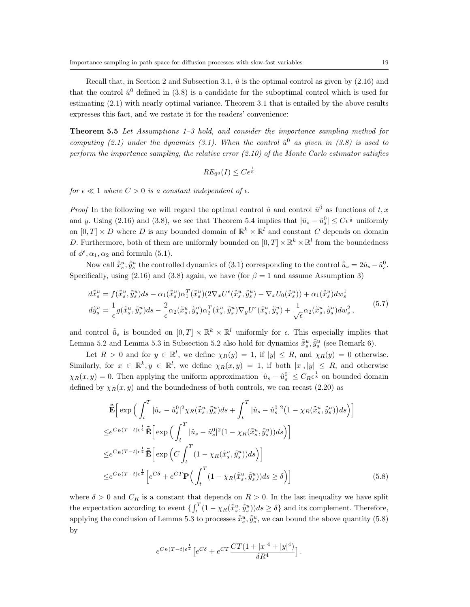Recall that, in Section 2 and Subsection 3.1,  $\hat{u}$  is the optimal control as given by  $(2.16)$  and that the control  $\hat{u}^0$  defined in (3.8) is a candidate for the suboptimal control which is used for estimating (2.1) with nearly optimal variance. Theorem 3.1 that is entailed by the above results expresses this fact, and we restate it for the readers' convenience:

**Theorem 5.5** *Let Assumptions 1–3 hold, and consider the importance sampling method for computing (2.1) under the dynamics (3.1). When the control*  $\hat{u}^0$  *as given in (3.8) is used to perform the importance sampling, the relative error (2.10) of the Monte Carlo estimator satisfies*

$$
RE_{\hat{u}^0}(I) \leq C\epsilon^{\frac{1}{8}}
$$

*for*  $\epsilon \ll 1$  *where*  $C > 0$  *is a constant independent of*  $\epsilon$ *.* 

*Proof* In the following we will regard the optimal control  $\hat{u}$  and control  $\hat{u}^0$  as functions of  $t, x$ and *y*. Using (2.16) and (3.8), we see that Theorem 5.4 implies that  $|\hat{u}_s - \hat{u}_s^0| \leq C\epsilon^{\frac{1}{8}}$  uniformly on  $[0, T] \times D$  where D is any bounded domain of  $\mathbb{R}^k \times \mathbb{R}^l$  and constant C depends on domain *D*. Furthermore, both of them are uniformly bounded on  $[0, T] \times \mathbb{R}^k \times \mathbb{R}^l$  from the boundedness of  $\phi^{\epsilon}$ ,  $\alpha_1$ ,  $\alpha_2$  and formula (5.1).

Now call  $\tilde{x}_s^u$ ,  $\tilde{y}_s^u$  the controlled dynamics of (3.1) corresponding to the control  $\tilde{u}_s = 2\hat{u}_s - \hat{u}_s^0$ . Specifically, using (2.16) and (3.8) again, we have (for  $\beta = 1$  and assume Assumption 3)

$$
d\tilde{\bar{x}}_s^u = f(\tilde{\bar{x}}_s^u, \tilde{\bar{y}}_s^u)ds - \alpha_1(\tilde{\bar{x}}_s^u)\alpha_1^T(\tilde{\bar{x}}_s^u)(2\nabla_x U^{\epsilon}(\tilde{\bar{x}}_s^u, \tilde{\bar{y}}_s^u) - \nabla_x U_0(\tilde{\bar{x}}_s^u)) + \alpha_1(\tilde{\bar{x}}_s^u)dw_s^1
$$
  
\n
$$
d\tilde{\bar{y}}_s^u = \frac{1}{\epsilon}g(\tilde{\bar{x}}_s^u, \tilde{\bar{y}}_s^u)ds - \frac{2}{\epsilon}\alpha_2(\tilde{\bar{x}}_s^u, \tilde{\bar{y}}_s^u)\alpha_2^T(\tilde{\bar{x}}_s^u, \tilde{\bar{y}}_s^u)\nabla_y U^{\epsilon}(\tilde{\bar{x}}_s^u, \tilde{\bar{y}}_s^u) + \frac{1}{\sqrt{\epsilon}}\alpha_2(\tilde{\bar{x}}_s^u, \tilde{\bar{y}}_s^u)dw_s^2,
$$
\n
$$
(5.7)
$$

and control  $\tilde{u}_s$  is bounded on  $[0,T] \times \mathbb{R}^k \times \mathbb{R}^l$  uniformly for  $\epsilon$ . This especially implies that Lemma 5.2 and Lemma 5.3 in Subsection 5.2 also hold for dynamics  $\tilde{\tilde{x}}_s^u, \tilde{\tilde{y}}_s^u$  (see Remark 6).

Let  $R > 0$  and for  $y \in \mathbb{R}^l$ , we define  $\chi_R(y) = 1$ , if  $|y| \leq R$ , and  $\chi_R(y) = 0$  otherwise. Similarly, for  $x \in \mathbb{R}^k, y \in \mathbb{R}^l$ , we define  $\chi_R(x, y) = 1$ , if both  $|x|, |y| \leq R$ , and otherwise  $\chi_R(x, y) = 0$ . Then applying the uniform approximation  $|\hat{u}_s - \hat{u}_s^0| \leq C_R \epsilon^{\frac{1}{8}}$  on bounded domain defined by  $\chi_R(x, y)$  and the boundedness of both controls, we can recast (2.20) as

$$
\tilde{\mathbf{E}}\Big[\exp\Big(\int_{t}^{T}|\hat{u}_{s}-\hat{u}_{s}^{0}|^{2}\chi_{R}(\tilde{\bar{x}}_{s}^{u},\tilde{\bar{y}}_{s}^{u})ds+\int_{t}^{T}|\hat{u}_{s}-\hat{u}_{s}^{0}|^{2}\big(1-\chi_{R}(\tilde{\bar{x}}_{s}^{u},\tilde{\bar{y}}_{s}^{u})\big)ds\Big)\Big]
$$
\n
$$
\leq e^{C_{R}(T-t)\epsilon^{\frac{1}{4}}}\tilde{\mathbf{E}}\Big[\exp\Big(\int_{t}^{T}|\hat{u}_{s}-\hat{u}_{s}^{0}|^{2}\big(1-\chi_{R}(\tilde{\bar{x}}_{s}^{u},\tilde{\bar{y}}_{s}^{u})\big)ds\Big)\Big]
$$
\n
$$
\leq e^{C_{R}(T-t)\epsilon^{\frac{1}{4}}}\tilde{\mathbf{E}}\Big[\exp\Big(C\int_{t}^{T}\big(1-\chi_{R}(\tilde{\bar{x}}_{s}^{u},\tilde{\bar{y}}_{s}^{u})\big)ds\Big)\Big]
$$
\n
$$
\leq e^{C_{R}(T-t)\epsilon^{\frac{1}{4}}}\Big[e^{C\delta}+e^{CT}\mathbf{P}\Big(\int_{t}^{T}\big(1-\chi_{R}(\tilde{\bar{x}}_{s}^{u},\tilde{\bar{y}}_{s}^{u})\big)ds\geq\delta\Big)\Big]
$$
\n(5.8)

where  $\delta > 0$  and  $C_R$  is a constant that depends on  $R > 0$ . In the last inequality we have split the expectation according to event  $\{\int_t^T (1 - \chi_R(\tilde{x}_s^u, \tilde{y}_s^u)) ds \ge \delta\}$  and its complement. Therefore, applying the conclusion of Lemma 5.3 to processes  $\tilde{x}_s^u, \tilde{y}_s^u$ , we can bound the above quantity (5.8) by

$$
e^{C_R(T-t)\epsilon^{\frac{1}{4}}}\left[e^{C\delta} + e^{CT}\frac{CT(1+|x|^4+|y|^4)}{\delta R^4}\right].
$$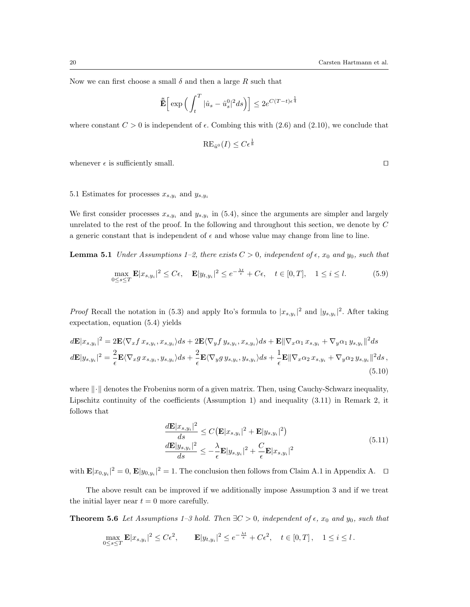Now we can first choose a small  $\delta$  and then a large  $R$  such that

$$
\tilde{\bar{\mathbf{E}}}\Big[\exp\Big(\int_t^T|\hat{u}_s-\hat{u}_s^0|^2ds\Big)\Big]\leq 2e^{C(T-t)\epsilon^{\frac{1}{4}}}
$$

where constant  $C > 0$  is independent of  $\epsilon$ . Combing this with (2.6) and (2.10), we conclude that

$$
\mathrm{RE}_{\hat{u}^0}(I) \le C\epsilon^{\frac{1}{8}}
$$

whenever  $\epsilon$  is sufficiently small.  $\square$ 

# 5.1 Estimates for processes  $x_{s,y_i}$  and  $y_{s,y_i}$

We first consider processes  $x_{s,y_i}$  and  $y_{s,y_i}$  in (5.4), since the arguments are simpler and largely unrelated to the rest of the proof. In the following and throughout this section, we denote by *C* a generic constant that is independent of  $\epsilon$  and whose value may change from line to line.

**Lemma 5.1** *Under Assumptions 1–2, there exists*  $C > 0$ *, independent of*  $\epsilon$ *,*  $x_0$  *and*  $y_0$ *, such that* 

$$
\max_{0 \le s \le T} \mathbf{E} |x_{s,y_i}|^2 \le C\epsilon, \quad \mathbf{E} |y_{t,y_i}|^2 \le e^{-\frac{\lambda t}{\epsilon}} + C\epsilon, \quad t \in [0, T], \quad 1 \le i \le l. \tag{5.9}
$$

*Proof* Recall the notation in (5.3) and apply Ito's formula to  $|x_{s,y_i}|^2$  and  $|y_{s,y_i}|^2$ . After taking expectation, equation (5.4) yields

$$
d\mathbf{E}|x_{s,y_i}|^2 = 2\mathbf{E}\langle \nabla_x f x_{s,y_i}, x_{s,y_i} \rangle ds + 2\mathbf{E}\langle \nabla_y f y_{s,y_i}, x_{s,y_i} \rangle ds + \mathbf{E}\|\nabla_x \alpha_1 x_{s,y_i} + \nabla_y \alpha_1 y_{s,y_i}\|^2 ds
$$
  
\n
$$
d\mathbf{E}|y_{s,y_i}|^2 = \frac{2}{\epsilon} \mathbf{E}\langle \nabla_x g x_{s,y_i}, y_{s,y_i} \rangle ds + \frac{2}{\epsilon} \mathbf{E}\langle \nabla_y g y_{s,y_i}, y_{s,y_i} \rangle ds + \frac{1}{\epsilon} \mathbf{E}\|\nabla_x \alpha_2 x_{s,y_i} + \nabla_y \alpha_2 y_{s,y_i}\|^2 ds,
$$
\n(5.10)

where  $\|\cdot\|$  denotes the Frobenius norm of a given matrix. Then, using Cauchy-Schwarz inequality, Lipschitz continuity of the coefficients (Assumption 1) and inequality (3.11) in Remark 2, it follows that

$$
\frac{d\mathbf{E}|x_{s,y_i}|^2}{ds} \le C\left(\mathbf{E}|x_{s,y_i}|^2 + \mathbf{E}|y_{s,y_i}|^2\right)
$$
\n
$$
\frac{d\mathbf{E}|y_{s,y_i}|^2}{ds} \le -\frac{\lambda}{\epsilon} \mathbf{E}|y_{s,y_i}|^2 + \frac{C}{\epsilon} \mathbf{E}|x_{s,y_i}|^2
$$
\n(5.11)

with  $\mathbf{E}|x_{0,y_i}|^2 = 0$ ,  $\mathbf{E}|y_{0,y_i}|^2 = 1$ . The conclusion then follows from Claim A.1 in Appendix A.  $\Box$ 

The above result can be improved if we additionally impose Assumption 3 and if we treat the initial layer near  $t = 0$  more carefully.

**Theorem 5.6** *Let Assumptions 1–3 hold. Then*  $\exists C > 0$ *, independent of*  $\epsilon$ *,*  $x_0$  *and*  $y_0$ *, such that* 

$$
\max_{0 \le s \le T} \mathbf{E} |x_{s,y_i}|^2 \le C\epsilon^2, \qquad \mathbf{E} |y_{t,y_i}|^2 \le e^{-\frac{\lambda t}{\epsilon}} + C\epsilon^2, \quad t \in [0, T], \quad 1 \le i \le l.
$$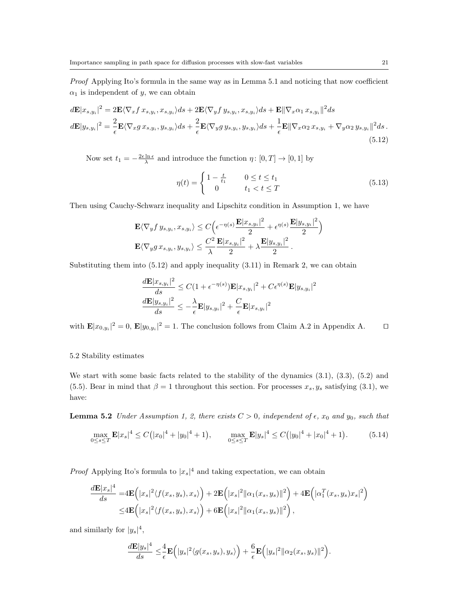*Proof* Applying Ito's formula in the same way as in Lemma 5.1 and noticing that now coefficient  $\alpha_1$  is independent of *y*, we can obtain

$$
d\mathbf{E}|x_{s,y_i}|^2 = 2\mathbf{E}\langle \nabla_x f x_{s,y_i}, x_{s,y_i} \rangle ds + 2\mathbf{E}\langle \nabla_y f y_{s,y_i}, x_{s,y_i} \rangle ds + \mathbf{E}\|\nabla_x \alpha_1 x_{s,y_i}\|^2 ds
$$
  
\n
$$
d\mathbf{E}|y_{s,y_i}|^2 = \frac{2}{\epsilon} \mathbf{E}\langle \nabla_x g x_{s,y_i}, y_{s,y_i} \rangle ds + \frac{2}{\epsilon} \mathbf{E}\langle \nabla_y g y_{s,y_i}, y_{s,y_i} \rangle ds + \frac{1}{\epsilon} \mathbf{E}\|\nabla_x \alpha_2 x_{s,y_i} + \nabla_y \alpha_2 y_{s,y_i}\|^2 ds.
$$
\n(5.12)

Now set  $t_1 = -\frac{2\epsilon \ln \epsilon}{\lambda}$  and introduce the function  $\eta \colon [0, T] \to [0, 1]$  by

$$
\eta(t) = \begin{cases} 1 - \frac{t}{t_1} & 0 \le t \le t_1 \\ 0 & t_1 < t \le T \end{cases}
$$
\n(5.13)

Then using Cauchy-Schwarz inequality and Lipschitz condition in Assumption 1, we have

$$
\mathbf{E}\langle \nabla_y f \, y_{s,y_i}, x_{s,y_i} \rangle \le C \Big( \epsilon^{-\eta(s)} \frac{\mathbf{E}|x_{s,y_i}|^2}{2} + \epsilon^{\eta(s)} \frac{\mathbf{E}|y_{s,y_i}|^2}{2} \Big)
$$
  

$$
\mathbf{E}\langle \nabla_y g \, x_{s,y_i}, y_{s,y_i} \rangle \le \frac{C^2}{\lambda} \frac{\mathbf{E}|x_{s,y_i}|^2}{2} + \lambda \frac{\mathbf{E}|y_{s,y_i}|^2}{2}.
$$

Substituting them into (5.12) and apply inequality (3.11) in Remark 2, we can obtain

$$
\frac{d\mathbf{E}|x_{s,y_i}|^2}{ds} \leq C(1+\epsilon^{-\eta(s)})\mathbf{E}|x_{s,y_i}|^2 + C\epsilon^{\eta(s)}\mathbf{E}|y_{s,y_i}|^2
$$

$$
\frac{d\mathbf{E}|y_{s,y_i}|^2}{ds} \leq -\frac{\lambda}{\epsilon}\mathbf{E}|y_{s,y_i}|^2 + \frac{C}{\epsilon}\mathbf{E}|x_{s,y_i}|^2
$$

with  $\mathbf{E}|x_{0,y_i}|^2 = 0$ ,  $\mathbf{E}|y_{0,y_i}|^2 = 1$ . The conclusion follows from Claim A.2 in Appendix A.  $\Box$ 

5.2 Stability estimates

We start with some basic facts related to the stability of the dynamics (3.1), (3.3), (5.2) and (5.5). Bear in mind that  $\beta = 1$  throughout this section. For processes  $x_s, y_s$  satisfying (3.1), we have:

**Lemma 5.2** *Under Assumption 1, 2, there exists*  $C > 0$ *, independent of*  $\epsilon$ *,*  $x_0$  *and*  $y_0$ *, such that* 

$$
\max_{0 \le s \le T} \mathbf{E} |x_s|^4 \le C(|x_0|^4 + |y_0|^4 + 1), \qquad \max_{0 \le s \le T} \mathbf{E} |y_s|^4 \le C(|y_0|^4 + |x_0|^4 + 1). \tag{5.14}
$$

*Proof* Applying Ito's formula to  $|x_s|^4$  and taking expectation, we can obtain

$$
\frac{d\mathbf{E}|x_s|^4}{ds} = 4\mathbf{E}\Big(|x_s|^2\langle f(x_s,y_s),x_s\rangle\Big) + 2\mathbf{E}\Big(|x_s|^2\|\alpha_1(x_s,y_s)\|^2\Big) + 4\mathbf{E}\Big(|\alpha_1^T(x_s,y_s)x_s|^2\Big) \leq 4\mathbf{E}\Big(|x_s|^2\langle f(x_s,y_s),x_s\rangle\Big) + 6\mathbf{E}\Big(|x_s|^2\|\alpha_1(x_s,y_s)\|^2\Big),
$$

and similarly for  $|y_s|^4$ ,

$$
\frac{d\mathbf{E}|y_s|^4}{ds} \leq \frac{4}{\epsilon} \mathbf{E}(|y_s|^2 \langle g(x_s, y_s), y_s \rangle) + \frac{6}{\epsilon} \mathbf{E}(|y_s|^2 \|\alpha_2(x_s, y_s)\|^2).
$$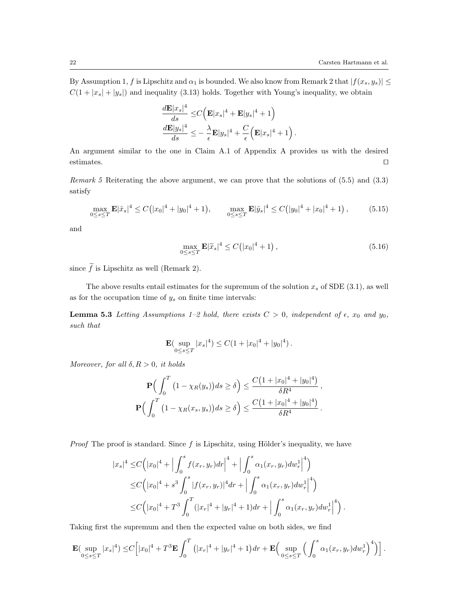By Assumption 1, *f* is Lipschitz and  $\alpha_1$  is bounded. We also know from Remark 2 that  $|f(x_s, y_s)| \leq$  $C(1 + |x_s| + |y_s|)$  and inequality (3.13) holds. Together with Young's inequality, we obtain

$$
\frac{d\mathbf{E}|x_s|^4}{ds} \leq C\Big(\mathbf{E}|x_s|^4 + \mathbf{E}|y_s|^4 + 1\Big) \n\frac{d\mathbf{E}|y_s|^4}{ds} \leq -\frac{\lambda}{\epsilon} \mathbf{E}|y_s|^4 + \frac{C}{\epsilon}\Big(\mathbf{E}|x_s|^4 + 1\Big).
$$

An argument similar to the one in Claim A.1 of Appendix A provides us with the desired estimates.  $\square$ 

*Remark 5* Reiterating the above argument, we can prove that the solutions of (5.5) and (3.3) satisfy

$$
\max_{0 \le s \le T} \mathbf{E} |\hat{x}_s|^4 \le C \big( |x_0|^4 + |y_0|^4 + 1 \big), \qquad \max_{0 \le s \le T} \mathbf{E} |\hat{y}_s|^4 \le C \big( |y_0|^4 + |x_0|^4 + 1 \big), \tag{5.15}
$$

and

$$
\max_{0 \le s \le T} \mathbf{E} |\tilde{x}_s|^4 \le C(|x_0|^4 + 1), \tag{5.16}
$$

since  $\tilde{f}$  is Lipschitz as well (Remark 2).

The above results entail estimates for the supremum of the solution  $x_s$  of SDE (3.1), as well as for the occupation time of *y<sup>s</sup>* on finite time intervals:

**Lemma 5.3** *Letting Assumptions 1–2 hold, there exists*  $C > 0$ *, independent of*  $\epsilon$ *,*  $x_0$  *and*  $y_0$ *, such that*

$$
\mathbf{E}(\sup_{0\leq s\leq T}|x_s|^4) \leq C(1+|x_0|^4+|y_0|^4).
$$

*Moreover, for all*  $\delta, R > 0$ *, it holds* 

$$
\mathbf{P}\Big(\int_0^T \left(1 - \chi_R(y_s)\right) ds \ge \delta\Big) \le \frac{C\big(1 + |x_0|^4 + |y_0|^4\big)}{\delta R^4},
$$
  

$$
\mathbf{P}\Big(\int_0^T \left(1 - \chi_R(x_s, y_s)\right) ds \ge \delta\Big) \le \frac{C\big(1 + |x_0|^4 + |y_0|^4\big)}{\delta R^4}.
$$

*Proof* The proof is standard. Since f is Lipschitz, using Hölder's inequality, we have

$$
|x_s|^4 \leq C \Big(|x_0|^4 + \Big| \int_0^s f(x_r, y_r) dr \Big|^4 + \Big| \int_0^s \alpha_1(x_r, y_r) dw_r^1 \Big|^4 \Big) \n\leq C \Big(|x_0|^4 + s^3 \int_0^s |f(x_r, y_r)|^4 dr + \Big| \int_0^s \alpha_1(x_r, y_r) dw_r^1 \Big|^4 \Big) \n\leq C \Big(|x_0|^4 + T^3 \int_0^T (|x_r|^4 + |y_r|^4 + 1) dr + \Big| \int_0^s \alpha_1(x_r, y_r) dw_r^1 \Big|^4 \Big).
$$

Taking first the supremum and then the expected value on both sides, we find

$$
\mathbf{E}(\sup_{0\leq s\leq T}|x_s|^4)\leq C\Big[|x_0|^4+T^3\mathbf{E}\int_0^T\left(|x_r|^4+|y_r|^4+1\right)dr+\mathbf{E}\Big(\sup_{0\leq s\leq T}\Big(\int_0^s\alpha_1(x_r,y_r)dw_r^1\Big)^4\Big)\Big].
$$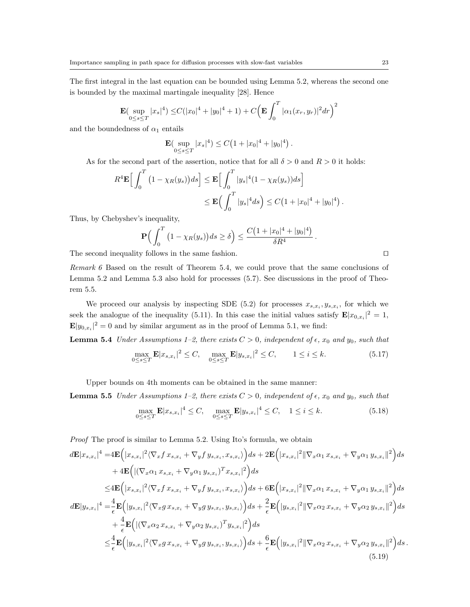The first integral in the last equation can be bounded using Lemma 5.2, whereas the second one is bounded by the maximal martingale inequality [28]. Hence

$$
\mathbf{E}(\sup_{0\leq s\leq T}|x_s|^4) \leq C(|x_0|^4 + |y_0|^4 + 1) + C\left(\mathbf{E} \int_0^T |\alpha_1(x_r, y_r)|^2 dr\right)^2
$$

and the boundedness of  $\alpha_1$  entails

$$
\mathbf{E}(\sup_{0\leq s\leq T}|x_s|^4) \leq C\left(1+|x_0|^4+|y_0|^4\right).
$$

As for the second part of the assertion, notice that for all  $\delta > 0$  and  $R > 0$  it holds:

$$
R^4 \mathbf{E} \Big[ \int_0^T \left( 1 - \chi_R(y_s) \right) ds \Big] \leq \mathbf{E} \Big[ \int_0^T |y_s|^4 (1 - \chi_R(y_s)) ds \Big] \\ \leq \mathbf{E} \Big( \int_0^T |y_s|^4 ds \Big) \leq C \big( 1 + |x_0|^4 + |y_0|^4 \big) \, .
$$

Thus, by Chebyshev's inequality,

$$
\mathbf{P}\Big(\int_0^T \big(1-\chi_R(y_s)\big)ds\geq \delta\Big)\leq \frac{C\big(1+|x_0|^4+|y_0|^4\big)}{\delta R^4}\,.
$$

The second inequality follows in the same fashion.  $\Box$ 

*Remark 6* Based on the result of Theorem 5.4, we could prove that the same conclusions of Lemma 5.2 and Lemma 5.3 also hold for processes (5.7). See discussions in the proof of Theorem 5.5.

We proceed our analysis by inspecting SDE (5.2) for processes  $x_{s,x_i}, y_{s,x_i}$ , for which we seek the analogue of the inequality (5.11). In this case the initial values satisfy  $\mathbf{E}|x_{0,x_i}|^2 = 1$ ,  $\mathbf{E}|y_{0,x_i}|^2 = 0$  and by similar argument as in the proof of Lemma 5.1, we find:

**Lemma 5.4** *Under Assumptions 1–2, there exists*  $C > 0$ *, independent of*  $\epsilon$ *,*  $x_0$  *and*  $y_0$ *, such that* 

$$
\max_{0 \le s \le T} \mathbf{E} |x_{s,x_i}|^2 \le C, \quad \max_{0 \le s \le T} \mathbf{E} |y_{s,x_i}|^2 \le C, \qquad 1 \le i \le k. \tag{5.17}
$$

Upper bounds on 4th moments can be obtained in the same manner:

**Lemma 5.5** *Under Assumptions 1–2, there exists*  $C > 0$ *, independent of*  $\epsilon$ *,*  $x_0$  *and*  $y_0$ *, such that* 

$$
\max_{0 \le s \le T} \mathbf{E} |x_{s,x_i}|^4 \le C, \quad \max_{0 \le s \le T} \mathbf{E} |y_{s,x_i}|^4 \le C, \quad 1 \le i \le k. \tag{5.18}
$$

*Proof* The proof is similar to Lemma 5.2. Using Ito's formula, we obtain

$$
d\mathbf{E}|x_{s,x_{i}}|^{4} = 4\mathbf{E}\Big(|x_{s,x_{i}}|^{2}\langle\nabla_{x}f x_{s,x_{i}} + \nabla_{y}f y_{s,x_{i}}, x_{s,x_{i}}\rangle\Big)ds + 2\mathbf{E}\Big(|x_{s,x_{i}}|^{2}\|\nabla_{x}\alpha_{1} x_{s,x_{i}} + \nabla_{y}\alpha_{1} y_{s,x_{i}}\|^{2}\Big)ds + 4\mathbf{E}\Big(\big|(\nabla_{x}\alpha_{1} x_{s,x_{i}} + \nabla_{y}\alpha_{1} y_{s,x_{i}})^{T}x_{s,x_{i}}|^{2}\Big)ds \leq 4\mathbf{E}\Big(|x_{s,x_{i}}|^{2}\langle\nabla_{x}f x_{s,x_{i}} + \nabla_{y}f y_{s,x_{i}}, x_{s,x_{i}}\rangle\Big)ds + 6\mathbf{E}\Big(|x_{s,x_{i}}|^{2}\|\nabla_{x}\alpha_{1} x_{s,x_{i}} + \nabla_{y}\alpha_{1} y_{s,x_{i}}\|^{2}\Big)ds d\mathbf{E}|y_{s,x_{i}}|^{4} = \frac{4}{\epsilon}\mathbf{E}\Big(\big|y_{s,x_{i}}|^{2}\langle\nabla_{x}f x_{s,x_{i}} + \nabla_{y}g y_{s,x_{i}}, y_{s,x_{i}}\rangle\Big)ds + \frac{2}{\epsilon}\mathbf{E}\Big(\big|y_{s,x_{i}}|^{2}\|\nabla_{x}\alpha_{2} x_{s,x_{i}} + \nabla_{y}\alpha_{2} y_{s,x_{i}}\|^{2}\Big)ds + \frac{4}{\epsilon}\mathbf{E}\Big(\big|(\nabla_{x}\alpha_{2} x_{s,x_{i}} + \nabla_{y}\alpha_{2} y_{s,x_{i}})^{T}y_{s,x_{i}}\big|^{2}\Big)ds \leq \frac{4}{\epsilon}\mathbf{E}\Big(\big|y_{s,x_{i}}|^{2}\langle\nabla_{x}g x_{s,x_{i}} + \nabla_{y}g y_{s,x_{i}}, y_{s,x_{i}}\rangle\Big)ds + \frac{6}{\epsilon}\mathbf{E}\Big(\big|y_{s,x_{i}}|^{2}\|\nabla_{x}\alpha_{2} x_{s,x_{i}} + \nabla_{y}\alpha_{2} y_{s,x_{i}}\|^{2}\Big)ds (5.1
$$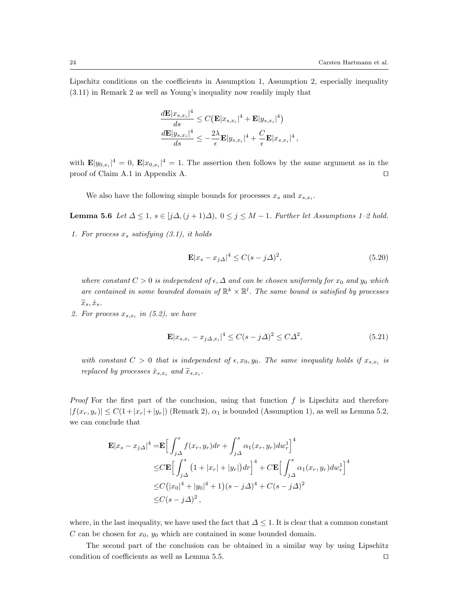Lipschitz conditions on the coefficients in Assumption 1, Assumption 2, especially inequality (3.11) in Remark 2 as well as Young's inequality now readily imply that

$$
\frac{d\mathbf{E}|x_{s,x_i}|^4}{ds} \leq C(\mathbf{E}|x_{s,x_i}|^4 + \mathbf{E}|y_{s,x_i}|^4)
$$

$$
\frac{d\mathbf{E}|y_{s,x_i}|^4}{ds} \leq -\frac{2\lambda}{\epsilon} \mathbf{E}|y_{s,x_i}|^4 + \frac{C}{\epsilon} \mathbf{E}|x_{s,x_i}|^4,
$$

with  $\mathbf{E}|y_{0,x_i}|^4 = 0$ ,  $\mathbf{E}|x_{0,x_i}|^4 = 1$ . The assertion then follows by the same argument as in the proof of Claim A.1 in Appendix A.  $\Box$ 

We also have the following simple bounds for processes  $x_s$  and  $x_{s,x_i}$ .

**Lemma 5.6** *Let*  $\Delta \leq 1$ *,*  $s \in [j\Delta, (j+1)\Delta)$ ,  $0 \leq j \leq M - 1$ *. Further let Assumptions 1–2 hold.* 

*1. For process x<sup>s</sup> satisfying (3.1), it holds*

$$
\mathbf{E}|x_s - x_{j\Delta}|^4 \le C(s - j\Delta)^2,\tag{5.20}
$$

*where constant*  $C > 0$  *is independent* of  $\epsilon, \Delta$  *and can be chosen uniformly for*  $x_0$  *and*  $y_0$  *which* are contained in some bounded domain of  $\mathbb{R}^k \times \mathbb{R}^l$ . The same bound is satisfied by processes  $\widetilde{x}_s, \hat{x}_s$ *.* 

2. For process  $x_{s,x_i}$  in (5.2), we have

$$
\mathbf{E}|x_{s,x_i} - x_{j\Delta,x_i}|^4 \le C(s - j\Delta)^2 \le C\Delta^2,\tag{5.21}
$$

*with constant*  $C > 0$  *that is independent of*  $\epsilon, x_0, y_0$ *. The same inequality holds if*  $x_{s,x_i}$  *is replaced by processes*  $\hat{x}_{s,x_i}$  *and*  $\tilde{x}_{s,x_i}$ *.* 

*Proof* For the first part of the conclusion, using that function *f* is Lipschitz and therefore  $|f(x_r, y_r)| \leq C(1+|x_r|+|y_r|)$  (Remark 2),  $\alpha_1$  is bounded (Assumption 1), as well as Lemma 5.2, we can conclude that

$$
\mathbf{E}|x_s - x_j \Delta|^4 = \mathbf{E} \Big[ \int_{j\Delta}^s f(x_r, y_r) dr + \int_{j\Delta}^s \alpha_1(x_r, y_r) dw_r^1 \Big]^4
$$
  
\n
$$
\leq C \mathbf{E} \Big[ \int_{j\Delta}^s (1 + |x_r| + |y_r|) dr \Big]^4 + C \mathbf{E} \Big[ \int_{j\Delta}^s \alpha_1(x_r, y_r) dw_r^1 \Big]^4
$$
  
\n
$$
\leq C (|x_0|^4 + |y_0|^4 + 1)(s - j\Delta)^4 + C(s - j\Delta)^2
$$
  
\n
$$
\leq C (s - j\Delta)^2,
$$

where, in the last inequality, we have used the fact that  $\Delta \leq 1$ . It is clear that a common constant *C* can be chosen for *x*0, *y*<sup>0</sup> which are contained in some bounded domain.

The second part of the conclusion can be obtained in a similar way by using Lipschitz condition of coefficients as well as Lemma 5.5.  $\Box$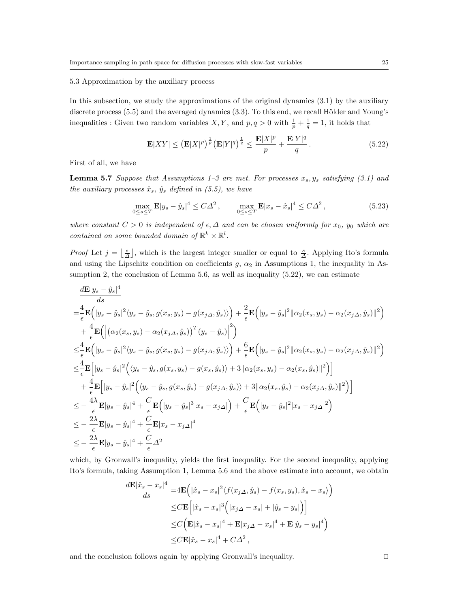## 5.3 Approximation by the auxiliary process

In this subsection, we study the approximations of the original dynamics (3.1) by the auxiliary discrete process  $(5.5)$  and the averaged dynamics  $(3.3)$ . To this end, we recall Hölder and Young's inequalities : Given two random variables *X*, *Y*, and  $p, q > 0$  with  $\frac{1}{p} + \frac{1}{q} = 1$ , it holds that

$$
\mathbf{E}|XY| \leq \left(\mathbf{E}|X|^p\right)^{\frac{1}{p}} \left(\mathbf{E}|Y|^q\right)^{\frac{1}{q}} \leq \frac{\mathbf{E}|X|^p}{p} + \frac{\mathbf{E}|Y|^q}{q} \,. \tag{5.22}
$$

First of all, we have

**Lemma 5.7** *Suppose that Assumptions 1–3 are met. For processes*  $x_s, y_s$  *satisfying (3.1) and the auxiliary processes*  $\hat{x}_s$ *,*  $\hat{y}_s$  *defined in (5.5), we have* 

$$
\max_{0 \le s \le T} \mathbf{E} |y_s - \hat{y}_s|^4 \le C\Delta^2, \qquad \max_{0 \le s \le T} \mathbf{E} |x_s - \hat{x}_s|^4 \le C\Delta^2, \tag{5.23}
$$

*where constant*  $C > 0$  *is independent of*  $\epsilon, \Delta$  *and can be chosen uniformly for*  $x_0$ *,*  $y_0$  *which are contained on some bounded domain of*  $\mathbb{R}^k \times \mathbb{R}^l$ .

*Proof* Let  $j = \lfloor \frac{s}{\Delta} \rfloor$ , which is the largest integer smaller or equal to  $\frac{s}{\Delta}$ . Applying Ito's formula and using the Lipschitz condition on coefficients  $g$ ,  $\alpha_2$  in Assumptions 1, the inequality in Assumption 2, the conclusion of Lemma 5.6, as well as inequality  $(5.22)$ , we can estimate

$$
\frac{d\mathbf{E}|y_s - \hat{y}_s|^4}{ds} \n= \frac{4}{\epsilon} \mathbf{E} (|y_s - \hat{y}_s|^2 \langle y_s - \hat{y}_s, g(x_s, y_s) - g(x_j \Delta, \hat{y}_s) \rangle) + \frac{2}{\epsilon} \mathbf{E} (|y_s - \hat{y}_s|^2 ||\alpha_2(x_s, y_s) - \alpha_2(x_j \Delta, \hat{y}_s) ||^2) \n+ \frac{4}{\epsilon} \mathbf{E} (|(\alpha_2(x_s, y_s) - \alpha_2(x_j \Delta, \hat{y}_s))^T (y_s - \hat{y}_s)|^2) \n\leq \frac{4}{\epsilon} \mathbf{E} (|y_s - \hat{y}_s|^2 \langle y_s - \hat{y}_s, g(x_s, y_s) - g(x_j \Delta, \hat{y}_s) \rangle) + \frac{6}{\epsilon} \mathbf{E} (|y_s - \hat{y}_s|^2 ||\alpha_2(x_s, y_s) - \alpha_2(x_j \Delta, \hat{y}_s) ||^2) \n\leq \frac{4}{\epsilon} \mathbf{E} [|y_s - \hat{y}_s|^2 (\langle y_s - \hat{y}_s, g(x_s, y_s) - g(x_s, \hat{y}_s) \rangle + 3 ||\alpha_2(x_s, y_s) - \alpha_2(x_s, \hat{y}_s) ||^2) ] \n+ \frac{4}{\epsilon} \mathbf{E} [|y_s - \hat{y}_s|^2 (\langle y_s - \hat{y}_s, g(x_s, \hat{y}_s) - g(x_j \Delta, \hat{y}_s) \rangle + 3 ||\alpha_2(x_s, \hat{y}_s) - \alpha_2(x_j \Delta, \hat{y}_s) ||^2) ] \n\leq - \frac{4\lambda}{\epsilon} \mathbf{E} |y_s - \hat{y}_s|^4 + \frac{C}{\epsilon} \mathbf{E} (|y_s - \hat{y}_s|^3 |x_s - x_j \Delta|) + \frac{C}{\epsilon} \mathbf{E} (|y_s - \hat{y}_s|^2 |x_s - x_j \Delta|^2) \n\leq - \frac{2\lambda}{\epsilon} \mathbf{E} |y_s - \hat{y}_s|^4 + \frac{C}{\epsilon} \mathbf{E} |x_s - x_j \Delta|^{4} \n\leq - \frac{2\lambda}{\epsilon} \mathbf{E} |y
$$

which, by Gronwall's inequality, yields the first inequality. For the second inequality, applying Ito's formula, taking Assumption 1, Lemma 5.6 and the above estimate into account, we obtain

$$
\frac{d\mathbf{E}|\hat{x}_s - x_s|^4}{ds} = 4\mathbf{E}\Big(|\hat{x}_s - x_s|^2 \langle f(x_{j\Delta}, \hat{y}_s) - f(x_s, y_s), \hat{x}_s - x_s \rangle\Big)
$$
  
\n
$$
\leq C\mathbf{E}\Big[|\hat{x}_s - x_s|^3 \Big(|x_{j\Delta} - x_s| + |\hat{y}_s - y_s|\Big)\Big]
$$
  
\n
$$
\leq C\Big(\mathbf{E}|\hat{x}_s - x_s|^4 + \mathbf{E}|x_{j\Delta} - x_s|^4 + \mathbf{E}|\hat{y}_s - y_s|^4\Big)
$$
  
\n
$$
\leq C\mathbf{E}|\hat{x}_s - x_s|^4 + C\Delta^2,
$$

and the conclusion follows again by applying Gronwall's inequality.  $\Box$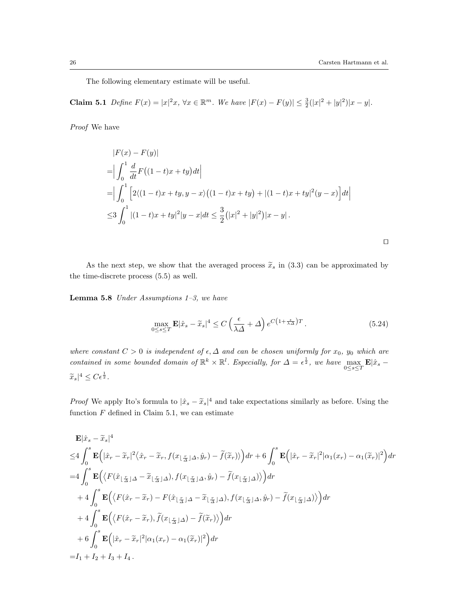The following elementary estimate will be useful.

**Claim 5.1** Define  $F(x) = |x|^2 x$ ,  $\forall x \in \mathbb{R}^m$ . We have  $|F(x) - F(y)| \leq \frac{3}{2}(|x|^2 + |y|^2)|x - y|$ .

*Proof* We have

$$
|F(x) - F(y)|
$$
  
\n=
$$
\left| \int_0^1 \frac{d}{dt} F((1-t)x + ty) dt \right|
$$
  
\n=
$$
\left| \int_0^1 \left[ 2\langle (1-t)x + ty, y - x \rangle ((1-t)x + ty) + |(1-t)x + ty|^2 (y - x) \right] dt \right|
$$
  
\n
$$
\leq 3 \int_0^1 |(1-t)x + ty|^2 |y - x| dt \leq \frac{3}{2} (|x|^2 + |y|^2) |x - y|.
$$

*ut*

As the next step, we show that the averaged process  $\tilde{x}_s$  in (3.3) can be approximated by the time-discrete process (5.5) as well.

**Lemma 5.8** *Under Assumptions 1–3, we have*

$$
\max_{0 \le s \le T} \mathbf{E} |\hat{x}_s - \tilde{x}_s|^4 \le C \left(\frac{\epsilon}{\lambda \Delta} + \Delta\right) e^{C\left(1 + \frac{\epsilon}{\lambda \Delta}\right)T}.
$$
\n(5.24)

*where constant*  $C > 0$  *is independent of*  $\epsilon, \Delta$  *and can be chosen uniformly for*  $x_0$ *,*  $y_0$  *which are contained in some bounded domain of*  $\mathbb{R}^k \times \mathbb{R}^l$ . Especially, for  $\Delta = \epsilon^{\frac{1}{2}}$ , we have maximize  $\max_{0\leq s\leq T} \mathbf{E}|\hat{x}_s \widetilde{x}_s|^4 \leq C \epsilon^{\frac{1}{2}}$ .

*Proof* We apply Ito's formula to  $|\hat{x}_s - \tilde{x}_s|^4$  and take expectations similarly as before. Using the function  $F$  defined in Claim 5.1, we can estimate

$$
\mathbf{E}|\hat{x}_{s}-\tilde{x}_{s}|^{4}
$$
\n
$$
\leq 4 \int_{0}^{s} \mathbf{E} \Big( |\hat{x}_{r}-\tilde{x}_{r}|^{2} \langle \hat{x}_{r}-\tilde{x}_{r}, f(x_{\lfloor \frac{r}{\Delta} \rfloor\Delta}, \hat{y}_{r}) - \tilde{f}(\tilde{x}_{r}) \rangle \Big) dr + 6 \int_{0}^{s} \mathbf{E} \Big( |\hat{x}_{r}-\tilde{x}_{r}|^{2} |\alpha_{1}(x_{r}) - \alpha_{1}(\tilde{x}_{r})|^{2} \Big) dr
$$
\n
$$
= 4 \int_{0}^{s} \mathbf{E} \Big( \langle F(\hat{x}_{\lfloor \frac{r}{\Delta} \rfloor\Delta} - \tilde{x}_{\lfloor \frac{r}{\Delta} \rfloor\Delta}), f(x_{\lfloor \frac{r}{\Delta} \rfloor\Delta}, \hat{y}_{r}) - \tilde{f}(x_{\lfloor \frac{r}{\Delta} \rfloor\Delta}) \rangle \Big) dr
$$
\n
$$
+ 4 \int_{0}^{s} \mathbf{E} \Big( \langle F(\hat{x}_{r}-\tilde{x}_{r}) - F(\hat{x}_{\lfloor \frac{r}{\Delta} \rfloor\Delta} - \tilde{x}_{\lfloor \frac{r}{\Delta} \rfloor\Delta}), f(x_{\lfloor \frac{r}{\Delta} \rfloor\Delta}, \hat{y}_{r}) - \tilde{f}(x_{\lfloor \frac{r}{\Delta} \rfloor\Delta}) \rangle \Big) dr
$$
\n
$$
+ 4 \int_{0}^{s} \mathbf{E} \Big( \langle F(\hat{x}_{r}-\tilde{x}_{r}), \tilde{f}(x_{\lfloor \frac{r}{\Delta} \rfloor\Delta}) - \tilde{f}(\tilde{x}_{r}) \rangle \Big) dr
$$
\n
$$
+ 6 \int_{0}^{s} \mathbf{E} \Big( |\hat{x}_{r}-\tilde{x}_{r}|^{2} |\alpha_{1}(x_{r}) - \alpha_{1}(\tilde{x}_{r})|^{2} \Big) dr
$$
\n
$$
= I_{1} + I_{2} + I_{3} + I_{4}.
$$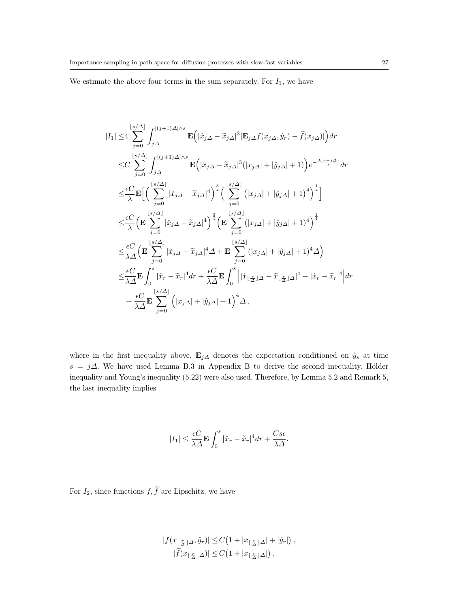We estimate the above four terms in the sum separately. For  $I_1$ , we have

$$
\begin{split} |I_{1}| \leq & 4 \sum_{j=0}^{\lfloor s/\varDelta \rfloor} \int_{j\varDelta}^{[(j+1)\varDelta] \wedge s} \mathbf{E} \Big( |\hat{x}_{j\varDelta} - \tilde{x}_{j\varDelta}|^{3} | \mathbf{E}_{j\varDelta} f(x_{j\varDelta}, \hat{y}_{r}) - \tilde{f}(x_{j\varDelta})| \Big) dr \\ \leq & C \sum_{j=0}^{\lfloor s/\varDelta \rfloor} \int_{j\varDelta}^{[(j+1)\varDelta] \wedge s} \mathbf{E} \Big( |\hat{x}_{j\varDelta} - \tilde{x}_{j\varDelta}|^{3} (|x_{j\varDelta}| + |\hat{y}_{j\varDelta}| + 1) \Big) e^{-\frac{\lambda(r-j\varDelta)}{\epsilon}} dr \\ \leq & \frac{\epsilon C}{\lambda} \mathbf{E} \Big[ \Big( \sum_{j=0}^{\lfloor s/\varDelta \rfloor} |\hat{x}_{j\varDelta} - \tilde{x}_{j\varDelta}|^{4} \Big)^{\frac{3}{4}} \Big( \sum_{j=0}^{\lfloor s/\varDelta \rfloor} (|x_{j\varDelta}| + |\hat{y}_{j\varDelta}| + 1)^{4} \Big)^{\frac{1}{4}} \Big] \\ \leq & \frac{\epsilon C}{\lambda} \Big( \mathbf{E} \sum_{j=0}^{\lfloor s/\varDelta \rfloor} |\hat{x}_{j\varDelta} - \tilde{x}_{j\varDelta}|^{4} \Big)^{\frac{3}{4}} \Big( \mathbf{E} \sum_{j=0}^{\lfloor s/\varDelta \rfloor} (|x_{j\varDelta}| + |\hat{y}_{j\varDelta}| + 1)^{4} \Big)^{\frac{1}{4}} \\ \leq & \frac{\epsilon C}{\lambda \varDelta} \Big( \mathbf{E} \sum_{j=0}^{\lfloor s/\varDelta \rfloor} |\hat{x}_{j\varDelta} - \tilde{x}_{j\varDelta}|^{4} \varDelta + \mathbf{E} \sum_{j=0}^{\lfloor s/\varDelta \rfloor} (|x_{j\varDelta}| + |\hat{y}_{j\varDelta}| + 1)^{4} \varDelta \Big) \\ \leq & \frac{\epsilon C}{\lambda \varDelta} \mathbf{E} \int_{0}^{s} |\hat{x}_{r} - \tilde{x}_{r}|^{4} dr + \frac{\epsilon C}{\lambda \varDelta} \mathbf{E} \int_{0}^{s} \Big| |\hat{x}_{\lfloor \frac{r}{\var
$$

where in the first inequality above,  $\mathbf{E}_{j\Delta}$  denotes the expectation conditioned on  $\hat{y}_s$  at time  $s = j\Delta$ . We have used Lemma B.3 in Appendix B to derive the second inequality. Hölder inequality and Young's inequality (5.22) were also used. Therefore, by Lemma 5.2 and Remark 5, the last inequality implies

$$
|I_1| \leq \frac{\epsilon C}{\lambda \varDelta} \mathbf{E} \int_0^s |\hat{x}_r - \widetilde{x}_r|^4 dr + \frac{C s \epsilon}{\lambda \varDelta}.
$$

For  $I_2$ , since functions  $f, \tilde{f}$  are Lipschitz, we have

$$
|f(x_{\lfloor \frac{r}{\Delta} \rfloor \Delta}, \hat{y}_r)| \leq C\left(1 + |x_{\lfloor \frac{r}{\Delta} \rfloor \Delta}| + |\hat{y}_r|\right),
$$
  

$$
|\widetilde{f}(x_{\lfloor \frac{r}{\Delta} \rfloor \Delta})| \leq C\left(1 + |x_{\lfloor \frac{r}{\Delta} \rfloor \Delta}|\right).
$$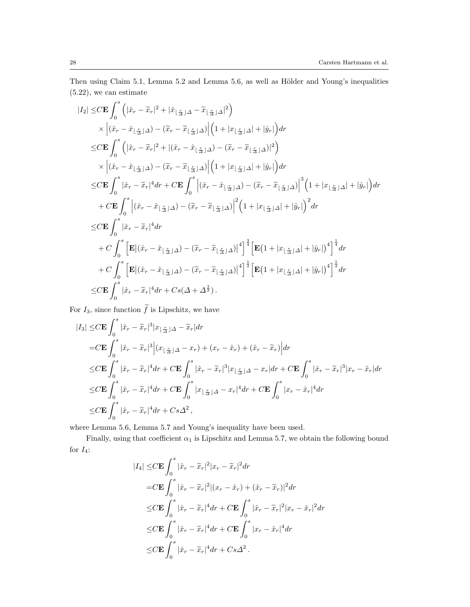Then using Claim 5.1, Lemma 5.2 and Lemma 5.6, as well as Hölder and Young's inequalities (5.22), we can estimate

$$
\begin{split} |I_2| \leq & C \mathbf{E} \int_0^s \left( |\hat{x}_r - \tilde{x}_r|^2 + |\hat{x}_{\lfloor \frac{r}{\Delta} \rfloor \Delta} - \tilde{x}_{\lfloor \frac{r}{\Delta} \rfloor \Delta} |^2 \right) \\ & \quad \times \left| (\hat{x}_r - \hat{x}_{\lfloor \frac{r}{\Delta} \rfloor \Delta} ) - (\tilde{x}_r - \tilde{x}_{\lfloor \frac{r}{\Delta} \rfloor \Delta} ) \right| \left( 1 + |x_{\lfloor \frac{r}{\Delta} \rfloor \Delta} | + |\hat{y}_r| \right) dr \\ \leq & C \mathbf{E} \int_0^s \left( |\hat{x}_r - \tilde{x}_r|^2 + |(\hat{x}_r - \hat{x}_{\lfloor \frac{r}{\Delta} \rfloor \Delta} ) - (\tilde{x}_r - \tilde{x}_{\lfloor \frac{r}{\Delta} \rfloor \Delta} ) |^2 \right) \\ & \quad \times \left| (\hat{x}_r - \hat{x}_{\lfloor \frac{r}{\Delta} \rfloor \Delta} ) - (\tilde{x}_r - \tilde{x}_{\lfloor \frac{r}{\Delta} \rfloor \Delta} ) \right| \left( 1 + |x_{\lfloor \frac{r}{\Delta} \rfloor \Delta} | + |\hat{y}_r| \right) dr \\ \leq & C \mathbf{E} \int_0^s \left| \hat{x}_r - \tilde{x}_r |^4 dr + C \mathbf{E} \int_0^s \left| (\hat{x}_r - \hat{x}_{\lfloor \frac{r}{\Delta} \rfloor \Delta} ) - (\tilde{x}_r - \tilde{x}_{\lfloor \frac{r}{\Delta} \rfloor \Delta} ) \right|^3 \left( 1 + |x_{\lfloor \frac{r}{\Delta} \rfloor \Delta} | + |\hat{y}_r| \right)^2 dr \\ \leq & C \mathbf{E} \int_0^s \left| \hat{x}_r - \tilde{x}_r |^4 dr \\ & \quad + C \int_0^s \left[ \mathbf{E} |(\hat{x}_r - \hat{x}_{\lfloor \frac{r}{\Delta} \rfloor \Delta} ) - (\tilde{x}_r - \tilde{x}_{\lfloor \frac{r}{\Delta} \rfloor \Delta} ) \right|^4 \right]^{\frac{3}{4}} \left[ \mathbf{E} (1 + |x_{\lfloor \frac{r}{\Delta} \rfloor \Delta} | + |\hat{y}_r| \right)^4 \right]^{\frac{1}{4
$$

For  $I_3$ , since function  $\tilde{f}$  is Lipschitz, we have

$$
\begin{split} |I_3| \leq & C \mathbf{E} \int_0^s |\hat{x}_r - \tilde{x}_r|^3 |x_{\lfloor \frac{r}{\Delta} \rfloor \Delta} - \tilde{x}_r| dr \\ = & C \mathbf{E} \int_0^s |\hat{x}_r - \tilde{x}_r|^3 |(x_{\lfloor \frac{r}{\Delta} \rfloor \Delta} - x_r) + (x_r - \hat{x}_r) + (\hat{x}_r - \tilde{x}_r)| dr \\ \leq & C \mathbf{E} \int_0^s |\hat{x}_r - \tilde{x}_r|^4 dr + C \mathbf{E} \int_0^s |\hat{x}_r - \tilde{x}_r|^3 |x_{\lfloor \frac{r}{\Delta} \rfloor \Delta} - x_r| dr + C \mathbf{E} \int_0^s |\hat{x}_r - \tilde{x}_r|^3 |x_r - \hat{x}_r| dr \\ \leq & C \mathbf{E} \int_0^s |\hat{x}_r - \tilde{x}_r|^4 dr + C \mathbf{E} \int_0^s |x_{\lfloor \frac{r}{\Delta} \rfloor \Delta} - x_r|^4 dr + C \mathbf{E} \int_0^s |x_r - \hat{x}_r|^4 dr \\ \leq & C \mathbf{E} \int_0^s |\hat{x}_r - \tilde{x}_r|^4 dr + Cs\Delta^2, \end{split}
$$

where Lemma 5.6, Lemma 5.7 and Young's inequality have been used.

Finally, using that coefficient  $\alpha_1$  is Lipschitz and Lemma 5.7, we obtain the following bound for  $I_4$ :

$$
\begin{split} |I_4| \leq & C \mathbf{E} \int_0^s |\hat{x}_r - \widetilde{x}_r|^2 |x_r - \widetilde{x}_r|^2 dr \\ = & C \mathbf{E} \int_0^s |\hat{x}_r - \widetilde{x}_r|^2 |(x_r - \hat{x}_r) + (\hat{x}_r - \widetilde{x}_r)|^2 dr \\ \leq & C \mathbf{E} \int_0^s |\hat{x}_r - \widetilde{x}_r|^4 dr + C \mathbf{E} \int_0^s |\hat{x}_r - \widetilde{x}_r|^2 |x_r - \hat{x}_r|^2 dr \\ \leq & C \mathbf{E} \int_0^s |\hat{x}_r - \widetilde{x}_r|^4 dr + C \mathbf{E} \int_0^s |x_r - \hat{x}_r|^4 dr \\ \leq & C \mathbf{E} \int_0^s |\hat{x}_r - \widetilde{x}_r|^4 dr + Cs\Delta^2. \end{split}
$$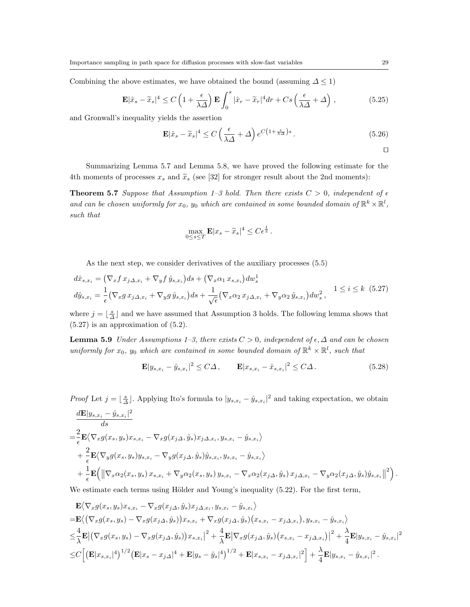Combining the above estimates, we have obtained the bound (assuming  $\Delta \leq 1$ )

$$
\mathbf{E}|\hat{x}_s - \tilde{x}_s|^4 \le C\left(1 + \frac{\epsilon}{\lambda \Delta}\right) \mathbf{E} \int_0^s |\hat{x}_r - \tilde{x}_r|^4 dr + Cs\left(\frac{\epsilon}{\lambda \Delta} + \Delta\right),\tag{5.25}
$$

and Gronwall's inequality yields the assertion

$$
\mathbf{E}|\hat{x}_s - \tilde{x}_s|^4 \le C\left(\frac{\epsilon}{\lambda \Delta} + \Delta\right) e^{C\left(1 + \frac{\epsilon}{\lambda \Delta}\right)s} \,. \tag{5.26}
$$

*ut*

Summarizing Lemma 5.7 and Lemma 5.8, we have proved the following estimate for the 4th moments of processes  $x_s$  and  $\tilde{x}_s$  (see [32] for stronger result about the 2nd moments):

**Theorem 5.7** Suppose that Assumption 1–3 hold. Then there exists  $C > 0$ , independent of  $\epsilon$ *and can be chosen uniformly for*  $x_0$ ,  $y_0$  *which are contained in some bounded domain of*  $\mathbb{R}^k \times \mathbb{R}^l$ , *such that*

$$
\max_{0 \le s \le T} \mathbf{E} |x_s - \widetilde{x}_s|^4 \le C \epsilon^{\frac{1}{2}}.
$$

As the next step, we consider derivatives of the auxiliary processes  $(5.5)$ 

$$
d\hat{x}_{s,x_i} = \left(\nabla_x f \, x_{j\Delta,x_i} + \nabla_y f \, \hat{y}_{s,x_i}\right) ds + \left(\nabla_x \alpha_1 \, x_{s,x_i}\right) dw_s^1
$$
  

$$
d\hat{y}_{s,x_i} = \frac{1}{\epsilon} \left(\nabla_x g \, x_{j\Delta,x_i} + \nabla_y g \, \hat{y}_{s,x_i}\right) ds + \frac{1}{\sqrt{\epsilon}} \left(\nabla_x \alpha_2 \, x_{j\Delta,x_i} + \nabla_y \alpha_2 \, \hat{y}_{s,x_i}\right) dw_s^2, \quad 1 \le i \le k \tag{5.27}
$$

where  $j = \lfloor \frac{s}{\Delta} \rfloor$  and we have assumed that Assumption 3 holds. The following lemma shows that (5.27) is an approximation of (5.2).

**Lemma 5.9** *Under Assumptions 1–3, there exists*  $C > 0$ *, independent of*  $\epsilon, ∆$  *and can be chosen uniformly for*  $x_0$ ,  $y_0$  *which are contained in some bounded domain of*  $\mathbb{R}^k \times \mathbb{R}^l$ , *such that* 

$$
\mathbf{E}|y_{s,x_i} - \hat{y}_{s,x_i}|^2 \le C\Delta, \qquad \mathbf{E}|x_{s,x_i} - \hat{x}_{s,x_i}|^2 \le C\Delta. \tag{5.28}
$$

*Proof* Let  $j = \lfloor \frac{s}{\Delta} \rfloor$ . Applying Ito's formula to  $|y_{s,x_i} - \hat{y}_{s,x_i}|^2$  and taking expectation, we obtain

$$
\frac{d\mathbf{E}|y_{s,x_i} - \hat{y}_{s,x_i}|^2}{ds}
$$
\n
$$
= \frac{2}{\epsilon} \mathbf{E} \langle \nabla_x g(x_s, y_s) x_{s,x_i} - \nabla_x g(x_j \Delta, \hat{y}_s) x_{j\Delta, x_i}, y_{s,x_i} - \hat{y}_{s,x_i} \rangle
$$
\n
$$
+ \frac{2}{\epsilon} \mathbf{E} \langle \nabla_y g(x_s, y_s) y_{s,x_i} - \nabla_y g(x_j \Delta, \hat{y}_s) \hat{y}_{s,x_i}, y_{s,x_i} - \hat{y}_{s,x_i} \rangle
$$
\n
$$
+ \frac{1}{\epsilon} \mathbf{E} \Big( \|\nabla_x \alpha_2(x_s, y_s) x_{s,x_i} + \nabla_y \alpha_2(x_s, y_s) y_{s,x_i} - \nabla_x \alpha_2(x_j \Delta, \hat{y}_s) x_{j\Delta, x_i} - \nabla_y \alpha_2(x_j \Delta, \hat{y}_s) \hat{y}_{s,x_i} \|^2 \Big).
$$

We estimate each terms using Hölder and Young's inequality  $(5.22)$ . For the first term,

$$
\mathbf{E}\langle\nabla_{x}g(x_{s},y_{s})x_{s,x_{i}}-\nabla_{x}g(x_{j\Delta},\hat{y}_{s})x_{j\Delta,x_{i}},y_{s,x_{i}}-\hat{y}_{s,x_{i}}\rangle\n=\mathbf{E}\langle(\nabla_{x}g(x_{s},y_{s})-\nabla_{x}g(x_{j\Delta},\hat{y}_{s}))x_{s,x_{i}}+\nabla_{x}g(x_{j\Delta},\hat{y}_{s})(x_{s,x_{i}}-x_{j\Delta,x_{i}}),y_{s,x_{i}}-\hat{y}_{s,x_{i}}\rangle\n\leq\frac{4}{\lambda}\mathbf{E}\big|\big(\nabla_{x}g(x_{s},y_{s})-\nabla_{x}g(x_{j\Delta},\hat{y}_{s})\big)x_{s,x_{i}}\big|^{2}+\frac{4}{\lambda}\mathbf{E}\big|\nabla_{x}g(x_{j\Delta},\hat{y}_{s})\big(x_{s,x_{i}}-x_{j\Delta,x_{i}}\big)\big|^{2}+\frac{\lambda}{4}\mathbf{E}|y_{s,x_{i}}-\hat{y}_{s,x_{i}}|^{2}\n\leq C\Big[\big(\mathbf{E}|x_{s,x_{i}}|^{4}\big)^{1/2}\big(\mathbf{E}|x_{s}-x_{j\Delta}|^{4}+\mathbf{E}|y_{s}-\hat{y}_{s}|^{4}\big)^{1/2}+\mathbf{E}|x_{s,x_{i}}-x_{j\Delta,x_{i}}|^{2}\Big]+\frac{\lambda}{4}\mathbf{E}|y_{s,x_{i}}-\hat{y}_{s,x_{i}}|^{2}.
$$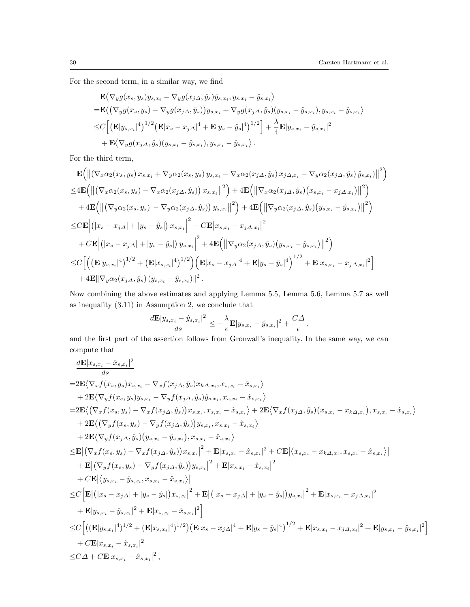For the second term, in a similar way, we find

$$
\mathbf{E}\langle \nabla_y g(x_s, y_s) y_{s,x_i} - \nabla_y g(x_{j\Delta}, \hat{y}_s) \hat{y}_{s,x_i}, y_{s,x_i} - \hat{y}_{s,x_i} \rangle \n= \mathbf{E}\langle (\nabla_y g(x_s, y_s) - \nabla_y g(x_{j\Delta}, \hat{y}_s)) y_{s,x_i} + \nabla_y g(x_{j\Delta}, \hat{y}_s) (y_{s,x_i} - \hat{y}_{s,x_i}), y_{s,x_i} - \hat{y}_{s,x_i} \rangle \n\leq C \Big[ \big( \mathbf{E} |y_{s,x_i}|^4 \big)^{1/2} \big( \mathbf{E} |x_s - x_{j\Delta}|^4 + \mathbf{E} |y_s - \hat{y}_s|^4 \big)^{1/2} \Big] + \frac{\lambda}{4} \mathbf{E} |y_{s,x_i} - \hat{y}_{s,x_i}|^2 \n+ \mathbf{E}\langle \nabla_y g(x_{j\Delta}, \hat{y}_s) (y_{s,x_i} - \hat{y}_{s,x_i}), y_{s,x_i} - \hat{y}_{s,x_i} \rangle.
$$

For the third term,

$$
\mathbf{E}\Big(\big\|(\nabla_{x}\alpha_{2}(x_{s},y_{s})x_{s,x_{i}}+\nabla_{y}\alpha_{2}(x_{s},y_{s})y_{s,x_{i}}-\nabla_{x}\alpha_{2}(x_{j\Delta},\hat{y}_{s})x_{j\Delta,x_{i}}-\nabla_{y}\alpha_{2}(x_{j\Delta},\hat{y}_{s})\hat{y}_{s,x_{i}}\big)\big\|^{2}\Big)\leq4\mathbf{E}\Big(\big\|\big(\nabla_{x}\alpha_{2}(x_{s},y_{s})-\nabla_{x}\alpha_{2}(x_{j\Delta},\hat{y}_{s})\big)x_{s,x_{i}}\big\|^{2}\Big)+4\mathbf{E}\Big(\big\|\nabla_{x}\alpha_{2}(x_{j\Delta},\hat{y}_{s})\big(x_{s,x_{i}}-x_{j\Delta,x_{i}}\big)\big\|^{2}\Big)+\left.4\mathbf{E}\Big(\big\|\big(\nabla_{y}\alpha_{2}(x_{s},y_{s})-\nabla_{y}\alpha_{2}(x_{j\Delta},\hat{y}_{s})\big)y_{s,x_{i}}\big\|^{2}\Big)+4\mathbf{E}\Big(\big\|\nabla_{y}\alpha_{2}(x_{j\Delta},\hat{y}_{s})\big(y_{s,x_{i}}-\hat{y}_{s,x_{i}}\big)\big\|^{2}\Big)\leq C\mathbf{E}\Big|\big(\big|x_{s}-x_{j\Delta}\big|+\big|y_{s}-\hat{y}_{s}\big|\big)x_{s,x_{i}}\Big|^{2}+C\mathbf{E}\big|x_{s,x_{i}}-x_{j\Delta,x_{i}}\big|^{2}+\left.C\mathbf{E}\Big|\big(\big|x_{s}-x_{j\Delta}\big|+\big|y_{s}-\hat{y}_{s}\big|\big)\big|y_{s,x_{i}}\right|^{2}+4\mathbf{E}\Big(\big\|\nabla_{y}\alpha_{2}(x_{j\Delta},\hat{y}_{s})\big(y_{s,x_{i}}-\hat{y}_{s,x_{i}}\big)\big\|^{2}\Big)\leq C\Big[\Big(\big(\mathbf{E}|y_{s,x_{i}}|^{4}\big)^{1/2}+\big(\mathbf{E}|x_{s,x_{i}}|^{4}\big)^{1/2}\Big)\big(\mathbf{E}|x_{s}-x_{j\Delta}|^{4}+\mathbf{E}|y_{s}-\hat{y}_{s}|^{4}\big)^{1/2}+\mathbf{E
$$

Now combining the above estimates and applying Lemma 5.5, Lemma 5.6, Lemma 5.7 as well as inequality (3.11) in Assumption 2, we conclude that

$$
\frac{d\mathbf{E}|y_{s,x_i}-\hat{y}_{s,x_i}|^2}{ds} \leq -\frac{\lambda}{\epsilon} \mathbf{E}|y_{s,x_i}-\hat{y}_{s,x_i}|^2 + \frac{C\Delta}{\epsilon},
$$

and the first part of the assertion follows from Gronwall's inequality. In the same way, we can compute that

$$
\frac{d\mathbf{E}|x_{s,x_i}-\hat{x}_{s,x_i}|^2}{ds} \n=2\mathbf{E}\langle\nabla_x f(x_s,y_s)x_{s,x_i}-\nabla_x f(x_{j\Delta},\hat{y}_s)x_{k\Delta,x_i},x_{s,x_i}-\hat{x}_{s,x_i}\rangle \n+2\mathbf{E}\langle\nabla_y f(x_s,y_s)y_{s,x_i}-\nabla_y f(x_{j\Delta},\hat{y}_s)\hat{y}_{s,x_i},x_{s,x_i}-\hat{x}_{s,x_i}\rangle \n=2\mathbf{E}\langle(\nabla_x f(x_s,y_s)-\nabla_x f(x_{j\Delta},\hat{y}_s))x_{s,x_i},x_{s,x_i}-\hat{x}_{s,x_i}\rangle+2\mathbf{E}\langle\nabla_x f(x_{j\Delta},\hat{y}_s)(x_{s,x_i}-x_{k\Delta,x_i}),x_{s,x_i}-\hat{x}_{s,x_i}\rangle \n+2\mathbf{E}\langle(\nabla_y f(x_s,y_s)-\nabla_y f(x_{j\Delta},\hat{y}_s))y_{s,x_i},x_{s,x_i}-\hat{x}_{s,x_i}\rangle \n+2\mathbf{E}\langle\nabla_y f(x_{j\Delta},\hat{y}_s)(y_{s,x_i}-\hat{y}_{s,x_i}),x_{s,x_i}-\hat{x}_{s,x_i}\rangle \n\leq \mathbf{E}\left|\left(\nabla_x f(x_s,y_s)-\nabla_x f(x_{j\Delta},\hat{y}_s)\right)x_{s,x_i}|^2+\mathbf{E}|x_{s,x_i}-\hat{x}_{s,x_i}|^2+\mathbf{CE}\langle\langle x_{s,x_i}-x_{k\Delta,x_i},x_{s,x_i}-\hat{x}_{s,x_i}\rangle|\right| \n+ \mathbf{E}\left|\left(\nabla_y f(x_s,y_s)-\nabla_y f(x_{j\Delta},\hat{y}_s)\right)y_{s,x_i}|^2+\mathbf{E}|x_{s,x_i}-\hat{x}_{s,x_i}|^2 \n+ C\mathbf{E}\left|\langle y_{s,x_i}-\hat{y}_{s,x_i},x_{s,x_i}-\hat{x}_{s,x_i}\rangle|\right| \n\leq C\left[\mathbf{E}\left|\left(|x_s-x_{j\Delta}|+|y_s-\hat{y}_s|\right)x_{s,x_i}|^2+\mathbf{E}\left|(x_s-x_{j\Delta}|+|y_s-\hat{y}_s|\right)y_{s,x_i}|^2+\mathbf{E}|x_{s,x_i}-x_{j\Delta,x_i}|^2
$$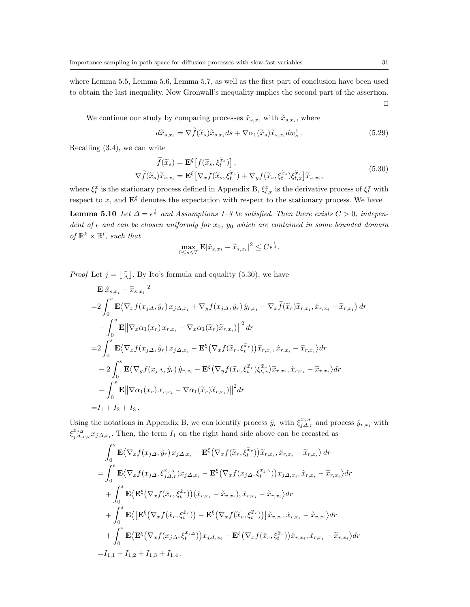where Lemma 5.5, Lemma 5.6, Lemma 5.7, as well as the first part of conclusion have been used to obtain the last inequality. Now Gronwall's inequality implies the second part of the assertion. *ut*

We continue our study by comparing processes  $\hat{x}_{s,x_i}$  with  $\widetilde{x}_{s,x_i}$ , where

$$
d\widetilde{x}_{s,x_i} = \nabla \widetilde{f}(\widetilde{x}_s)\widetilde{x}_{s,x_i}ds + \nabla \alpha_1(\widetilde{x}_s)\widetilde{x}_{s,x_i}dw_s^1.
$$
\n(5.29)

Recalling (3.4), we can write

$$
\widetilde{f}(\widetilde{x}_s) = \mathbf{E}^{\xi} \left[ f(\widetilde{x}_s, \xi_t^{\widetilde{x}_s}) \right], \nabla \widetilde{f}(\widetilde{x}_s) \widetilde{x}_{s, x_i} = \mathbf{E}^{\xi} \left[ \nabla_x f(\widetilde{x}_s, \xi_t^{\widetilde{x}_s}) + \nabla_y f(\widetilde{x}_s, \xi_t^{\widetilde{x}_s}) \xi_{t, x}^{\widetilde{x}_s} \right] \widetilde{x}_{s, x_i},
$$
\n(5.30)

where  $\xi_t^x$  is the stationary process defined in Appendix B,  $\xi_{t,x}^x$  is the derivative process of  $\xi_t^x$  with respect to *x*, and  $\mathbf{E}^{\xi}$  denotes the expectation with respect to the stationary process. We have

**Lemma 5.10** *Let*  $\Delta = \epsilon^{\frac{1}{2}}$  *and Assumptions 1–3 be satisfied. Then there exists*  $C > 0$ *, independent of*  $\epsilon$  *and can be chosen uniformly for*  $x_0$ *,*  $y_0$  *which are contained in some bounded domain*  $of \mathbb{R}^k \times \mathbb{R}^l$ *, such that* 

$$
\max_{0 \le s \le T} \mathbf{E} |\hat{x}_{s,x_i} - \tilde{x}_{s,x_i}|^2 \le C\epsilon^{\frac{1}{4}}.
$$

*Proof* Let  $j = \lfloor \frac{r}{\Delta} \rfloor$ . By Ito's formula and equality (5.30), we have

$$
\mathbf{E}|\hat{x}_{s,x_i} - \tilde{x}_{s,x_i}|^2
$$
\n
$$
= 2 \int_0^s \mathbf{E} \langle \nabla_x f(x_j \Delta, \hat{y}_r) x_j \Delta_{,x_i} + \nabla_y f(x_j \Delta, \hat{y}_r) \hat{y}_{r,x_i} - \nabla_x \tilde{f}(\tilde{x}_r) \tilde{x}_{r,x_i}, \hat{x}_{r,x_i} - \tilde{x}_{r,x_i} \rangle dr
$$
\n
$$
+ \int_0^s \mathbf{E} ||\nabla_x \alpha_1(x_r) x_{r,x_i} - \nabla_x \alpha_1(\tilde{x}_r) \tilde{x}_{r,x_i}||^2 dr
$$
\n
$$
= 2 \int_0^s \mathbf{E} \langle \nabla_x f(x_j \Delta, \hat{y}_r) x_j \Delta_{,x_i} - \mathbf{E}^\xi (\nabla_x f(\tilde{x}_r, \xi_i^{\tilde{x}_r})) \tilde{x}_{r,x_i}, \hat{x}_{r,x_i} - \tilde{x}_{r,x_i} \rangle dr
$$
\n
$$
+ 2 \int_0^s \mathbf{E} \langle \nabla_y f(x_j \Delta, \hat{y}_r) \hat{y}_{r,x_i} - \mathbf{E}^\xi (\nabla_y f(\tilde{x}_r, \xi_i^{\tilde{x}_r}) \tilde{x}_{r,x_i}, \hat{x}_{r,x_i} - \tilde{x}_{r,x_i} \rangle dr
$$
\n
$$
+ \int_0^s \mathbf{E} ||\nabla \alpha_1(x_r) x_{r,x_i} - \nabla \alpha_1(\tilde{x}_r) \tilde{x}_{r,x_i} ||^2 dr
$$
\n
$$
= I_1 + I_2 + I_3.
$$

Using the notations in Appendix B, we can identify process  $\hat{y}_r$  with  $\xi_{j\Delta,r}^{x_j\Delta}$  and process  $\hat{y}_{r,x_i}$  with  $\xi_{j\Delta,r,x}^{x_j\Delta}$  *x*<sub>*j*</sub> $\Delta$ ,*x*<sub>*i*</sub>. Then, the term *I*<sub>1</sub> on the right hand side above can be recasted as

$$
\int_{0}^{s} \mathbf{E} \langle \nabla_{x} f(x_{j\Delta}, \hat{y}_{r}) x_{j\Delta, x_{i}} - \mathbf{E}^{\xi} \langle \nabla_{x} f(\tilde{x}_{r}, \xi_{t}^{\tilde{x}_{r}}) \rangle \tilde{x}_{r, x_{i}}, \hat{x}_{r, x_{i}} - \tilde{x}_{r, x_{i}} \rangle dr \n= \int_{0}^{s} \mathbf{E} \langle \nabla_{x} f(x_{j\Delta}, \xi_{j\Delta, r}^{x_{j\Delta}}) x_{j\Delta, x_{i}} - \mathbf{E}^{\xi} \langle \nabla_{x} f(x_{j\Delta}, \xi_{t}^{x_{j\Delta}}) \rangle x_{j\Delta, x_{i}}, \hat{x}_{r, x_{i}} - \tilde{x}_{r, x_{i}} \rangle dr \n+ \int_{0}^{s} \mathbf{E} \langle \mathbf{E}^{\xi} \langle \nabla_{x} f(\hat{x}_{r}, \xi_{t}^{\hat{x}_{r}}) \rangle (\hat{x}_{r, x_{i}} - \tilde{x}_{r, x_{i}}), \hat{x}_{r, x_{i}} - \tilde{x}_{r, x_{i}} \rangle dr \n+ \int_{0}^{s} \mathbf{E} \langle \left[ \mathbf{E}^{\xi} \langle \nabla_{x} f(\hat{x}_{r}, \xi_{t}^{\hat{x}_{r}}) \rangle - \mathbf{E}^{\xi} \langle \nabla_{x} f(\tilde{x}_{r}, \xi_{t}^{\tilde{x}_{r}}) \rangle \right] \tilde{x}_{r, x_{i}}, \hat{x}_{r, x_{i}} - \tilde{x}_{r, x_{i}} \rangle dr \n+ \int_{0}^{s} \mathbf{E} \langle \mathbf{E}^{\xi} \langle \nabla_{x} f(x_{j\Delta}, \xi_{t}^{x_{j\Delta}}) \rangle x_{j\Delta, x_{i}} - \mathbf{E}^{\xi} \langle \nabla_{x} f(\hat{x}_{r}, \xi_{t}^{\hat{x}_{r}}) \rangle \hat{x}_{r, x_{i}}, \hat{x}_{r, x_{i}} - \tilde{x}_{r, x_{i}} \rangle dr \n= I_{1,1} + I_{1,2} + I_{1,3} + I_{1,4}.
$$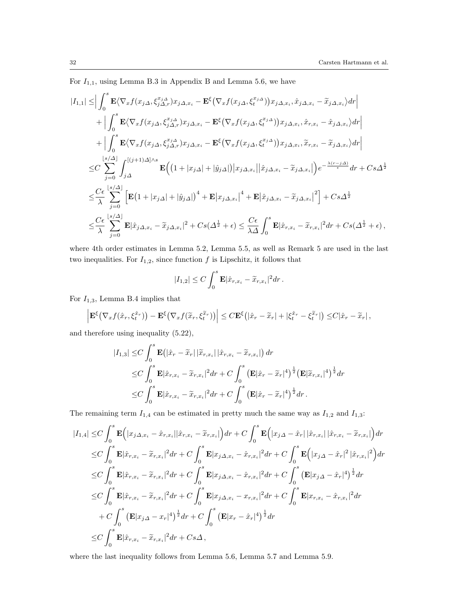For  $I_{1,1}$ , using Lemma B.3 in Appendix B and Lemma 5.6, we have

$$
|I_{1,1}| \leq \Big| \int_0^s \mathbf{E} \langle \nabla_x f(x_j \Delta, \xi_{j\Delta,r}^{x_j \Delta}) x_{j\Delta,x_i} - \mathbf{E}^{\xi} \big( \nabla_x f(x_j \Delta, \xi_{i\Delta}^{x_j \Delta}) \big) x_{j\Delta,x_i}, \hat{x}_{j\Delta,x_i} - \tilde{x}_{j\Delta,x_i} \rangle dr \Big|
$$
  
+  $\Big| \int_0^s \mathbf{E} \langle \nabla_x f(x_j \Delta, \xi_{j\Delta,r}^{x_j \Delta}) x_{j\Delta,x_i} - \mathbf{E}^{\xi} \big( \nabla_x f(x_j \Delta, \xi_{i\Delta}^{x_j \Delta}) \big) x_{j\Delta,x_i}, \hat{x}_{r,x_i} - \hat{x}_{j\Delta,x_i} \rangle dr \Big|$   
+  $\Big| \int_0^s \mathbf{E} \langle \nabla_x f(x_j \Delta, \xi_{j\Delta,r}^{x_j \Delta}) x_{j\Delta,x_i} - \mathbf{E}^{\xi} \big( \nabla_x f(x_j \Delta, \xi_{i\Delta}^{x_j \Delta}) \big) x_{j\Delta,x_i}, \tilde{x}_{r,x_i} - \tilde{x}_{j\Delta,x_i} \rangle dr \Big|$   

$$
\leq C \sum_{j=0}^{\lfloor s/\Delta \rfloor} \int_{j\Delta}^{\lfloor (j+1)\Delta \rfloor \wedge s} \mathbf{E} \Big( \big( 1 + |x_{j\Delta}| + |\hat{y}_{j\Delta}| \big) \big| x_{j\Delta,x_i} \big| \big| \hat{x}_{j\Delta,x_i} - \tilde{x}_{j\Delta,x_i} \big| \Big) e^{-\frac{\lambda(r-j\Delta)}{\epsilon}} dr + Cs\Delta^{\frac{1}{2}}
$$
  

$$
\leq \frac{C\epsilon}{\lambda} \sum_{j=0}^{\lfloor s/\Delta \rfloor} \Big[ \mathbf{E} \big( 1 + |x_{j\Delta}| + |\hat{y}_{j\Delta}| \big)^4 + \mathbf{E} \big| x_{j\Delta,x_i} \big|^4 + \mathbf{E} \big| \hat{x}_{j\Delta,x_i} - \tilde{x}_{j\Delta,x_i} \big|^2 \Big] + Cs\Delta^{\frac{1}{2}}
$$
  

$$
\leq \frac{C\epsilon}{\lambda} \sum_{j=0}^{\lfloor s/\Delta \rfloor} \mathbf{E} \big
$$

where 4th order estimates in Lemma 5.2, Lemma 5.5, as well as Remark 5 are used in the last two inequalities. For  $I_{1,2}$ , since function  $f$  is Lipschitz, it follows that

$$
|I_{1,2}| \leq C \int_0^s \mathbf{E} |\hat{x}_{r,x_i} - \tilde{x}_{r,x_i}|^2 dr.
$$

For  $I_{1,3}$ , Lemma B.4 implies that

$$
\left| \mathbf{E}^{\xi} \big( \nabla_x f(\hat{x}_r, \xi_t^{\hat{x}_r}) \big) - \mathbf{E}^{\xi} \big( \nabla_x f(\widetilde{x}_r, \xi_t^{\widetilde{x}_r}) \big) \right| \leq C \mathbf{E}^{\xi} \big( |\hat{x}_r - \widetilde{x}_r| + |\xi_t^{\hat{x}_r} - \xi_t^{\widetilde{x}_r}| \big) \leq C |\hat{x}_r - \widetilde{x}_r|,
$$

and therefore using inequality (5.22),

$$
\begin{split} |I_{1,3}| \leq & C \int_0^s \mathbf{E} \left( |\hat{x}_r - \tilde{x}_r| \, |\tilde{x}_{r,x_i}| \, |\hat{x}_{r,x_i} - \tilde{x}_{r,x_i}| \right) dr \\ \leq & C \int_0^s \mathbf{E} |\hat{x}_{r,x_i} - \tilde{x}_{r,x_i}|^2 dr + C \int_0^s \left( \mathbf{E} |\hat{x}_r - \tilde{x}_r|^4 \right)^{\frac{1}{2}} \left( \mathbf{E} |\tilde{x}_{r,x_i}|^4 \right)^{\frac{1}{2}} dr \\ \leq & C \int_0^s \mathbf{E} |\hat{x}_{r,x_i} - \tilde{x}_{r,x_i}|^2 dr + C \int_0^s \left( \mathbf{E} |\hat{x}_r - \tilde{x}_r|^4 \right)^{\frac{1}{2}} dr \,. \end{split}
$$

The remaining term  $I_{1,4}$  can be estimated in pretty much the same way as  $I_{1,2}$  and  $I_{1,3}$ :

$$
|I_{1,4}| \leq C \int_0^s \mathbf{E} (|x_{j\Delta,x_i} - \hat{x}_{r,x_i}| |\hat{x}_{r,x_i} - \tilde{x}_{r,x_i}|) dr + C \int_0^s \mathbf{E} (|x_{j\Delta} - \hat{x}_r| |\hat{x}_{r,x_i}| |\hat{x}_{r,x_i} - \tilde{x}_{r,x_i}|) dr
$$
  
\n
$$
\leq C \int_0^s \mathbf{E} |\hat{x}_{r,x_i} - \tilde{x}_{r,x_i}|^2 dr + C \int_0^s \mathbf{E} |x_{j\Delta,x_i} - \hat{x}_{r,x_i}|^2 dr + C \int_0^s \mathbf{E} (|x_{j\Delta} - \hat{x}_r|^2 |\hat{x}_{r,x_i}|^2) dr
$$
  
\n
$$
\leq C \int_0^s \mathbf{E} |\hat{x}_{r,x_i} - \tilde{x}_{r,x_i}|^2 dr + C \int_0^s \mathbf{E} |x_{j\Delta,x_i} - \hat{x}_{r,x_i}|^2 dr + C \int_0^s (\mathbf{E} |x_{j\Delta} - \hat{x}_r|^4)^{\frac{1}{2}} dr
$$
  
\n
$$
\leq C \int_0^s \mathbf{E} |\hat{x}_{r,x_i} - \tilde{x}_{r,x_i}|^2 dr + C \int_0^s \mathbf{E} |x_{j\Delta,x_i} - x_{r,x_i}|^2 dr + C \int_0^s \mathbf{E} |x_{r,x_i} - \hat{x}_{r,x_i}|^2 dr
$$
  
\n
$$
+ C \int_0^s (\mathbf{E} |x_{j\Delta} - x_r|^4)^{\frac{1}{2}} dr + C \int_0^s (\mathbf{E} |x_r - \hat{x}_r|^4)^{\frac{1}{2}} dr
$$
  
\n
$$
\leq C \int_0^s \mathbf{E} |\hat{x}_{r,x_i} - \tilde{x}_{r,x_i}|^2 dr + Cs\Delta,
$$

where the last inequality follows from Lemma 5.6, Lemma 5.7 and Lemma 5.9.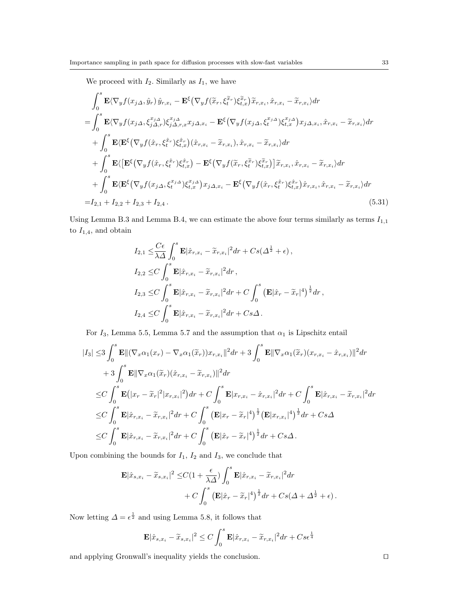We proceed with  $I_2$ . Similarly as  $I_1$ , we have

$$
\int_{0}^{s} \mathbf{E} \langle \nabla_{y} f(x_{j\Delta}, \hat{y}_{r}) \hat{y}_{r,x_{i}} - \mathbf{E}^{\xi} \langle \nabla_{y} f(\tilde{x}_{r}, \xi_{t}^{\tilde{x}_{r}}) \tilde{x}_{r,x_{i}}, \hat{x}_{r,x_{i}} - \tilde{x}_{r,x_{i}} \rangle dr \n= \int_{0}^{s} \mathbf{E} \langle \nabla_{y} f(x_{j\Delta}, \xi_{j\Delta,r}^{x_{j\Delta}}) \xi_{j\Delta,r,x}^{x_{j\Delta}} x_{j\Delta,x_{i}} - \mathbf{E}^{\xi} \langle \nabla_{y} f(x_{j\Delta}, \xi_{t}^{x_{j\Delta}}) \xi_{t,x}^{x_{j\Delta}} \rangle x_{j\Delta,x_{i}}, \hat{x}_{r,x_{i}} - \tilde{x}_{r,x_{i}} \rangle dr \n+ \int_{0}^{s} \mathbf{E} \langle \mathbf{E}^{\xi} \langle \nabla_{y} f(\hat{x}_{r}, \xi_{t}^{\hat{x}_{r}}) \xi_{t,x}^{\hat{x}_{r}} \rangle (\hat{x}_{r,x_{i}} - \tilde{x}_{r,x_{i}}), \hat{x}_{r,x_{i}} - \tilde{x}_{r,x_{i}} \rangle dr \n+ \int_{0}^{s} \mathbf{E} \langle \left[ \mathbf{E}^{\xi} \langle \nabla_{y} f(\hat{x}_{r}, \xi_{t}^{\hat{x}_{r}}) \xi_{t,x}^{\hat{x}_{r}} \rangle - \mathbf{E}^{\xi} \langle \nabla_{y} f(\tilde{x}_{r}, \xi_{t}^{\tilde{x}_{r}}) \xi_{t,x}^{\tilde{x}_{r}} \rangle \right] \tilde{x}_{r,x_{i}}, \hat{x}_{r,x_{i}} - \tilde{x}_{r,x_{i}} \rangle dr \n+ \int_{0}^{s} \mathbf{E} \langle \mathbf{E}^{\xi} \langle \nabla_{y} f(x_{j\Delta}, \xi_{t}^{x_{j\Delta}}) \xi_{t,x}^{x_{j\Delta}} \rangle x_{j\Delta,x_{i}} - \mathbf{E}^{\xi} \langle \nabla_{y} f(\hat{x}_{r}, \xi_{t}^{\hat{x}_{r}}) \xi_{t,x}^{\hat{x}_{r}} \rangle \hat{x}_{r,x_{i}}, \hat{x}_{r,x_{i}} - \tilde{x}_{r,x_{i}} \rangle dr \n= I_{2,1} + I
$$

Using Lemma B.3 and Lemma B.4, we can estimate the above four terms similarly as terms  $I_{1,1}$ to  $I_{1,4}$ , and obtain

$$
I_{2,1} \leq \frac{C\epsilon}{\lambda \Delta} \int_0^s \mathbf{E} |\hat{x}_{r,x_i} - \tilde{x}_{r,x_i}|^2 dr + Cs(\Delta^{\frac{1}{2}} + \epsilon),
$$
  
\n
$$
I_{2,2} \leq C \int_0^s \mathbf{E} |\hat{x}_{r,x_i} - \tilde{x}_{r,x_i}|^2 dr,
$$
  
\n
$$
I_{2,3} \leq C \int_0^s \mathbf{E} |\hat{x}_{r,x_i} - \tilde{x}_{r,x_i}|^2 dr + C \int_0^s (\mathbf{E} |\hat{x}_r - \tilde{x}_r|^4)^{\frac{1}{2}} dr,
$$
  
\n
$$
I_{2,4} \leq C \int_0^s \mathbf{E} |\hat{x}_{r,x_i} - \tilde{x}_{r,x_i}|^2 dr + Cs\Delta.
$$

For  $I_3$ , Lemma 5.5, Lemma 5.7 and the assumption that  $\alpha_1$  is Lipschitz entail

$$
|I_{3}| \leq 3 \int_{0}^{s} \mathbf{E} ||(\nabla_{x}\alpha_{1}(x_{r}) - \nabla_{x}\alpha_{1}(\tilde{x}_{r}))x_{r,x_{i}}||^{2} dr + 3 \int_{0}^{s} \mathbf{E} ||\nabla_{x}\alpha_{1}(\tilde{x}_{r})(x_{r,x_{i}} - \hat{x}_{r,x_{i}})||^{2} dr + 3 \int_{0}^{s} \mathbf{E} ||\nabla_{x}\alpha_{1}(\tilde{x}_{r})(\hat{x}_{r,x_{i}} - \tilde{x}_{r,x_{i}})||^{2} dr \n\leq C \int_{0}^{s} \mathbf{E} (|x_{r} - \tilde{x}_{r}|^{2}|x_{r,x_{i}}|^{2}) dr + C \int_{0}^{s} \mathbf{E} |x_{r,x_{i}} - \hat{x}_{r,x_{i}}|^{2} dr + C \int_{0}^{s} \mathbf{E} |\hat{x}_{r,x_{i}} - \tilde{x}_{r,x_{i}}|^{2} dr \n\leq C \int_{0}^{s} \mathbf{E} |\hat{x}_{r,x_{i}} - \tilde{x}_{r,x_{i}}|^{2} dr + C \int_{0}^{s} (\mathbf{E} |x_{r} - \tilde{x}_{r}|^{4})^{\frac{1}{2}} (\mathbf{E} |x_{r,x_{i}}|^{4})^{\frac{1}{2}} dr + Cs\Delta \n\leq C \int_{0}^{s} \mathbf{E} |\hat{x}_{r,x_{i}} - \tilde{x}_{r,x_{i}}|^{2} dr + C \int_{0}^{s} (\mathbf{E} |\hat{x}_{r} - \tilde{x}_{r}|^{4})^{\frac{1}{2}} dr + Cs\Delta.
$$

Upon combining the bounds for  $I_1,\,I_2$  and  $I_3,$  we conclude that

$$
\mathbf{E}|\hat{x}_{s,x_i} - \tilde{x}_{s,x_i}|^2 \leq C\left(1 + \frac{\epsilon}{\lambda \Delta}\right) \int_0^s \mathbf{E}|\hat{x}_{r,x_i} - \tilde{x}_{r,x_i}|^2 dr + C \int_0^s \left(\mathbf{E}|\hat{x}_r - \tilde{x}_r|^4\right)^{\frac{1}{2}} dr + Cs(\Delta + \Delta^{\frac{1}{2}} + \epsilon).
$$

Now letting  $\Delta = \epsilon^{\frac{1}{2}}$  and using Lemma 5.8, it follows that

$$
\mathbf{E}|\hat{x}_{s,x_i} - \widetilde{x}_{s,x_i}|^2 \le C \int_0^s \mathbf{E}|\hat{x}_{r,x_i} - \widetilde{x}_{r,x_i}|^2 dr + C s \epsilon^{\frac{1}{4}}
$$

and applying Gronwall's inequality yields the conclusion.  $\hfill\Box$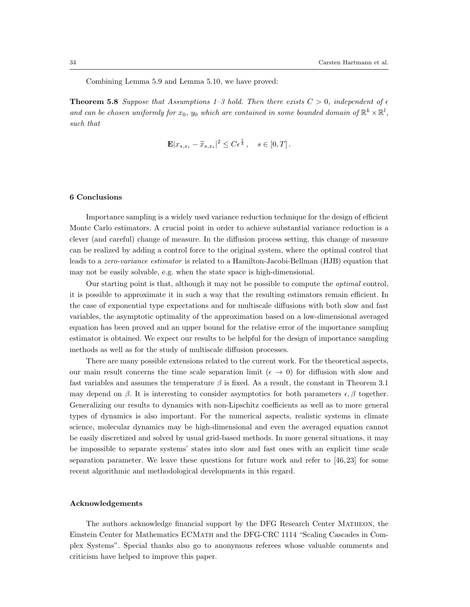Combining Lemma 5.9 and Lemma 5.10, we have proved:

**Theorem 5.8** Suppose that Assumptions 1–3 hold. Then there exists  $C > 0$ , independent of  $\epsilon$ *and can be chosen uniformly for*  $x_0$ ,  $y_0$  *which are contained in some bounded domain of*  $\mathbb{R}^k \times \mathbb{R}^l$ , *such that*

$$
\mathbf{E}|x_{s,x_i} - \widetilde{x}_{s,x_i}|^2 \leq C\epsilon^{\frac{1}{4}}, \quad s \in [0,T].
$$

## **6 Conclusions**

Importance sampling is a widely used variance reduction technique for the design of efficient Monte Carlo estimators. A crucial point in order to achieve substantial variance reduction is a clever (and careful) change of measure. In the diffusion process setting, this change of measure can be realized by adding a control force to the original system, where the optimal control that leads to a *zero-variance estimator* is related to a Hamilton-Jacobi-Bellman (HJB) equation that may not be easily solvable, e.g. when the state space is high-dimensional.

Our starting point is that, although it may not be possible to compute the *optimal* control, it is possible to approximate it in such a way that the resulting estimators remain efficient. In the case of exponential type expectations and for multiscale diffusions with both slow and fast variables, the asymptotic optimality of the approximation based on a low-dimensional averaged equation has been proved and an upper bound for the relative error of the importance sampling estimator is obtained. We expect our results to be helpful for the design of importance sampling methods as well as for the study of multiscale diffusion processes.

There are many possible extensions related to the current work. For the theoretical aspects, our main result concerns the time scale separation limit ( $\epsilon \to 0$ ) for diffusion with slow and fast variables and assumes the temperature  $\beta$  is fixed. As a result, the constant in Theorem 3.1 may depend on *β*. It is interesting to consider asymptotics for both parameters  $\epsilon$ , *β* together. Generalizing our results to dynamics with non-Lipschitz coefficients as well as to more general types of dynamics is also important. For the numerical aspects, realistic systems in climate science, molecular dynamics may be high-dimensional and even the averaged equation cannot be easily discretized and solved by usual grid-based methods. In more general situations, it may be impossible to separate systems' states into slow and fast ones with an explicit time scale separation parameter. We leave these questions for future work and refer to  $[46, 23]$  for some recent algorithmic and methodological developments in this regard.

#### **Acknowledgements**

The authors acknowledge financial support by the DFG Research Center Matheon, the Einstein Center for Mathematics ECMath and the DFG-CRC 1114 "Scaling Cascades in Complex Systems". Special thanks also go to anonymous referees whose valuable comments and criticism have helped to improve this paper.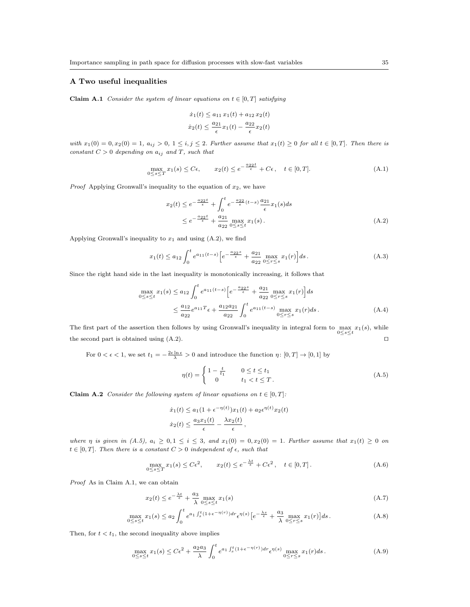## **A Two useful inequalities**

**Claim A.1** *Consider the system of linear equations on*  $t \in [0, T]$  *satisfying* 

$$
\dot{x}_1(t) \le a_{11} x_1(t) + a_{12} x_2(t)
$$
  

$$
\dot{x}_2(t) \le \frac{a_{21}}{\epsilon} x_1(t) - \frac{a_{22}}{\epsilon} x_2(t)
$$

with  $x_1(0) = 0, x_2(0) = 1, a_{ij} > 0, 1 \le i, j \le 2$ . Further assume that  $x_1(t) \ge 0$  for all  $t \in [0, T]$ . Then there is *constant*  $C > 0$  *depending on*  $a_{ij}$  *and*  $T$ *, such that* 

$$
\max_{0 \le s \le T} x_1(s) \le C\epsilon, \qquad x_2(t) \le e^{-\frac{a_{22}t}{\epsilon}} + C\epsilon, \quad t \in [0, T]. \tag{A.1}
$$

*Proof* Applying Gronwall's inequality to the equation of *x*2, we have

$$
x_2(t) \le e^{-\frac{a_{22}t}{\epsilon}} + \int_0^t e^{-\frac{a_{22}}{\epsilon}(t-s)} \frac{a_{21}}{\epsilon} x_1(s) ds
$$
  
 
$$
\le e^{-\frac{a_{22}t}{\epsilon}} + \frac{a_{21}}{a_{22}} \max_{0 \le s \le t} x_1(s).
$$
 (A.2)

Applying Gronwall's inequality to  $x_1$  and using  $(A.2)$ , we find

$$
x_1(t) \le a_{12} \int_0^t e^{a_{11}(t-s)} \left[ e^{-\frac{a_{22}s}{\epsilon}} + \frac{a_{21}}{a_{22}} \max_{0 \le r \le s} x_1(r) \right] ds. \tag{A.3}
$$

Since the right hand side in the last inequality is monotonically increasing, it follows that

$$
\max_{0 \le s \le t} x_1(s) \le a_{12} \int_0^t e^{a_{11}(t-s)} \left[ e^{-\frac{a_{22}s}{\epsilon}} + \frac{a_{21}}{a_{22}} \max_{0 \le r \le s} x_1(r) \right] ds
$$
  

$$
\le \frac{a_{12}}{a_{22}} e^{a_{11}T} \epsilon + \frac{a_{12}a_{21}}{a_{22}} \int_0^t e^{a_{11}(t-s)} \max_{0 \le r \le s} x_1(r) ds.
$$
 (A.4)

The first part of the assertion then follows by using Gronwall's inequality in integral form to  $\max_{0 \le s \le t} x_1(s)$ , while the second part is obtained using  $(A.2)$ .  $\Box$ 

For  $0 < \epsilon < 1$ , we set  $t_1 = -\frac{2\epsilon \ln \epsilon}{\lambda} > 0$  and introduce the function  $\eta \colon [0, T] \to [0, 1]$  by

$$
\eta(t) = \begin{cases} 1 - \frac{t}{t_1} & 0 \le t \le t_1 \\ 0 & t_1 < t \le T. \end{cases}
$$
 (A.5)

**Claim A.2** *Consider the following system of linear equations on*  $t \in [0, T]$ *:* 

$$
\dot{x}_1(t) \le a_1(1 + \epsilon^{-\eta(t)})x_1(t) + a_2\epsilon^{\eta(t)}x_2(t)
$$

$$
\dot{x}_2(t) \le \frac{a_3x_1(t)}{\epsilon} - \frac{\lambda x_2(t)}{\epsilon},
$$

where  $\eta$  is given in  $(A.5)$ ,  $a_i \geq 0, 1 \leq i \leq 3$ , and  $x_1(0) = 0, x_2(0) = 1$ . Further assume that  $x_1(t) \geq 0$  on  $t \in [0, T]$ *. Then there is a constant*  $C > 0$  *independent* of  $\epsilon$ *, such that* 

$$
\max_{0 \le s \le T} x_1(s) \le C\epsilon^2, \qquad x_2(t) \le e^{-\frac{\lambda t}{\epsilon}} + C\epsilon^2, \quad t \in [0, T]. \tag{A.6}
$$

*Proof* As in Claim A.1, we can obtain

$$
x_2(t) \le e^{-\frac{\lambda t}{\epsilon}} + \frac{a_3}{\lambda} \max_{0 \le s \le t} x_1(s) \tag{A.7}
$$

$$
\max_{0 \le s \le t} x_1(s) \le a_2 \int_0^t e^{a_1 \int_s^t (1 + \epsilon^{-\eta(r)}) dr} \epsilon^{\eta(s)} \left[ e^{-\frac{\lambda s}{\epsilon}} + \frac{a_3}{\lambda} \max_{0 \le r \le s} x_1(r) \right] ds. \tag{A.8}
$$

Then, for  $t < t_1$ , the second inequality above implies

$$
\max_{0 \le s \le t} x_1(s) \le C\epsilon^2 + \frac{a_2 a_3}{\lambda} \int_0^t e^{a_1 \int_s^t (1 + \epsilon^{-\eta(r)}) dr} \epsilon^{\eta(s)} \max_{0 \le r \le s} x_1(r) ds. \tag{A.9}
$$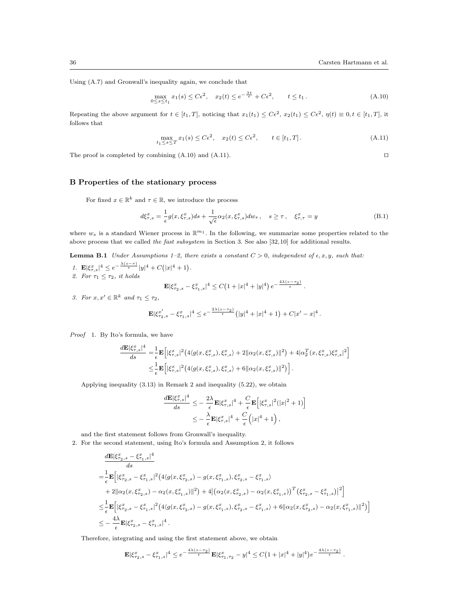Using (A.7) and Gronwall's inequality again, we conclude that

$$
\max_{0 \le s \le t_1} x_1(s) \le C\epsilon^2, \quad x_2(t) \le e^{-\frac{\lambda t}{\epsilon}} + C\epsilon^2, \qquad t \le t_1.
$$
\n(A.10)

Repeating the above argument for  $t \in [t_1, T]$ , noticing that  $x_1(t_1) \leq C\epsilon^2$ ,  $x_2(t_1) \leq C\epsilon^2$ ,  $\eta(t) \equiv 0, t \in [t_1, T]$ , it follows that

$$
\max_{t_1 \le s \le T} x_1(s) \le C\epsilon^2, \quad x_2(t) \le C\epsilon^2, \qquad t \in [t_1, T]. \tag{A.11}
$$

The proof is completed by combining  $(A.10)$  and  $(A.11)$ .  $\Box$ 

### **B Properties of the stationary process**

For fixed  $x \in \mathbb{R}^k$  and  $\tau \in \mathbb{R}$ , we introduce the process

$$
d\xi_{\tau,s}^x = \frac{1}{\epsilon} g(x,\xi_{\tau,s}^x) ds + \frac{1}{\sqrt{\epsilon}} \alpha_2(x,\xi_{\tau,s}^x) dw_s \,, \quad s \ge \tau \,, \quad \xi_{\tau,\tau}^x = y \tag{B.1}
$$

where  $w_s$  is a standard Wiener process in  $\mathbb{R}^{m_1}$ . In the following, we summarize some properties related to the above process that we called *the fast subsystem* in Section 3. See also [32,10] for additional results.

**Lemma B.1** *Under Assumptions 1–2, there exists a constant*  $C > 0$ *, independent of*  $\epsilon, x, y$ *, such that:* 

- *1.* **E**<sub> $|\xi^x_{\tau,s}|^4 \leq e^{-\frac{\lambda(s-\tau)}{\epsilon}} |y|^4 + C(|x|^4 + 1).$ </sub> 2. For  $\tau_1 \leq \tau_2$ , it holds  $\mathbf{E} |\xi^x_{\tau_2,s} - \xi^x_{\tau_1,s}|^4 \leq C \big(1 + |x|^4 + |y|^4\big) e^{-\frac{4\lambda(s-\tau_2)}{\epsilon}}$ .
- *3. For*  $x, x' \in \mathbb{R}^k$  *and*  $\tau_1 \leq \tau_2$ *,*

$$
\mathbf{E}|\xi_{\tau_2,s}^{x'} - \xi_{\tau_1,s}^{x}|^4 \leq e^{-\frac{2\lambda(s-\tau_2)}{\epsilon}}(|y|^4 + |x|^4 + 1) + C|x'-x|^4.
$$

*Proof* 1. By Ito's formula, we have

$$
\frac{d\mathbf{E}|\xi_{\tau,s}^x|^4}{ds} = \frac{1}{\epsilon} \mathbf{E} \Big[ |\xi_{\tau,s}^x|^2 \left( 4 \langle g(x,\xi_{\tau,s}^x), \xi_{\tau,s}^x \rangle + 2 ||\alpha_2(x,\xi_{\tau,s}^x)||^2 \right) + 4 |\alpha_2^T(x,\xi_{\tau,s}^x)\xi_{\tau,s}^x|^2 \Big] \n\leq \frac{1}{\epsilon} \mathbf{E} \Big[ |\xi_{\tau,s}^x|^2 \left( 4 \langle g(x,\xi_{\tau,s}^x), \xi_{\tau,s}^x \rangle + 6 ||\alpha_2(x,\xi_{\tau,s}^x)||^2 \right) \Big].
$$

Applying inequality (3.13) in Remark 2 and inequality (5.22), we obtain

$$
\frac{d\mathbf{E}|\xi_{\tau,s}^x|^4}{ds} \leq -\frac{2\lambda}{\epsilon} \mathbf{E}|\xi_{\tau,s}^x|^4 + \frac{C}{\epsilon} \mathbf{E}\Big[|\xi_{\tau,s}^x|^2(|x|^2+1)\Big] \n\leq -\frac{\lambda}{\epsilon} \mathbf{E}|\xi_{\tau,s}^x|^4 + \frac{C}{\epsilon} \Big(|x|^4+1\Big),
$$

and the first statement follows from Gronwall's inequality.

2. For the second statement, using Ito's formula and Assumption 2, it follows

$$
\label{eq:20} \begin{split} &\frac{d\mathbf{E}|\xi^x_{\tau_2,s}-\xi^x_{\tau_1,s}|^4}{ds}\\ =&\frac{1}{\epsilon}\mathbf{E}\Big[|\xi^x_{\tau_2,s}-\xi^x_{\tau_1,s}|^2\big(4\langle g(x,\xi^x_{\tau_2,s})-g(x,\xi^x_{\tau_1,s}),\xi^x_{\tau_2,s}-\xi^x_{\tau_1,s}\rangle\\ &+2\|\alpha_2(x,\xi^x_{\tau_2,s})-\alpha_2(x,\xi^x_{\tau_1,s})\|^2\big)+4\big|\big(\alpha_2(x,\xi^x_{\tau_2,s})-\alpha_2(x,\xi^x_{\tau_1,s})\big)^T\big(\xi^x_{\tau_2,s}-\xi^x_{\tau_1,s}\big)\big|^2\Big]\\ \leq& \frac{1}{\epsilon}\mathbf{E}\Big[|\xi^x_{\tau_2,s}-\xi^x_{\tau_1,s}|^2\big(4\langle g(x,\xi^x_{\tau_2,s})-g(x,\xi^x_{\tau_1,s}),\xi^x_{\tau_2,s}-\xi^x_{\tau_1,s}\rangle+6\|\alpha_2(x,\xi^x_{\tau_2,s})-\alpha_2(x,\xi^x_{\tau_1,s})\|^2\big)\Big]\\ \leq& -\frac{4\lambda}{\epsilon}\mathbf{E}|\xi^x_{\tau_2,s}-\xi^x_{\tau_1,s}|^4\,. \end{split}
$$

Therefore, integrating and using the first statement above, we obtain

$$
\mathbf{E}|\xi_{\tau_2,s}^x - \xi_{\tau_1,s}^x|^4 \le e^{-\frac{4\lambda(s-\tau_2)}{\epsilon}} \mathbf{E}|\xi_{\tau_1,\tau_2}^x - y|^4 \le C\left(1 + |x|^4 + |y|^4\right) e^{-\frac{4\lambda(s-\tau_2)}{\epsilon}}.
$$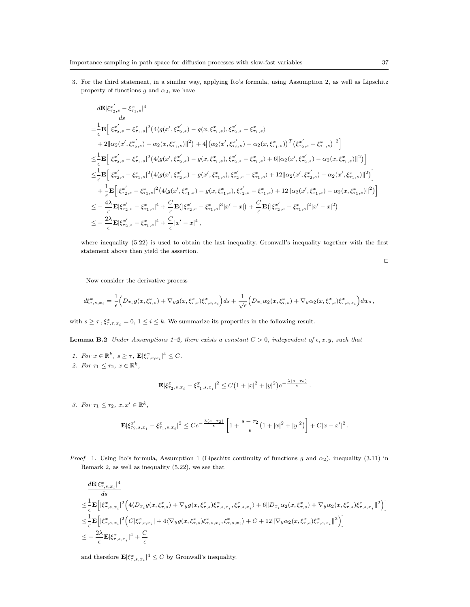3. For the third statement, in a similar way, applying Ito's formula, using Assumption 2, as well as Lipschitz property of functions  $g$  and  $\alpha_2$ , we have

$$
\begin{split} &\frac{d\mathbf{E}|\xi_{\tau_{2},s}^{x'}-\xi_{\tau_{1},s}^{x}|^4}{ds}\\ =&\frac{1}{\epsilon}\mathbf{E}\Big[|\xi_{\tau_{2},s}^{x'}-\xi_{\tau_{1},s}^{x}|^2\left(4\langle g(x',\xi_{\tau_{2},s}^{x'})-g(x,\xi_{\tau_{1},s}^{x}),\xi_{\tau_{2},s}^{x'}-\xi_{\tau_{1},s}^{x}\right)\\ &+2||\alpha_2(x',\xi_{\tau_{2},s}^{x'})-\alpha_2(x,\xi_{\tau_{1},s}^{x})||^2\right)+4\big|\big(\alpha_2(x',\xi_{\tau_{2},s}^{x'})-\alpha_2(x,\xi_{\tau_{1},s}^{x})\big)^T\big(\xi_{\tau_{2},s}^{x'}-\xi_{\tau_{1},s}^{x}\big)^2\Big]\\ \leq&\frac{1}{\epsilon}\mathbf{E}\Big[|\xi_{\tau_{2},s}^{x'}-\xi_{\tau_{1},s}^{x}|^2\big(4\langle g(x',\xi_{\tau_{2},s}^{x'})-g(x,\xi_{\tau_{1},s}^{x}),\xi_{\tau_{2},s}^{x'}-\xi_{\tau_{1},s}^{x}\big)+6||\alpha_2(x',\xi_{\tau_{2},s}^{x'})-\alpha_2(x,\xi_{\tau_{1},s}^{x})||^2\big)\Big]\\ \leq&\frac{1}{\epsilon}\mathbf{E}\Big[|\xi_{\tau_{2},s}^{x'}-\xi_{\tau_{1},s}^{x}|^2\big(4\langle g(x',\xi_{\tau_{2},s}^{x'})-g(x',\xi_{\tau_{1},s}^{x}),\xi_{\tau_{2},s}^{x'}-\xi_{\tau_{1},s}^{x}\big)+12||\alpha_2(x',\xi_{\tau_{2},s}^{x'})-\alpha_2(x',\xi_{\tau_{1},s}^{x})||^2\big)\Big]\\ &+\frac{1}{\epsilon}\mathbf{E}\Big[|\xi_{\tau_{2},s}^{x'}-\xi_{\tau_{1},s}^{x}|^2\big(4\langle g(x',\xi_{\tau_{1},s}^{x})-g(x,\xi_{\tau_{1},s}^{x}),\xi_{\tau_{2},s}^{x'}-\xi_{\tau_{1},s}^{x}\big)+12||\alpha_2(x',\xi_{\tau_{2},s}^{x})-\alpha_2(x,\xi_{\tau_{1},s}^{x})||^
$$

where inequality (5.22) is used to obtain the last inequality. Gronwall's inequality together with the first statement above then yield the assertion.

$$
\Box
$$

Now consider the derivative process

$$
d\xi^x_{\tau,s,x_i} = \frac{1}{\epsilon} \Big( D_{x_i} g(x,\xi^x_{\tau,s}) + \nabla_y g(x,\xi^x_{\tau,s}) \xi^x_{\tau,s,x_i} \Big) ds + \frac{1}{\sqrt{\epsilon}} \Big( D_{x_i} \alpha_2(x,\xi^x_{\tau,s}) + \nabla_y \alpha_2(x,\xi^x_{\tau,s}) \xi^x_{\tau,s,x_i} \Big) dw_s \,,
$$

with  $s \geq \tau$ ,  $\xi^x_{\tau, \tau, x_i} = 0, 1 \leq i \leq k$ . We summarize its properties in the following result.

**Lemma B.2** *Under Assumptions 1–2, there exists a constant*  $C > 0$ *, independent* of  $\epsilon, x, y$ *, such that* 

*1. For*  $x \in \mathbb{R}^k$ *,*  $s \geq \tau$ *,*  $\mathbf{E} |\xi_{\tau,s,x_i}^x|^4 \leq C$ *. 2. For*  $\tau_1 \leq \tau_2, x \in \mathbb{R}^k$ ,

$$
\mathbf{E} |\xi^x_{\tau_2,s,x_i} - \xi^x_{\tau_1,s,x_i}|^2 \leq C \big(1 + |x|^2 + |y|^2\big) e^{-\frac{\lambda(s - \tau_2)}{\epsilon}}.
$$

*3. For*  $\tau_1 \leq \tau_2$ ,  $x, x' \in \mathbb{R}^k$ ,

$$
\mathbf{E}|\xi^{{x'}}_{\tau_2,s,x_i} - \xi^x_{\tau_1,s,x_i}|^2 \leq C e^{-\frac{\lambda(s-\tau_2)}{\epsilon}}\left[1+\frac{s-\tau_2}{\epsilon}\big(1+|x|^2+|y|^2\big)\right] + C|x-x'|^2\,.
$$

*Proof* 1. Using Ito's formula, Assumption 1 (Lipschitz continuity of functions *g* and *α*2), inequality (3.11) in Remark 2, as well as inequality (5.22), we see that

$$
\label{eq:4.1} \begin{split} &\frac{d\mathbf{E}|\xi_{\tau,s,x_i}^x|^4}{ds}\\ \leq &\frac{1}{\epsilon}\mathbf{E}\Big[|\xi_{\tau,s,x_i}^x|^2\Big(4\langle D_{x_i}g(x,\xi_{\tau,s}^x)+\nabla_y g(x,\xi_{\tau,s}^x)\xi_{\tau,s,x_i}^x,\xi_{\tau,s,x_i}^x\rangle+6\|D_{x_i}\alpha_2(x,\xi_{\tau,s}^x)+\nabla_y\alpha_2(x,\xi_{\tau,s}^x)\xi_{\tau,s,x_i}^x\|^2\Big)\Big]\\ \leq &\frac{1}{\epsilon}\mathbf{E}\Big[|\xi_{\tau,s,x_i}^x|^2\Big(C|\xi_{\tau,s,x_i}^x|+4\langle \nabla_y g(x,\xi_{\tau,s}^x)\xi_{\tau,s,x_i}^x,\xi_{\tau,s,x_i}^x\rangle+C+12\|\nabla_y\alpha_2(x,\xi_{\tau,s}^x)\xi_{\tau,s,x_i}^x\|^2\Big)\Big]\\ \leq & -\frac{2\lambda}{\epsilon}\mathbf{E}|\xi_{\tau,s,x_i}^x|^4+\frac{C}{\epsilon} \end{split}
$$

and therefore  $\mathbf{E}|\xi_{\tau,s,x_i}^x|^4 \leq C$  by Gronwall's inequality.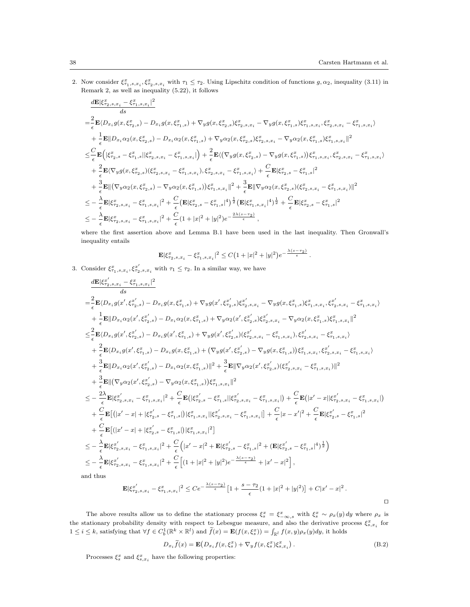2. Now consider  $\xi^x_{\tau_1,s,x_i}$ ,  $\xi^x_{\tau_2,s,x_i}$  with  $\tau_1 \leq \tau_2$ . Using Lipschitz condition of functions  $g, \alpha_2$ , inequality (3.11) in Remark 2, as well as inequality (5.22), it follows

$$
\begin{split} &\frac{d\mathbf{E}|\xi_{\tau_{2},s,x_{i}}^x-\xi_{\tau_{1},s,x_{i}}^x|^2}{ds}\\ =&\frac{2}{\epsilon}\mathbf{E}\langle D_{x_{i}}g(x,\xi_{\tau_{2},s}^x)-D_{x_{i}}g(x,\xi_{\tau_{1},s}^x)+\nabla_{y}g(x,\xi_{\tau_{2},s}^x)\xi_{\tau_{2},s,x_{i}}^x-\nabla_{y}g(x,\xi_{\tau_{1},s}^x)\xi_{\tau_{1},s,x_{i}},\xi_{\tau_{2},s,x_{i}}^x-\xi_{\tau_{1},s,x_{i}}^x\rangle\\ &+\frac{1}{\epsilon}\mathbf{E}\|D_{x_{i}}\alpha_{2}(x,\xi_{\tau_{2},s}^x)-D_{x_{i}}\alpha_{2}(x,\xi_{\tau_{1},s}^x)+\nabla_{y}\alpha_{2}(x,\xi_{\tau_{2},s}^x)\xi_{\tau_{2},s,x_{i}}^x-\nabla_{y}\alpha_{2}(x,\xi_{\tau_{1},s}^x)\xi_{\tau_{1},s,x_{i}}^x\|^2\\ \leq &\frac{C}{\epsilon}\mathbf{E}\Big(\big|\xi_{\tau_{2},s}^x-\xi_{\tau_{1},s}^x\big|\big|\xi_{\tau_{2},s,x_{i}}^x-\xi_{\tau_{1},s,x_{i}}^x\big|\Big)+\frac{2}{\epsilon}\mathbf{E}\langle\big(\nabla_{y}g(x,\xi_{\tau_{2},s}^x)-\nabla_{y}g(x,\xi_{\tau_{1},s}^x)\big)\xi_{\tau_{1},s,x_{i}},\xi_{\tau_{2},s,x_{i}}^x-\xi_{\tau_{1},s,x_{i}}^x\rangle\\ &+\frac{2}{\epsilon}\mathbf{E}\langle\nabla_{y}g(x,\xi_{\tau_{2},s}^x)(\xi_{\tau_{2},s,x_{i}}^x-\xi_{\tau_{1},s,x_{i}}^x),\xi_{\tau_{2},s,x_{i}}^x-\xi_{\tau_{1},s,x_{i}}^x\rangle+\frac{C}{\epsilon}\mathbf{E}|\xi_{\tau_{2},s}^x-\xi_{\tau_{1},s}^x|^2\\ &+\frac{3}{\epsilon}\mathbf{E}\|(\nabla_{y}\alpha_{2}(x,\xi_{\tau_{2},s}^x)-\nabla_{y}\alpha_{2}(x,\xi_{\tau_{1},s}^x))\xi_{\tau_{1},
$$

where the first assertion above and Lemma B.1 have been used in the last inequality. Then Gronwall's inequality entails

$$
\mathbf{E}|\xi_{\tau_2,s,x_i}^x - \xi_{\tau_1,s,x_i}^x|^2 \leq C\big(1+|x|^2+|y|^2\big)e^{-\frac{\lambda(s-\tau_2)}{\epsilon}}.
$$

3. Consider  $\xi^x_{\tau_1,s,x_i}$ ,  $\xi^{x'}_{\tau_2,s,x_i}$  with  $\tau_1 \leq \tau_2$ . In a similar way, we have

$$
\begin{split} &\frac{d\mathbf{E}|\xi^{x'}_{2,s,x_{i}}-\xi^{x}_{\tau_{1},s,x_{i}}|^2}{ds} \\ =&\frac{2}{\epsilon}\mathbf{E}\langle D_{x_{i}}g(x',\xi^{x'}_{2,s})-D_{x_{i}}g(x,\xi^{x}_{\tau_{1},s})+\nabla_{y}g(x',\xi^{x'}_{2,s})\xi^{x'}_{2,s,x_{i}}-\nabla_{y}g(x,\xi^{x}_{\tau_{1},s})\xi^{x}_{\tau_{1},s,x_{i}},\xi^{x'}_{\tau_{2},s,x_{i}}-\xi^{x}_{\tau_{1},s,x_{i}}) \\ &+\frac{1}{\epsilon}\mathbf{E}||D_{x_{i}}\alpha_{2}(x',\xi^{x'}_{\tau_{2},s})-D_{x_{i}}\alpha_{2}(x,\xi^{x}_{\tau_{1},s})+\nabla_{y}\alpha_{2}(x',\xi^{x'}_{2,s})\xi^{x'}_{2,s,x_{i}}-\nabla_{y}\alpha_{2}(x,\xi^{x}_{\tau_{1},s})\xi^{x}_{\tau_{1},s,x_{i}}||^{2} \\ \leq &\frac{2}{\epsilon}\mathbf{E}\langle D_{x_{i}}g(x',\xi^{x}_{\tau_{2},s})-D_{x_{i}}g(x',\xi^{x}_{\tau_{1},s})+\nabla_{y}g(x',\xi^{x'}_{\tau_{2},s})(\xi^{x'}_{\tau_{2},s,x_{i}}-\xi^{x}_{\tau_{1},s,x_{i}}),\xi^{x'}_{\tau_{2},s,x_{i}}-\xi^{x}_{\tau_{1},s,x_{i}}) \\ &+\frac{2}{\epsilon}\mathbf{E}\langle D_{x_{i}}g(x',\xi^{x}_{\tau_{2},s})-D_{x_{i}}g(x,\xi^{x}_{\tau_{1},s})| &(\nabla_{y}g(x',\xi^{x}_{\tau_{2},s})-\nabla_{y}g(x,\xi^{x}_{\tau_{1},s})\xi^{x}_{\tau_{1},s,x_{i}}),\xi^{x'}_{\tau_{2},s,x_{i}}-\xi^{x}_{\tau_{1},s,x_{i}}) \\ &+\frac{3}{\epsilon}\mathbf{E}||D_{x_{i}}\alpha_{2}(x',\xi^{x'}_{\tau_{2},s})-D_{x_{i}}\alpha_{2}(x,\xi^{x}_{\tau_{1},s})\xi^{x}_{\tau_{1},s,x_{i}}||^{2} \\ \leq &-\frac{2}{\epsilon}\mathbf{E}\langle \nabla_{y}\alpha_{
$$

a<sub>l</sub>

$$
\mathbf{E}|\xi_{\tau_2,s,x_i}^{x'} - \xi_{\tau_1,s,x_i}^{x}|^2 \leq Ce^{-\frac{\lambda(s-\tau_2)}{\epsilon}} \left[1 + \frac{s-\tau_2}{\epsilon} (1+|x|^2+|y|^2)\right] + C|x'-x|^2.
$$

The above results allow us to define the stationary process  $\xi_s^x = \xi_{-\infty,s}^x$  with  $\xi_s^x \sim \rho_x(y) dy$  where  $\rho_x$  is the stationary probability density with respect to Lebesgue measure, and also the derivative process  $\xi_{s,x_i}^x$  for  $1 \leq i \leq k$ , satisfying that  $\forall f \in C_b^1(\mathbb{R}^k \times \mathbb{R}^l)$  and  $\tilde{f}(x) = \mathbf{E}(f(x, \xi_s^x)) = \int_{\mathbb{R}^l} f(x, y) \rho_x(y) dy$ , it holds

$$
D_{x_i}\widetilde{f}(x) = \mathbf{E}\big(D_{x_i}f(x,\xi_s^x) + \nabla_y f(x,\xi_s^x)\xi_{s,x_i}^x\big) \,. \tag{B.2}
$$

Processes  $\xi_s^x$  and  $\xi_{s,x_i}^x$  have the following properties: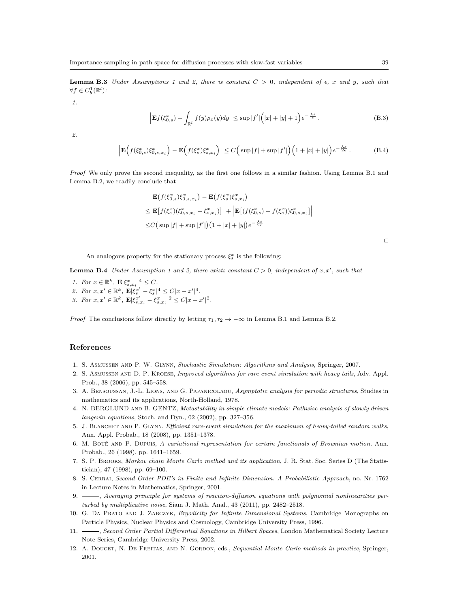**Lemma B.3** *Under Assumptions 1 and 2, there is constant*  $C > 0$ *, independent of*  $\epsilon$ *, x and y, such that*  $\forall f \in C_b^1(\mathbb{R}^l)$ *:* 

*1.*

$$
\left| \mathbf{E} f(\xi_{0,s}^x) - \int_{\mathbb{R}^l} f(y) \rho_x(y) dy \right| \le \sup |f'| \Big( |x| + |y| + 1 \Big) e^{-\frac{\lambda s}{\epsilon}} . \tag{B.3}
$$

*2.*

$$
\left| \mathbf{E}\Big(f(\xi_{0,s}^x)\xi_{0,s,x_i}^x\Big) - \mathbf{E}\Big(f(\xi_s^x)\xi_{s,x_i}^x\Big) \right| \le C\Big(\sup|f| + \sup|f'|\Big)\Big(1 + |x| + |y|\Big)e^{-\frac{\lambda s}{2\epsilon}}\,. \tag{B.4}
$$

*Proof* We only prove the second inequality, as the first one follows in a similar fashion. Using Lemma B.1 and Lemma B.2, we readily conclude that

$$
\begin{aligned} &\left| \mathbf{E}\big(f(\xi_{0,s}^x)\xi_{0,s,x_i}^x\big) - \mathbf{E}\big(f(\xi_s^x)\xi_{s,x_i}^x\big) \right| \\ \leq & \left| \mathbf{E}\big[f(\xi_s^x)(\xi_{0,s,x_i}^x - \xi_{s,x_i}^x)\big] \right| + \left| \mathbf{E}\big[(f(\xi_{0,s}^x) - f(\xi_s^x))\xi_{0,s,x_i}^x\big] \right| \\ \leq & C\big(\sup|f| + \sup|f'|\big)\big(1 + |x| + |y|\big)e^{-\frac{\lambda s}{2\epsilon}} \end{aligned}
$$

An analogous property for the stationary process  $\xi_s^x$  is the following:

**Lemma B.4** *Under Assumption 1 and 2, there exists constant*  $C > 0$ *, independent of*  $x, x'$ *, such that* 

- *1. For*  $x \in \mathbb{R}^k$ ,  $\mathbf{E} |\xi_{s,x_i}^x|^4 \leq C$ *.*
- 2. For  $x, x' \in \mathbb{R}^k$ ,  $\mathbf{E} |\xi_s^{x'} \xi_s^{x}|^4 \leq C |x x'|^4$ .
- 3. For  $x, x' \in \mathbb{R}^k$ ,  $\mathbf{E} |\xi_{s,x_i}^{x'} \xi_{s,x_i}^{x}|^2 \leq C |x x'|^2$ .

*Proof* The conclusions follow directly by letting  $\tau_1, \tau_2 \to -\infty$  in Lemma B.1 and Lemma B.2.

# **References**

- 1. S. Asmussen and P. W. Glynn, *Stochastic Simulation: Algorithms and Analysis*, Springer, 2007.
- 2. S. Asmussen and D. P. Kroese, *Improved algorithms for rare event simulation with heavy tails*, Adv. Appl. Prob., 38 (2006), pp. 545–558.
- 3. A. Bensoussan, J.-L. Lions, and G. Papanicolaou, *Asymptotic analysis for periodic structures*, Studies in mathematics and its applications, North-Holland, 1978.
- 4. N. BERGLUND and B. GENTZ, *Metastability in simple climate models: Pathwise analysis of slowly driven langevin equations*, Stoch. and Dyn., 02 (2002), pp. 327–356.
- 5. J. Blanchet and P. Glynn, *Efficient rare-event simulation for the maximum of heavy-tailed random walks*, Ann. Appl. Probab., 18 (2008), pp. 1351–1378.
- 6. M. Boué AND P. Dupuis, *A variational representation for certain functionals of Brownian motion*, Ann. Probab., 26 (1998), pp. 1641–1659.
- 7. S. P. Brooks, *Markov chain Monte Carlo method and its application*, J. R. Stat. Soc. Series D (The Statistician), 47 (1998), pp. 69–100.
- 8. S. Cerrai, *Second Order PDE's in Finite and Infinite Dimension: A Probabilistic Approach*, no. Nr. 1762 in Lecture Notes in Mathematics, Springer, 2001.
- 9. , *Averaging principle for systems of reaction-diffusion equations with polynomial nonlinearities perturbed by multiplicative noise*, Siam J. Math. Anal., 43 (2011), pp. 2482–2518.
- 10. G. Da Prato and J. Zabczyk, *Ergodicity for Infinite Dimensional Systems*, Cambridge Monographs on Particle Physics, Nuclear Physics and Cosmology, Cambridge University Press, 1996.
- 11. , *Second Order Partial Differential Equations in Hilbert Spaces*, London Mathematical Society Lecture Note Series, Cambridge University Press, 2002.
- 12. A. Doucet, N. De Freitas, and N. Gordon, eds., *Sequential Monte Carlo methods in practice*, Springer, 2001.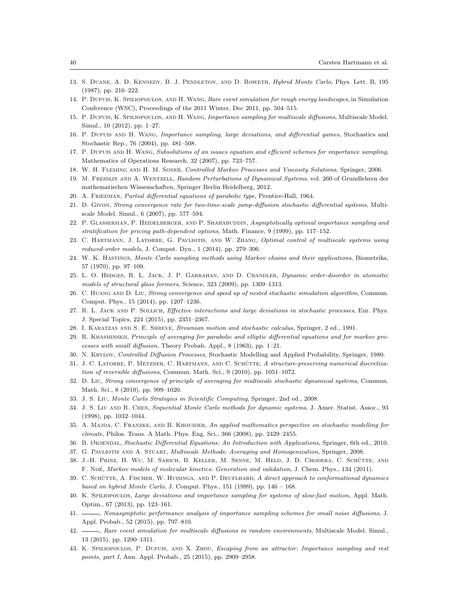- 13. S. Duane, A. D. Kennedy, B. J. Pendleton, and D. Roweth, *Hybrid Monte Carlo*, Phys. Lett. B, 195 (1987), pp. 216–222.
- 14. P. Dupuis, K. Spiliopoulos, and H. Wang, *Rare event simulation for rough energy landscapes*, in Simulation Conference (WSC), Proceedings of the 2011 Winter, Dec 2011, pp. 504–515.
- 15. P. Dupuis, K. Spiliopoulos, and H. Wang, *Importance sampling for multiscale diffusions*, Multiscale Model. Simul., 10 (2012), pp. 1–27.
- 16. P. Dupuis and H. Wang, *Importance sampling, large deviations, and differential games*, Stochastics and Stochastic Rep., 76 (2004), pp. 481–508.
- 17. P. Dupuis and H. Wang, *Subsolutions of an isaacs equation and efficient schemes for importance sampling*, Mathematics of Operations Research, 32 (2007), pp. 723–757.
- 18. W. H. Fleming and H. M. Soner, *Controlled Markov Processes and Viscosity Solutions*, Springer, 2006.
- 19. M. Freidlin and A. Wentzell, *Random Perturbations of Dynamical Systems*, vol. 260 of Grundlehren der mathematischen Wissenschaften, Springer Berlin Heidelberg, 2012.
- 20. A. Friedman, *Partial differential equations of parabolic type*, Prentice-Hall, 1964.
- 21. D. Givon, *Strong convergence rate for two-time-scale jump-diffusion stochastic differential systems*, Multiscale Model. Simul., 6 (2007), pp. 577–594.
- 22. P. Glasserman, P. Heidelberger, and P. Shahabuddin, *Asymptotically optimal importance sampling and stratification for pricing path-dependent options*, Math. Finance, 9 (1999), pp. 117–152.
- 23. C. Hartmann, J. Latorre, G. Pavliotis, and W. Zhang, *Optimal control of multiscale systems using reduced-order models*, J. Comput. Dyn., 1 (2014), pp. 279–306.
- 24. W. K. Hastings, *Monte Carlo sampling methods using Markov chains and their applications*, Biometrika, 57 (1970), pp. 97–109.
- 25. L. O. Hedges, R. L. Jack, J. P. Garrahan, and D. Chandler, *Dynamic order-disorder in atomistic models of structural glass formers*, Science, 323 (2009), pp. 1309–1313.
- 26. C. Huang and D. Liu, *Strong convergence and speed up of nested stochastic simulation algorithm*, Commun. Comput. Phys., 15 (2014), pp. 1207–1236.
- 27. R. L. Jack and P. Sollich, *Effective interactions and large deviations in stochastic processes*, Eur. Phys. J. Special Topics, 224 (2015), pp. 2351–2367.
- 28. I. Karatzas and S. E. Shreve, *Brownian motion and stochastic calculus*, Springer, 2 ed., 1991.
- 29. R. Khasminskii, *Principle of averaging for parabolic and elliptic differential equations and for markov processes with small diffusion*, Theory Probab. Appl., 8 (1963), pp. 1–21.
- 30. N. Krylov, *Controlled Diffusion Processes*, Stochastic Modelling and Applied Probability, Springer, 1980.
- 31. J. C. LATORRE, P. METZNER, C. HARTMANN, AND C. SCHÜTTE, A structure-preserving numerical discretiza*tion of reversible diffusions*, Commun. Math. Sci., 9 (2010), pp. 1051–1072.
- 32. D. Liu, *Strong convergence of principle of averaging for multiscale stochastic dynamical systems*, Commun. Math. Sci., 8 (2010), pp. 999–1020.
- 33. J. S. Liu, *Monte Carlo Strategies in Scientific Computing*, Springer, 2nd ed., 2008.
- 34. J. S. Liu and R. Chen, *Sequential Monte Carlo methods for dynamic systems*, J. Amer. Statist. Assoc., 93 (1998), pp. 1032–1044.
- 35. A. Majda, C. Franzke, and B. Khouider, *An applied mathematics perspective on stochastic modelling for climate*, Philos. Trans. A Math. Phys. Eng. Sci., 366 (2008), pp. 2429–2455.
- 36. B. Øksendal, *Stochastic Differential Equations: An Introduction with Applications*, Springer, 6th ed., 2010.
- 37. G. Pavliotis and A. Stuart, *Multiscale Methods: Averaging and Homogenization*, Springer, 2008.
- 38. J.-H. Prinz, H. Wu, M. Sarich, B. Keller, M. Senne, M. Held, J. D. Chodera, C. Schutte, and ¨ F. Noé, *Markov models of molecular kinetics: Generation and validation*, J. Chem. Phys., 134 (2011).
- 39. C. SCHÜTTE, A. FISCHER, W. HUISINGA, AND P. DEUFLHARD, A direct approach to conformational dynamics *based on hybrid Monte Carlo*, J. Comput. Phys., 151 (1999), pp. 146 – 168.
- 40. K. Spiliopoulos, *Large deviations and importance sampling for systems of slow-fast motion*, Appl. Math. Optim., 67 (2013), pp. 123–161.
- 41. , *Nonasymptotic performance analysis of importance sampling schemes for small noise diffusions*, J. Appl. Probab., 52 (2015), pp. 797–810.
- 42. , *Rare event simulation for multiscale diffusions in random environments*, Multiscale Model. Simul., 13 (2015), pp. 1290–1311.
- 43. K. Spiliopoulos, P. Dupuis, and X. Zhou, *Escaping from an attractor: Importance sampling and rest points, part I*, Ann. Appl. Probab., 25 (2015), pp. 2909–2958.